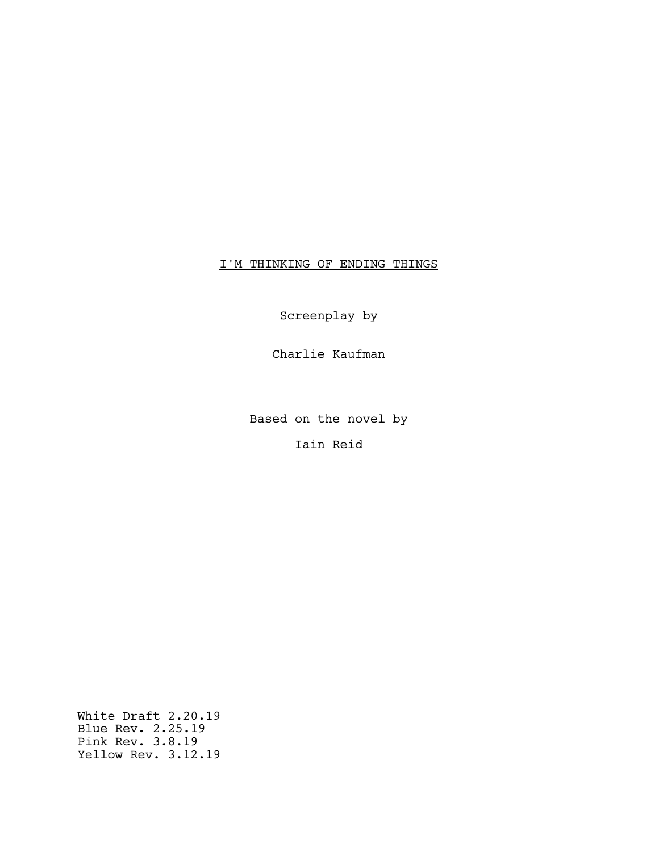# I'M THINKING OF ENDING THINGS

Screenplay by

Charlie Kaufman

Based on the novel by

Iain Reid

White Draft 2.20.19 Blue Rev. 2.25.19 Pink Rev. 3.8.19 Yellow Rev. 3.12.19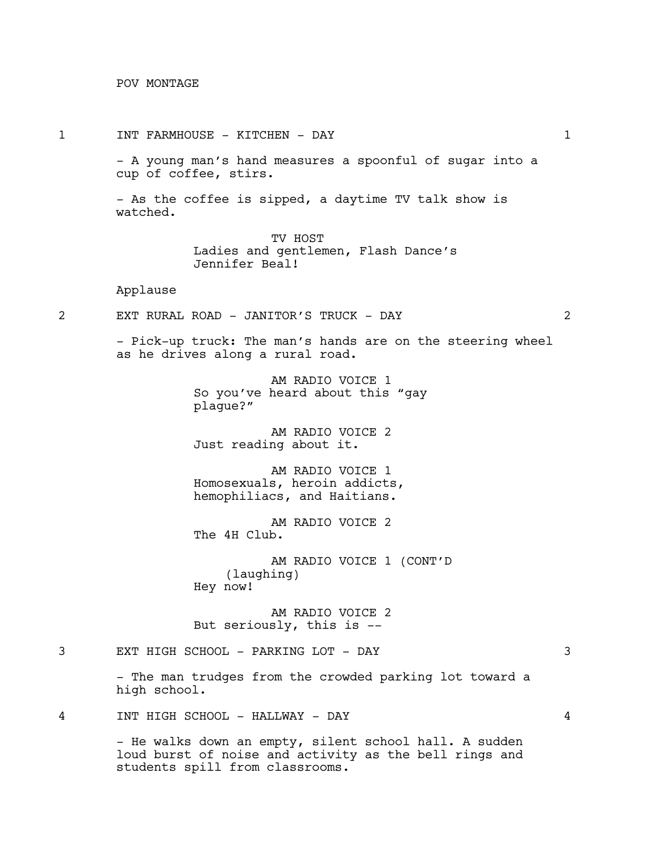POV MONTAGE

1 INT FARMHOUSE - KITCHEN - DAY 1

- A young man's hand measures a spoonful of sugar into a cup of coffee, stirs.

- As the coffee is sipped, a daytime TV talk show is watched.

> TV HOST Ladies and gentlemen, Flash Dance's Jennifer Beal!

# Applause

2 EXT RURAL ROAD - JANITOR'S TRUCK - DAY 2

- Pick-up truck: The man's hands are on the steering wheel as he drives along a rural road.

> AM RADIO VOICE 1 So you've heard about this "gay plague?"

AM RADIO VOICE 2 Just reading about it.

AM RADIO VOICE 1 Homosexuals, heroin addicts, hemophiliacs, and Haitians.

AM RADIO VOICE 2 The 4H Club.

AM RADIO VOICE 1 (CONT'D (laughing) Hey now!

AM RADIO VOICE 2 But seriously, this is --

3 EXT HIGH SCHOOL - PARKING LOT - DAY 3

- The man trudges from the crowded parking lot toward a high school.

4 INT HIGH SCHOOL - HALLWAY - DAY 4

- He walks down an empty, silent school hall. A sudden loud burst of noise and activity as the bell rings and students spill from classrooms.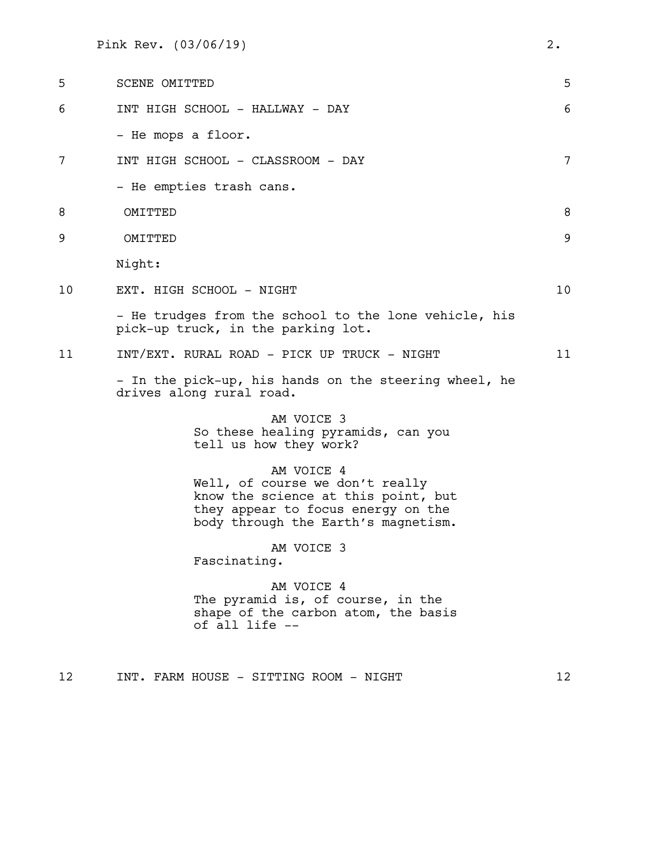Pink Rev. (03/06/19) 2.

| 5  | SCENE OMITTED                                                                                                                                                     | 5  |
|----|-------------------------------------------------------------------------------------------------------------------------------------------------------------------|----|
| 6  | INT HIGH SCHOOL - HALLWAY - DAY                                                                                                                                   | 6  |
|    | - He mops a floor.                                                                                                                                                |    |
| 7  | INT HIGH SCHOOL - CLASSROOM - DAY                                                                                                                                 | 7  |
|    | - He empties trash cans.                                                                                                                                          |    |
| 8  | OMITTED                                                                                                                                                           | 8  |
| 9  | OMITTED                                                                                                                                                           | 9  |
|    | Night:                                                                                                                                                            |    |
| 10 | EXT. HIGH SCHOOL - NIGHT                                                                                                                                          | 10 |
|    | - He trudges from the school to the lone vehicle, his<br>pick-up truck, in the parking lot.                                                                       |    |
| 11 | INT/EXT. RURAL ROAD - PICK UP TRUCK - NIGHT                                                                                                                       | 11 |
|    | - In the pick-up, his hands on the steering wheel, he<br>drives along rural road.                                                                                 |    |
|    | AM VOICE 3<br>So these healing pyramids, can you<br>tell us how they work?                                                                                        |    |
|    | AM VOICE 4<br>Well, of course we don't really<br>know the science at this point, but<br>they appear to focus energy on the<br>body through the Earth's magnetism. |    |
|    | AM VOICE 3<br>Fascinating.                                                                                                                                        |    |
|    | AM VOICE 4<br>The pyramid is, of course, in the<br>shape of the carbon atom, the basis<br>of all life --                                                          |    |
|    |                                                                                                                                                                   |    |

12 INT. FARM HOUSE - SITTING ROOM - NIGHT 12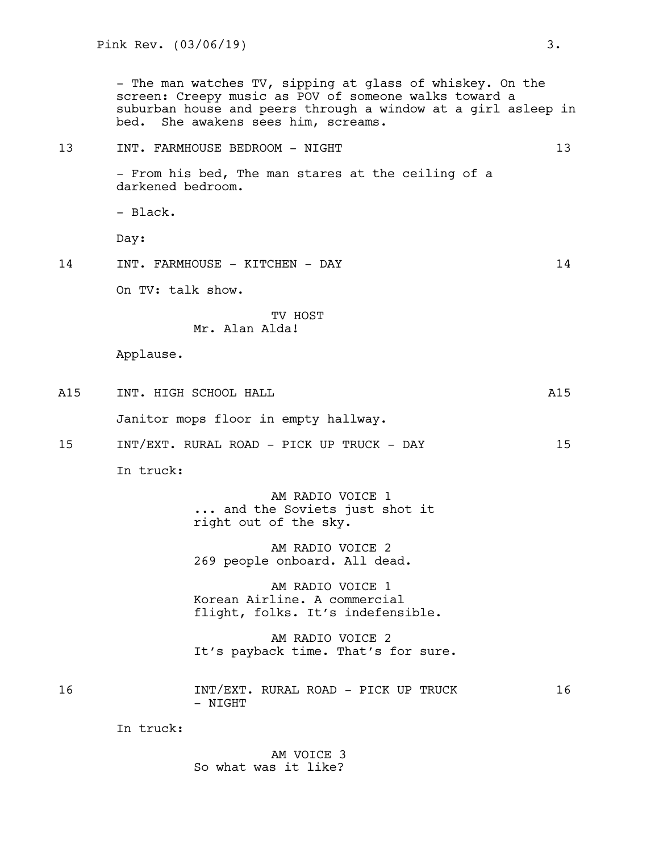- The man watches TV, sipping at glass of whiskey. On the screen: Creepy music as POV of someone walks toward a suburban house and peers through a window at a girl asleep in bed. She awakens sees him, screams.

# 13 INT. FARMHOUSE BEDROOM - NIGHT 13 - From his bed, The man stares at the ceiling of a darkened bedroom. - Black. Day: 14 INT. FARMHOUSE - KITCHEN - DAY 14 On TV: talk show. TV HOST Mr. Alan Alda! Applause. A15 INT. HIGH SCHOOL HALL **And All All And All All** Janitor mops floor in empty hallway. 15 INT/EXT. RURAL ROAD - PICK UP TRUCK - DAY 15 In truck: AM RADIO VOICE 1 ... and the Soviets just shot it right out of the sky. AM RADIO VOICE 2 269 people onboard. All dead. AM RADIO VOICE 1 Korean Airline. A commercial flight, folks. It's indefensible. AM RADIO VOICE 2 It's payback time. That's for sure. 16 16 INT/EXT. RURAL ROAD - PICK UP TRUCK 16 - NIGHT

In truck:

AM VOICE 3 So what was it like?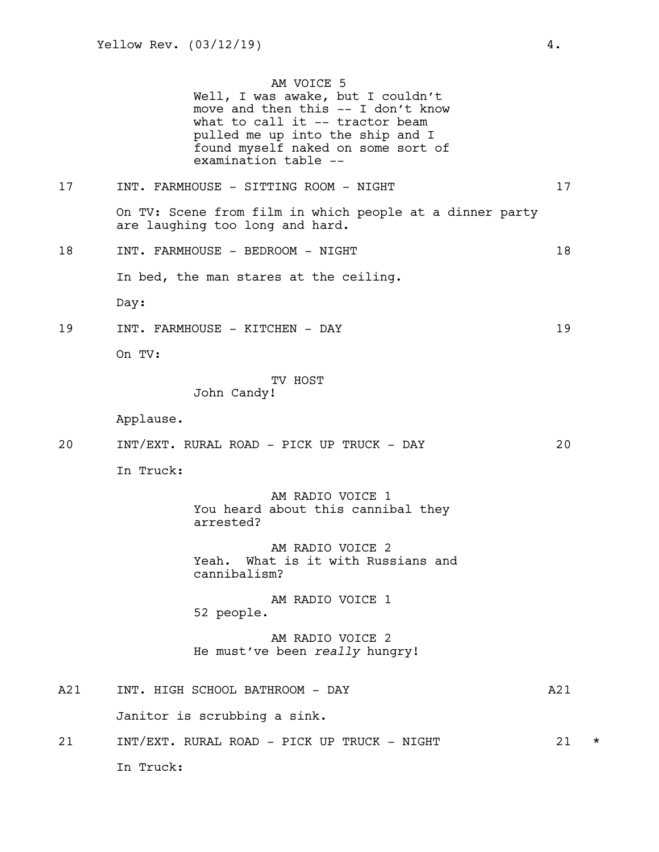AM VOICE 5 Well, I was awake, but I couldn't move and then this -- I don't know what to call it -- tractor beam pulled me up into the ship and I found myself naked on some sort of

# examination table -- 17 INT. FARMHOUSE - SITTING ROOM - NIGHT 17 On TV: Scene from film in which people at a dinner party are laughing too long and hard. 18 INT. FARMHOUSE - BEDROOM - NIGHT 18 In bed, the man stares at the ceiling. Day: 19 INT. FARMHOUSE - KITCHEN - DAY 19 On TV: TV HOST John Candy! Applause. 20 INT/EXT. RURAL ROAD - PICK UP TRUCK - DAY 20 In Truck: AM RADIO VOICE 1 You heard about this cannibal they arrested? AM RADIO VOICE 2 Yeah. What is it with Russians and cannibalism? AM RADIO VOICE 1 52 people. AM RADIO VOICE 2 He must've been *really* hungry! A21 INT. HIGH SCHOOL BATHROOM - DAY A21 Janitor is scrubbing a sink. 21 INT/EXT. RURAL ROAD - PICK UP TRUCK - NIGHT 21 \* In Truck: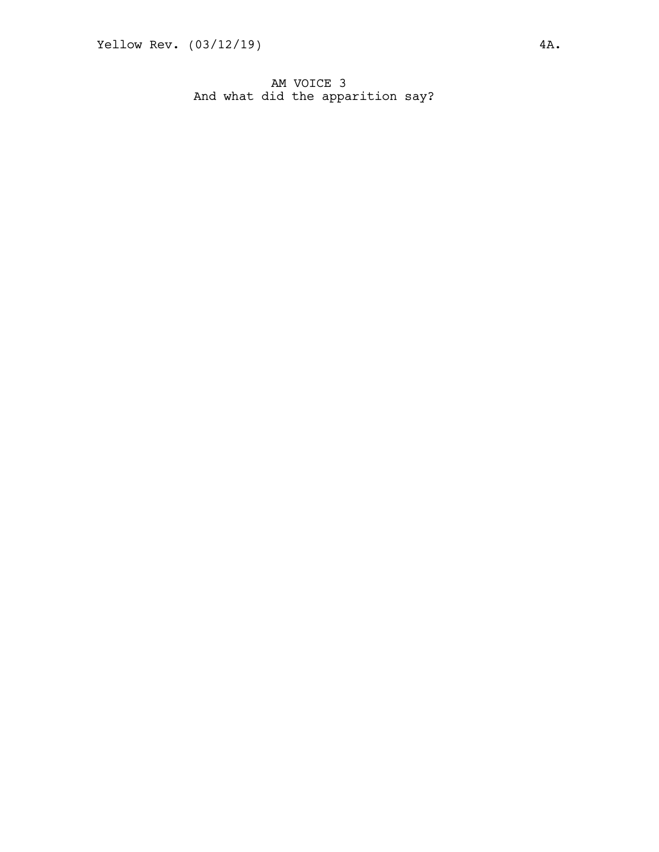AM VOICE 3 And what did the apparition say?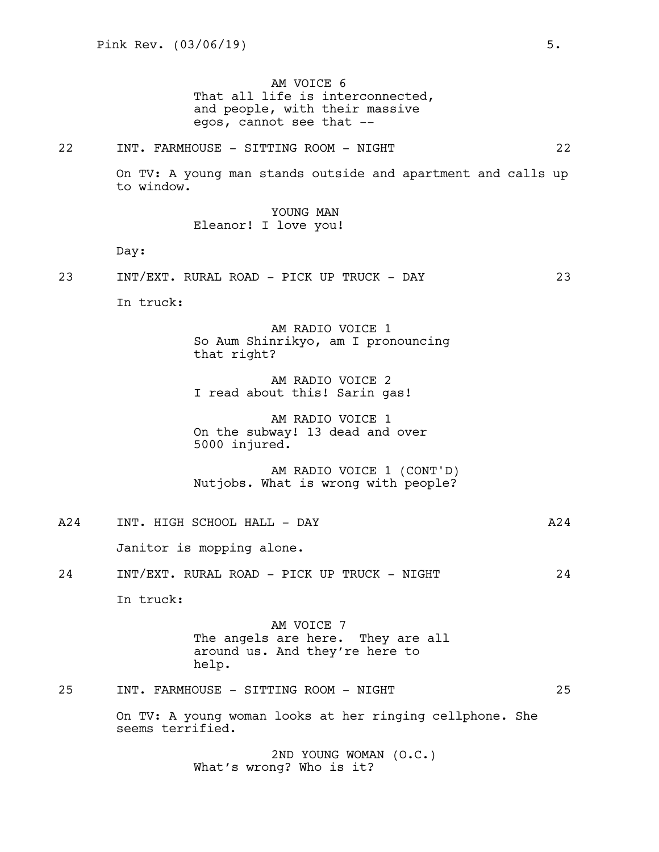AM VOICE 6 That all life is interconnected, and people, with their massive egos, cannot see that --

22 INT. FARMHOUSE - SITTING ROOM - NIGHT 22

On TV: A young man stands outside and apartment and calls up to window.

> YOUNG MAN Eleanor! I love you!

Day:

23 INT/EXT. RURAL ROAD - PICK UP TRUCK - DAY 23

In truck:

AM RADIO VOICE 1 So Aum Shinrikyo, am I pronouncing that right?

AM RADIO VOICE 2 I read about this! Sarin gas!

AM RADIO VOICE 1 On the subway! 13 dead and over 5000 injured.

AM RADIO VOICE 1 (CONT'D) Nutjobs. What is wrong with people?

A24 INT. HIGH SCHOOL HALL - DAY A24 Janitor is mopping alone. 24 INT/EXT. RURAL ROAD - PICK UP TRUCK - NIGHT 24 In truck: AM VOICE 7 The angels are here. They are all around us. And they're here to help.

# 25 INT. FARMHOUSE - SITTING ROOM - NIGHT 25

On TV: A young woman looks at her ringing cellphone. She seems terrified.

> 2ND YOUNG WOMAN (O.C.) What's wrong? Who is it?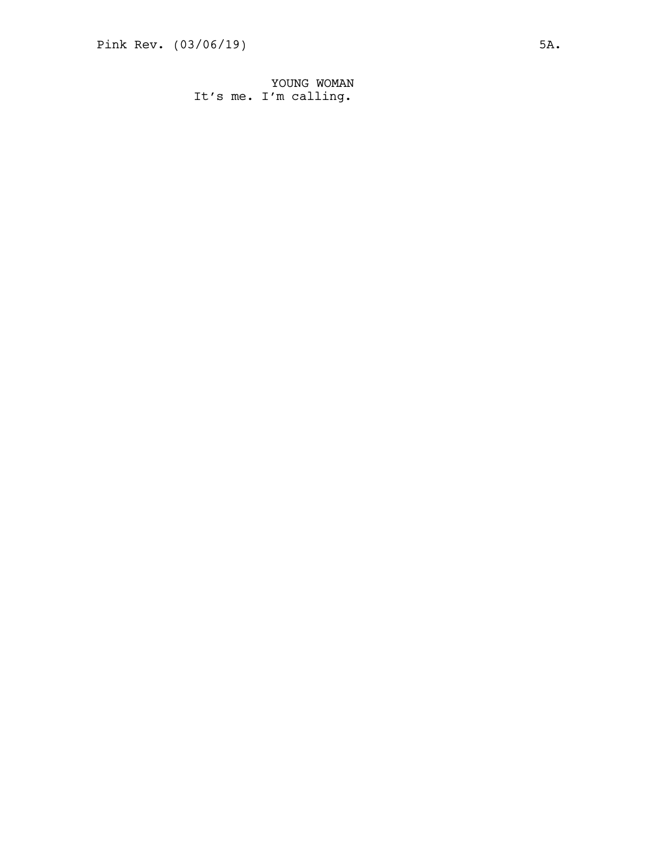YOUNG WOMAN It's me. I'm calling.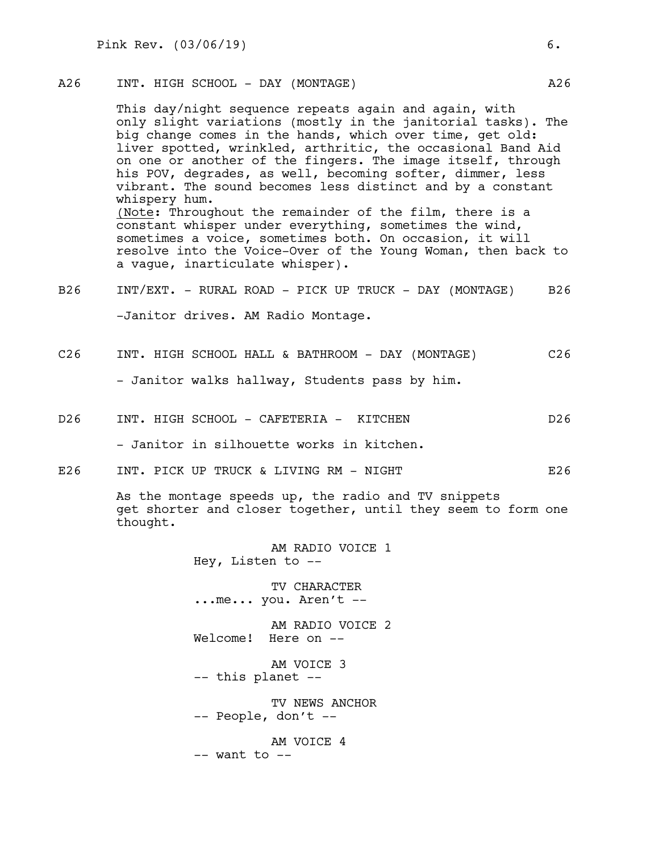# A26 INT. HIGH SCHOOL - DAY (MONTAGE) A26

This day/night sequence repeats again and again, with only slight variations (mostly in the janitorial tasks). The big change comes in the hands, which over time, get old: liver spotted, wrinkled, arthritic, the occasional Band Aid on one or another of the fingers. The image itself, through his POV, degrades, as well, becoming softer, dimmer, less vibrant. The sound becomes less distinct and by a constant whispery hum. (Note: Throughout the remainder of the film, there is a constant whisper under everything, sometimes the wind, sometimes a voice, sometimes both. On occasion, it will resolve into the Voice-Over of the Young Woman, then back to a vague, inarticulate whisper).

- B26 INT/EXT. RURAL ROAD PICK UP TRUCK DAY (MONTAGE) B26 -Janitor drives. AM Radio Montage.
- C26 INT. HIGH SCHOOL HALL & BATHROOM DAY (MONTAGE) C26

- Janitor walks hallway, Students pass by him.

D26 INT. HIGH SCHOOL - CAFETERIA - KITCHEN D26

- Janitor in silhouette works in kitchen.

E26 INT. PICK UP TRUCK & LIVING RM - NIGHT THE REAL PROOF RATE OF REAL PROOF RATE OF REAL PROOF REAL PROOF REA

As the montage speeds up, the radio and TV snippets get shorter and closer together, until they seem to form one thought.

> AM RADIO VOICE 1 Hey, Listen to --

TV CHARACTER ...me... you. Aren't --

AM RADIO VOICE 2 Welcome! Here on --

AM VOICE 3 -- this planet --

TV NEWS ANCHOR -- People, don't --

AM VOICE 4  $--$  want to  $--$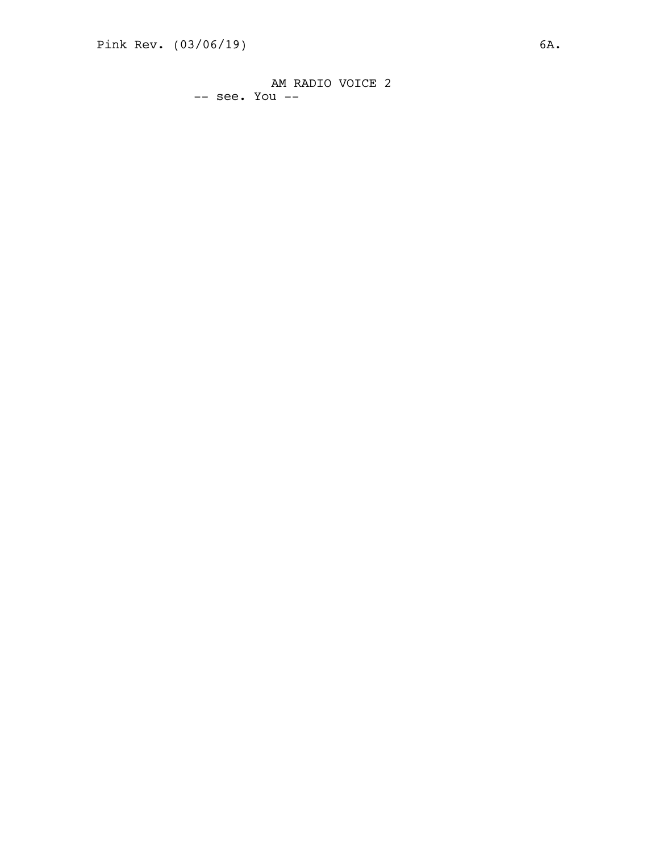AM RADIO VOICE 2 -- see. You --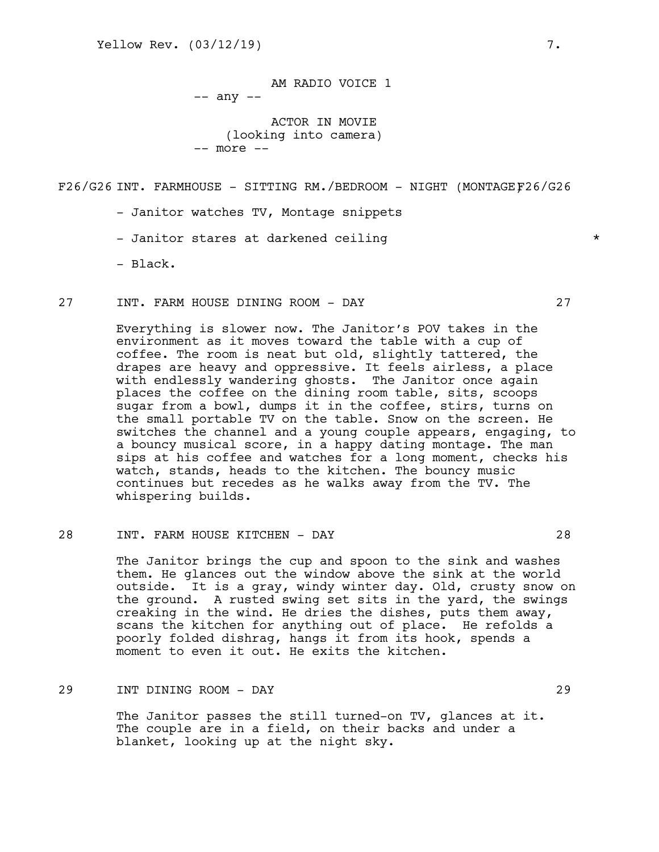AM RADIO VOICE 1 -- any --

ACTOR IN MOVIE (looking into camera) -- more --

F26/G26 INT. FARMHOUSE - SITTING RM./BEDROOM - NIGHT (MONTAGEF26/G26

- Janitor watches TV, Montage snippets

- Janitor stares at darkened ceiling the state of  $\star$ 

- Black.

27 INT. FARM HOUSE DINING ROOM - DAY 27

Everything is slower now. The Janitor's POV takes in the environment as it moves toward the table with a cup of coffee. The room is neat but old, slightly tattered, the drapes are heavy and oppressive. It feels airless, a place with endlessly wandering ghosts. The Janitor once again places the coffee on the dining room table, sits, scoops sugar from a bowl, dumps it in the coffee, stirs, turns on the small portable TV on the table. Snow on the screen. He switches the channel and a young couple appears, engaging, to a bouncy musical score, in a happy dating montage. The man sips at his coffee and watches for a long moment, checks his watch, stands, heads to the kitchen. The bouncy music continues but recedes as he walks away from the TV. The whispering builds.

## 28 INT. FARM HOUSE KITCHEN - DAY 28

The Janitor brings the cup and spoon to the sink and washes them. He glances out the window above the sink at the world outside. It is a gray, windy winter day. Old, crusty snow on the ground. A rusted swing set sits in the yard, the swings creaking in the wind. He dries the dishes, puts them away, scans the kitchen for anything out of place. He refolds a poorly folded dishrag, hangs it from its hook, spends a moment to even it out. He exits the kitchen.

# 29 INT DINING ROOM - DAY 29

The Janitor passes the still turned-on TV, glances at it. The couple are in a field, on their backs and under a blanket, looking up at the night sky.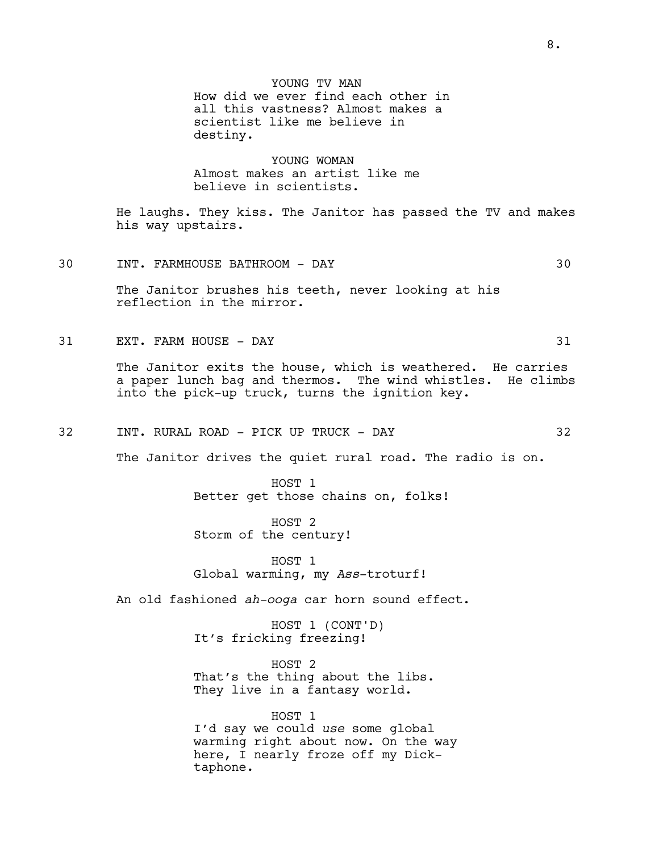YOUNG TV MAN How did we ever find each other in all this vastness? Almost makes a scientist like me believe in destiny.

YOUNG WOMAN Almost makes an artist like me believe in scientists.

He laughs. They kiss. The Janitor has passed the TV and makes his way upstairs.

30 INT. FARMHOUSE BATHROOM - DAY 30

The Janitor brushes his teeth, never looking at his reflection in the mirror.

31 EXT. FARM HOUSE - DAY 31

The Janitor exits the house, which is weathered. He carries a paper lunch bag and thermos. The wind whistles. He climbs into the pick-up truck, turns the ignition key.

32 INT. RURAL ROAD - PICK UP TRUCK - DAY 32

The Janitor drives the quiet rural road. The radio is on.

HOST 1 Better get those chains on, folks!

HOST 2 Storm of the century!

HOST 1 Global warming, my *Ass*-troturf!

An old fashioned *ah-ooga* car horn sound effect.

HOST 1 (CONT'D) It's fricking freezing!

HOST 2 That's the thing about the libs. They live in a fantasy world.

HOST 1 I'd say we could *use* some global warming right about now. On the way here, I nearly froze off my Dicktaphone.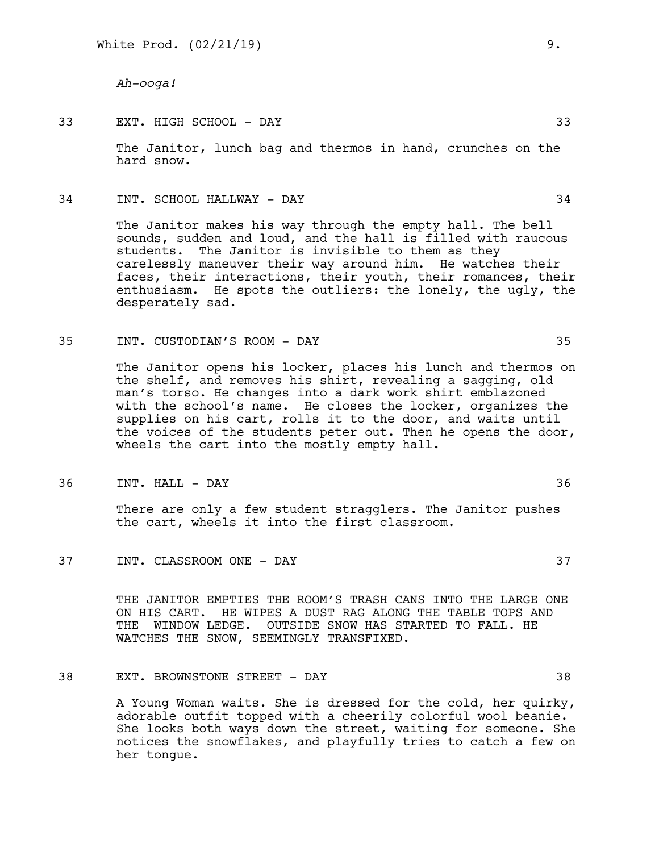*Ah-ooga!*

# 33 EXT. HIGH SCHOOL - DAY 33

The Janitor, lunch bag and thermos in hand, crunches on the hard snow.

34 INT. SCHOOL HALLWAY - DAY 34

The Janitor makes his way through the empty hall. The bell sounds, sudden and loud, and the hall is filled with raucous students. The Janitor is invisible to them as they carelessly maneuver their way around him. He watches their faces, their interactions, their youth, their romances, their enthusiasm. He spots the outliers: the lonely, the ugly, the desperately sad.

35 INT. CUSTODIAN'S ROOM - DAY 35

The Janitor opens his locker, places his lunch and thermos on the shelf, and removes his shirt, revealing a sagging, old man's torso. He changes into a dark work shirt emblazoned with the school's name. He closes the locker, organizes the supplies on his cart, rolls it to the door, and waits until the voices of the students peter out. Then he opens the door, wheels the cart into the mostly empty hall.

36 INT. HALL - DAY 36

There are only a few student stragglers. The Janitor pushes the cart, wheels it into the first classroom.

37 INT. CLASSROOM ONE - DAY 37

THE JANITOR EMPTIES THE ROOM'S TRASH CANS INTO THE LARGE ONE ON HIS CART. HE WIPES A DUST RAG ALONG THE TABLE TOPS AND THE WINDOW LEDGE. OUTSIDE SNOW HAS STARTED TO FALL. HE WATCHES THE SNOW, SEEMINGLY TRANSFIXED.

38 EXT. BROWNSTONE STREET - DAY 38

A Young Woman waits. She is dressed for the cold, her quirky, adorable outfit topped with a cheerily colorful wool beanie. She looks both ways down the street, waiting for someone. She notices the snowflakes, and playfully tries to catch a few on her tongue.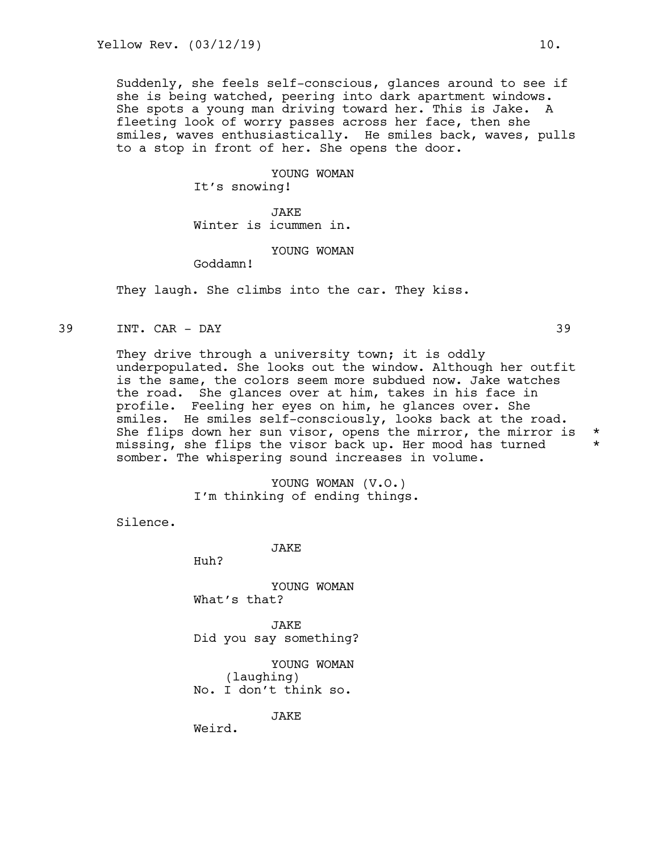Suddenly, she feels self-conscious, glances around to see if she is being watched, peering into dark apartment windows. She spots a young man driving toward her. This is Jake. A fleeting look of worry passes across her face, then she smiles, waves enthusiastically. He smiles back, waves, pulls to a stop in front of her. She opens the door.

> YOUNG WOMAN It's snowing!

JAKE Winter is icummen in.

YOUNG WOMAN

Goddamn!

They laugh. She climbs into the car. They kiss.

39 INT. CAR - DAY 39

They drive through a university town; it is oddly underpopulated. She looks out the window. Although her outfit is the same, the colors seem more subdued now. Jake watches the road. She glances over at him, takes in his face in profile. Feeling her eyes on him, he glances over. She smiles. He smiles self-consciously, looks back at the road. She flips down her sun visor, opens the mirror, the mirror is  $*$  missing, she flips the visor back up. Her mood has turned  $*$ missing, she flips the visor back up. Her mood has turned \* somber. The whispering sound increases in volume.

> YOUNG WOMAN (V.O.) I'm thinking of ending things.

Silence.

JAKE

Huh?

YOUNG WOMAN What's that?

JAKE Did you say something?

YOUNG WOMAN (laughing) No. I don't think so.

JAKE

Weird.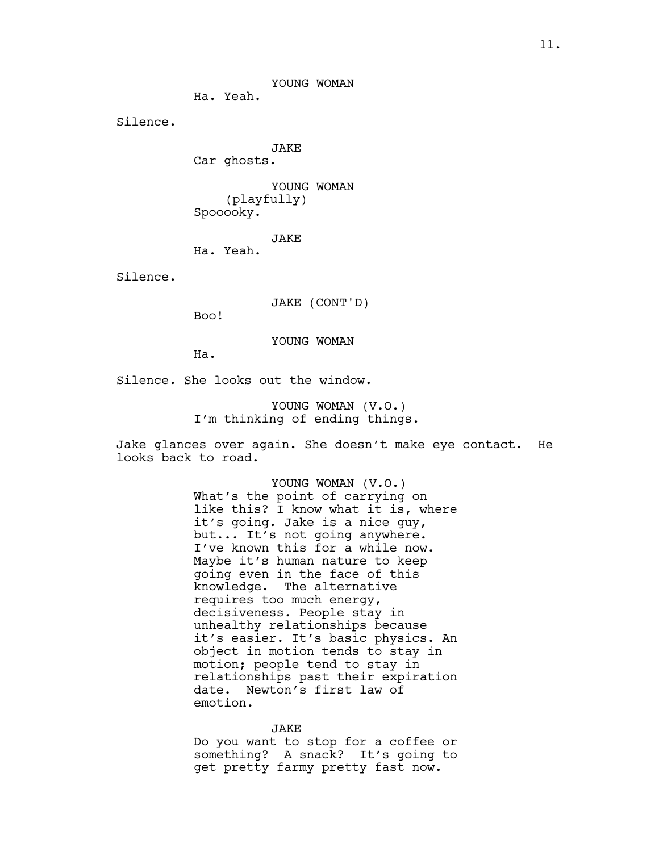YOUNG WOMAN

Ha. Yeah.

Silence.

JAKE Car ghosts.

YOUNG WOMAN (playfully) Spooooky.

JAKE

Ha. Yeah.

Silence.

JAKE (CONT'D)

Boo!

YOUNG WOMAN

Ha.

Silence. She looks out the window.

YOUNG WOMAN (V.O.) I'm thinking of ending things.

Jake glances over again. She doesn't make eye contact. He looks back to road.

> YOUNG WOMAN (V.O.) What's the point of carrying on like this? I know what it is, where it's going. Jake is a nice guy, but... It's not going anywhere. I've known this for a while now. Maybe it's human nature to keep going even in the face of this knowledge. The alternative requires too much energy, decisiveness. People stay in unhealthy relationships because it's easier. It's basic physics. An object in motion tends to stay in motion; people tend to stay in relationships past their expiration date. Newton's first law of emotion.

#### JAKE

Do you want to stop for a coffee or something? A snack? It's going to get pretty farmy pretty fast now.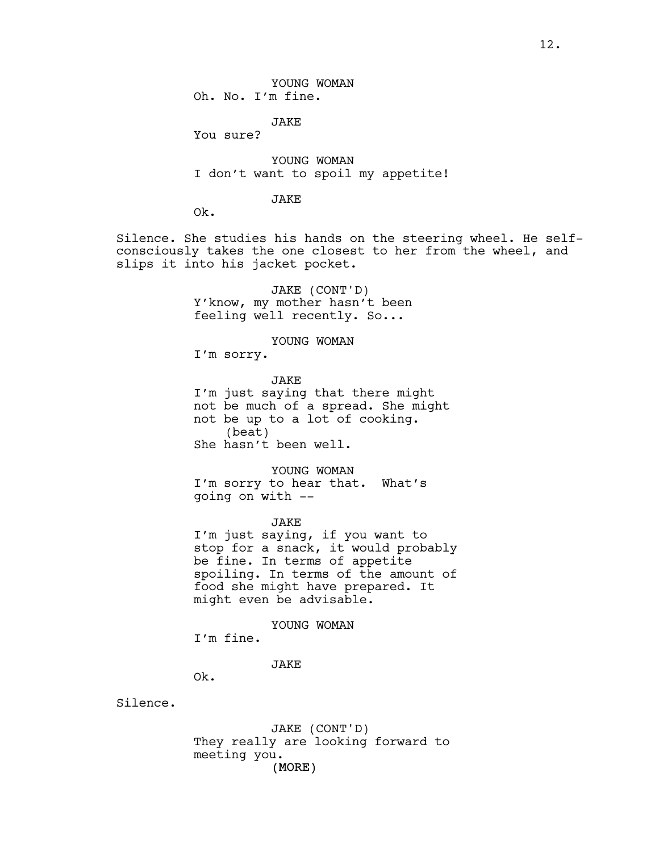YOUNG WOMAN Oh. No. I'm fine.

JAKE

You sure?

YOUNG WOMAN I don't want to spoil my appetite!

# JAKE

Ok.

Silence. She studies his hands on the steering wheel. He selfconsciously takes the one closest to her from the wheel, and slips it into his jacket pocket.

> JAKE (CONT'D) Y'know, my mother hasn't been feeling well recently. So...

> > YOUNG WOMAN

I'm sorry.

JAKE I'm just saying that there might not be much of a spread. She might not be up to a lot of cooking. (beat) She hasn't been well.

YOUNG WOMAN I'm sorry to hear that. What's going on with --

JAKE I'm just saying, if you want to stop for a snack, it would probably be fine. In terms of appetite spoiling. In terms of the amount of food she might have prepared. It might even be advisable.

YOUNG WOMAN

I'm fine.

JAKE

Ok.

Silence.

(MORE) JAKE (CONT'D) They really are looking forward to meeting you.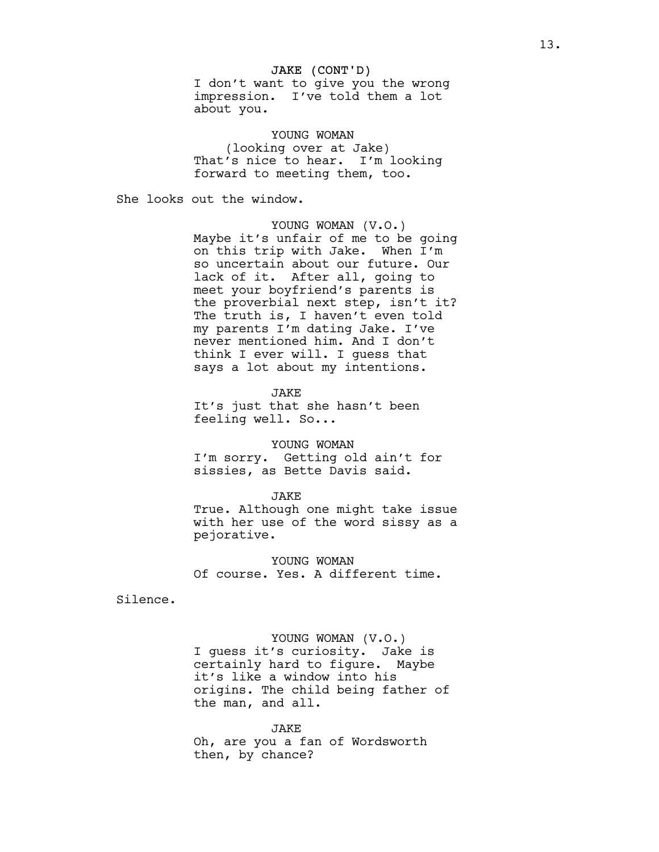## JAKE (CONT'D)

I don't want to give you the wrong impression. I've told them a lot about you.

YOUNG WOMAN (looking over at Jake) That's nice to hear. I'm looking forward to meeting them, too.

She looks out the window.

YOUNG WOMAN (V.O.) Maybe it's unfair of me to be going on this trip with Jake. When I'm so uncertain about our future. Our lack of it. After all, going to meet your boyfriend's parents is the proverbial next step, isn't it? The truth is, I haven't even told my parents I'm dating Jake. I've never mentioned him. And I don't think I ever will. I guess that says a lot about my intentions.

**JAKE** It's just that she hasn't been feeling well. So...

#### YOUNG WOMAN

I'm sorry. Getting old ain't for sissies, as Bette Davis said.

#### JAKE

True. Although one might take issue with her use of the word sissy as a pejorative.

YOUNG WOMAN Of course. Yes. A different time.

Silence.

### YOUNG WOMAN (V.O.)

I guess it's curiosity. Jake is certainly hard to figure. Maybe it's like a window into his origins. The child being father of the man, and all.

#### JAKE

Oh, are you a fan of Wordsworth then, by chance?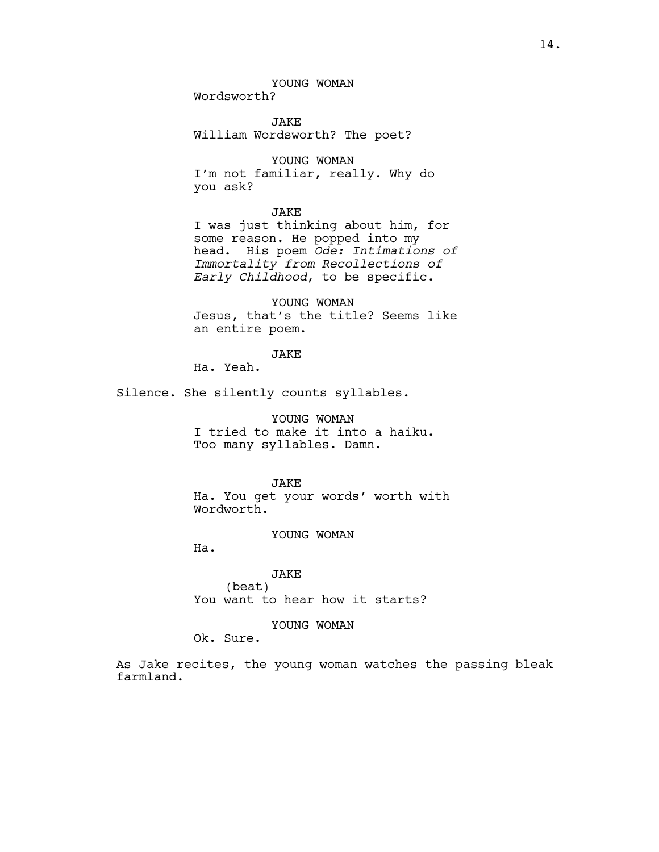YOUNG WOMAN

Wordsworth?

JAKE William Wordsworth? The poet?

YOUNG WOMAN I'm not familiar, really. Why do you ask?

# JAKE

I was just thinking about him, for some reason. He popped into my head. His poem *Ode: Intimations of Immortality from Recollections of Early Childhood*, to be specific.

YOUNG WOMAN Jesus, that's the title? Seems like an entire poem.

#### JAKE

Ha. Yeah.

Silence. She silently counts syllables.

YOUNG WOMAN I tried to make it into a haiku. Too many syllables. Damn.

JAKE Ha. You get your words' worth with Wordworth.

# YOUNG WOMAN

Ha.

JAKE (beat) You want to hear how it starts?

# YOUNG WOMAN

Ok. Sure.

As Jake recites, the young woman watches the passing bleak farmland.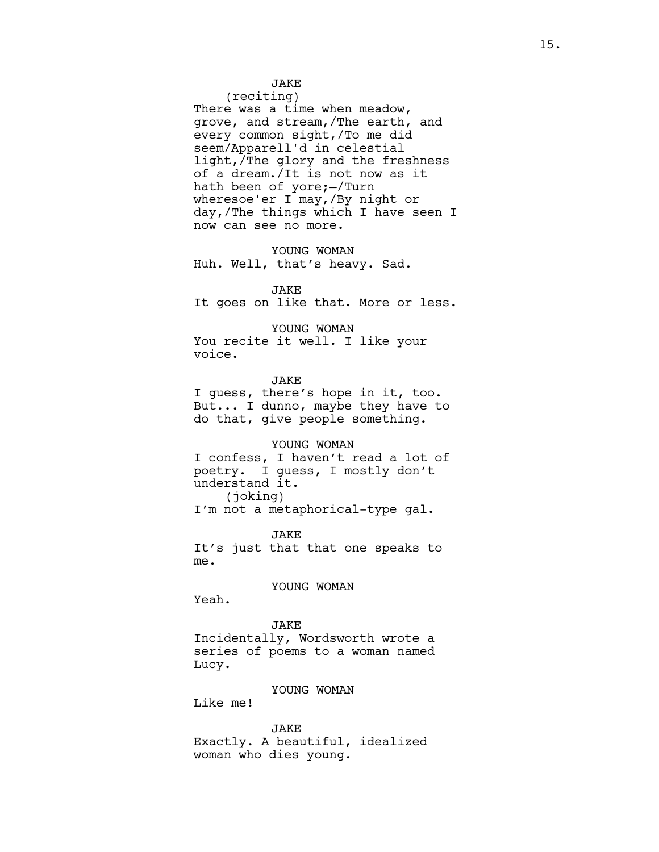JAKE (reciting)

There was a time when meadow, grove, and stream,/The earth, and every common sight,/To me did seem/Apparell'd in celestial light,/The glory and the freshness of a dream./It is not now as it hath been of yore;—/Turn wheresoe'er I may,/By night or day,/The things which I have seen I now can see no more.

YOUNG WOMAN Huh. Well, that's heavy. Sad.

JAKE It goes on like that. More or less.

YOUNG WOMAN You recite it well. I like your

voice.

JAKE I guess, there's hope in it, too. But... I dunno, maybe they have to do that, give people something.

YOUNG WOMAN I confess, I haven't read a lot of

poetry. I guess, I mostly don't understand it. (joking) I'm not a metaphorical-type gal.

JAKE It's just that that one speaks to me.

YOUNG WOMAN

Yeah.

**JAKE** Incidentally, Wordsworth wrote a series of poems to a woman named Lucy.

YOUNG WOMAN

Like me!

JAKE Exactly. A beautiful, idealized woman who dies young.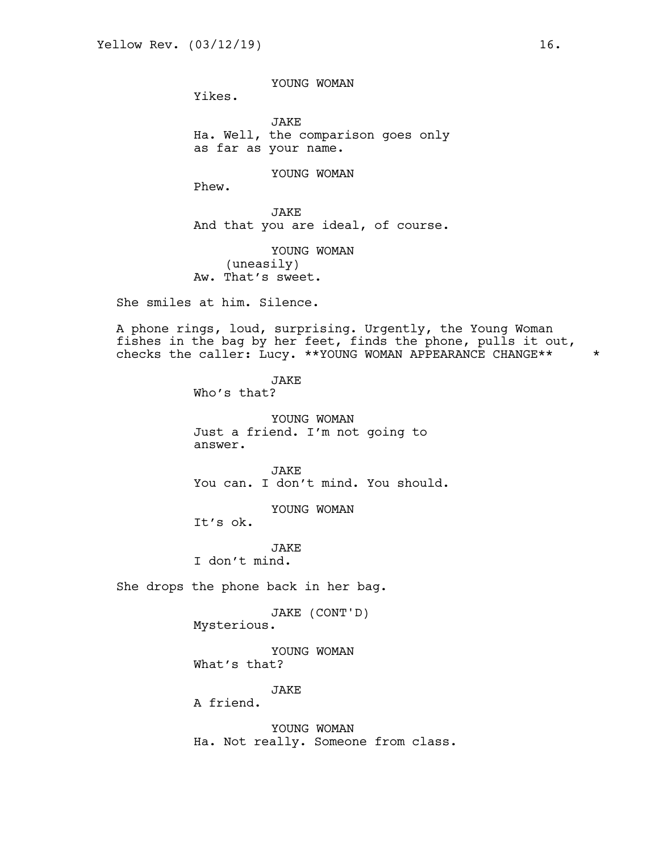YOUNG WOMAN

Yikes.

JAKE Ha. Well, the comparison goes only as far as your name.

YOUNG WOMAN

Phew.

JAKE And that you are ideal, of course.

YOUNG WOMAN (uneasily) Aw. That's sweet.

She smiles at him. Silence.

A phone rings, loud, surprising. Urgently, the Young Woman fishes in the bag by her feet, finds the phone, pulls it out, checks the caller: Lucy. \*\*YOUNG WOMAN APPEARANCE CHANGE\*\* \*

> JAKE Who's that?

YOUNG WOMAN Just a friend. I'm not going to answer.

JAKE You can. I don't mind. You should.

YOUNG WOMAN

It's ok.

JAKE I don't mind.

She drops the phone back in her bag.

JAKE (CONT'D)

Mysterious.

YOUNG WOMAN What's that?

JAKE

A friend.

YOUNG WOMAN Ha. Not really. Someone from class.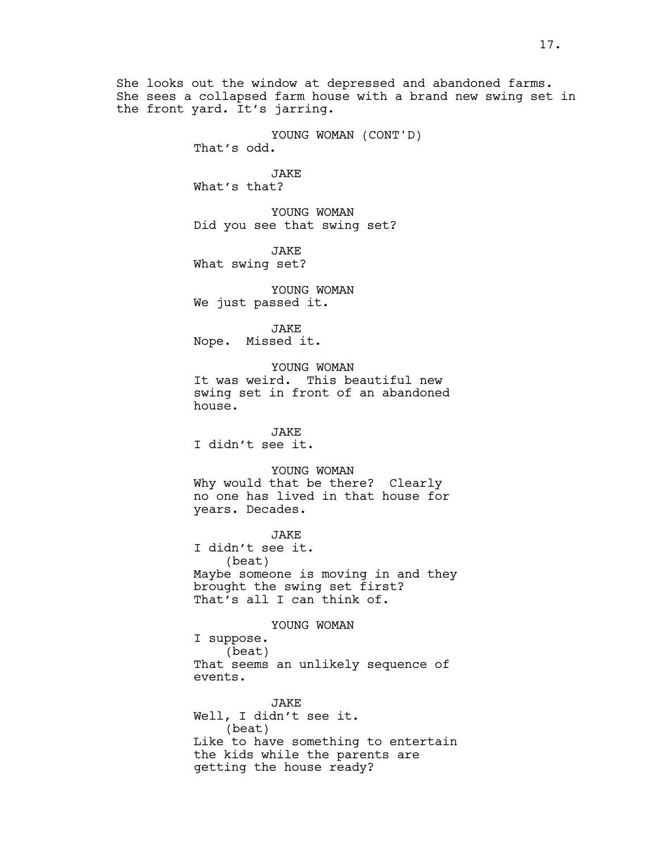She looks out the window at depressed and abandoned farms. She sees a collapsed farm house with a brand new swing set in the front yard. It's jarring.

> YOUNG WOMAN (CONT'D) That's odd.

JAKE What's that?

YOUNG WOMAN Did you see that swing set?

JAKE What swing set?

YOUNG WOMAN We just passed it.

JAKE Nope. Missed it.

YOUNG WOMAN It was weird. This beautiful new swing set in front of an abandoned house.

JAKE I didn't see it.

YOUNG WOMAN Why would that be there? Clearly no one has lived in that house for years. Decades.

**JAKE** I didn't see it. (beat) Maybe someone is moving in and they brought the swing set first? That's all I can think of.

YOUNG WOMAN I suppose. (beat) That seems an unlikely sequence of events.

JAKE Well, I didn't see it. (beat) Like to have something to entertain the kids while the parents are getting the house ready?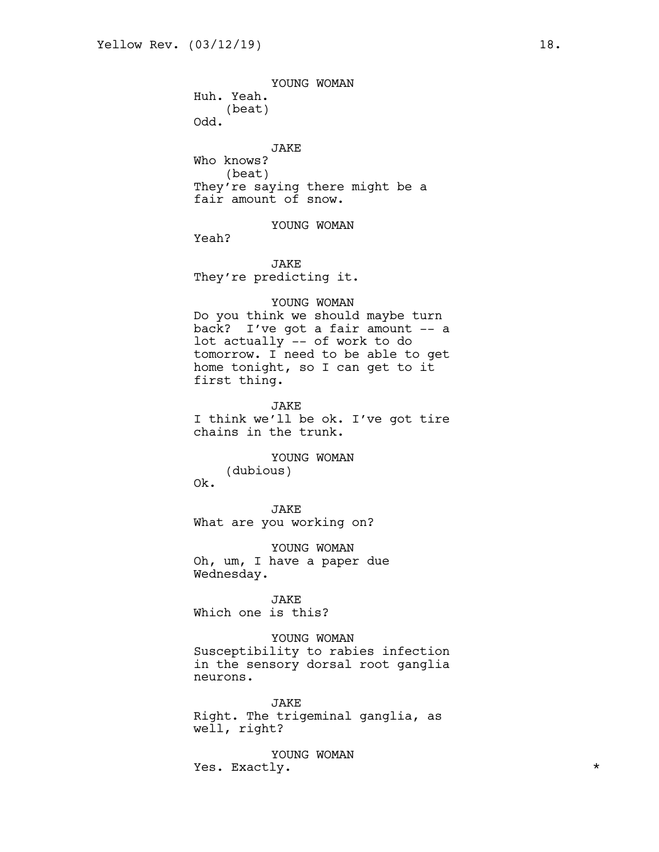YOUNG WOMAN Huh. Yeah. (beat) Odd. JAKE Who knows? (beat) They're saying there might be a fair amount of snow. YOUNG WOMAN Yeah? JAKE They're predicting it. YOUNG WOMAN Do you think we should maybe turn back? I've got a fair amount -- a lot actually -- of work to do tomorrow. I need to be able to get home tonight, so I can get to it first thing. JAKE I think we'll be ok. I've got tire chains in the trunk. YOUNG WOMAN (dubious) Ok. JAKE What are you working on? YOUNG WOMAN Oh, um, I have a paper due Wednesday. JAKE Which one is this? YOUNG WOMAN

Susceptibility to rabies infection in the sensory dorsal root ganglia neurons.

JAKE Right. The trigeminal ganglia, as well, right?

YOUNG WOMAN Yes. Exactly.  $\star$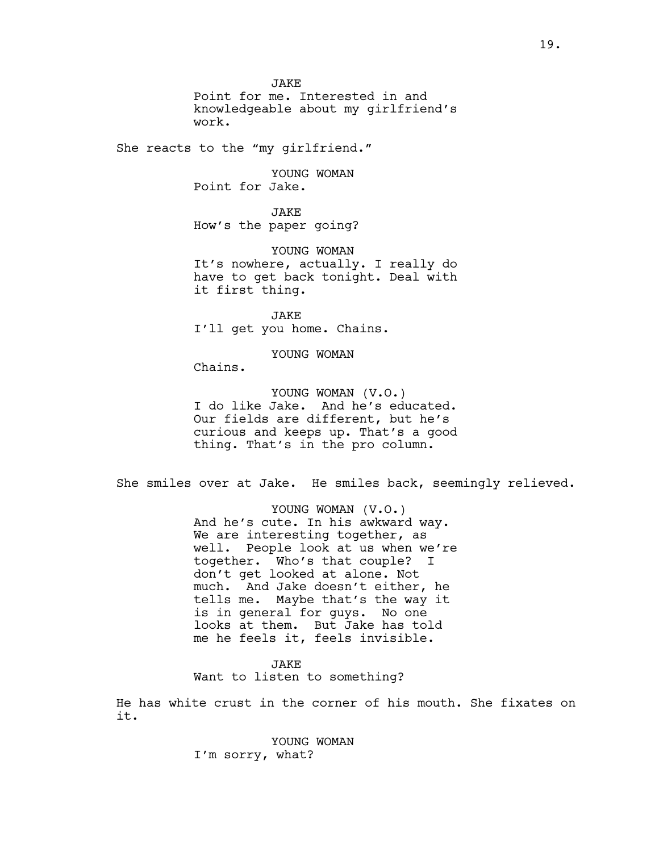**JAKE** Point for me. Interested in and knowledgeable about my girlfriend's work.

She reacts to the "my girlfriend."

YOUNG WOMAN Point for Jake.

JAKE How's the paper going?

YOUNG WOMAN It's nowhere, actually. I really do have to get back tonight. Deal with it first thing.

JAKE I'll get you home. Chains.

YOUNG WOMAN

Chains.

YOUNG WOMAN (V.O.) I do like Jake. And he's educated. Our fields are different, but he's curious and keeps up. That's a good thing. That's in the pro column.

She smiles over at Jake. He smiles back, seemingly relieved.

YOUNG WOMAN (V.O.) And he's cute. In his awkward way. We are interesting together, as well. People look at us when we're together. Who's that couple? I don't get looked at alone. Not much. And Jake doesn't either, he tells me. Maybe that's the way it is in general for guys. No one looks at them. But Jake has told me he feels it, feels invisible.

JAKE Want to listen to something?

He has white crust in the corner of his mouth. She fixates on it.

> YOUNG WOMAN I'm sorry, what?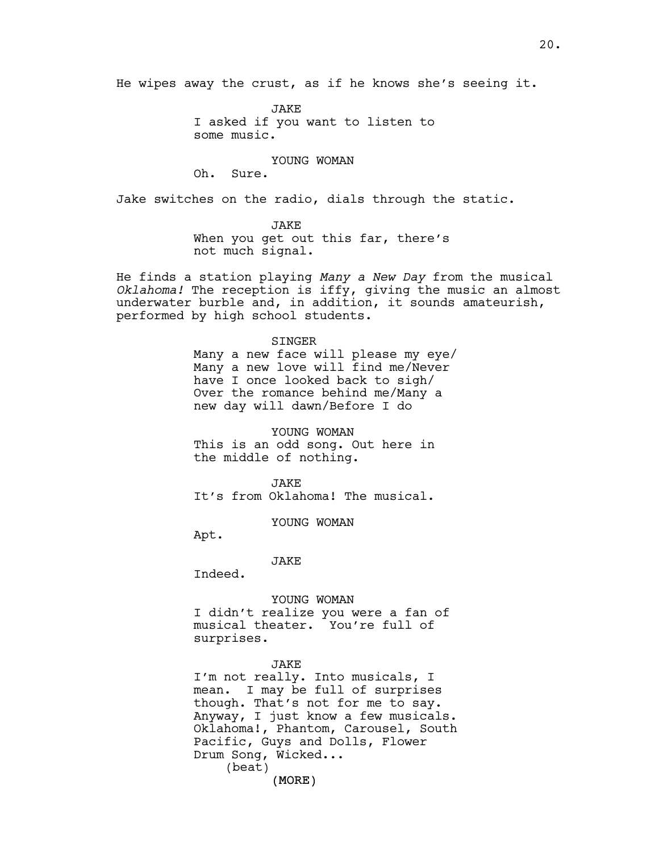He wipes away the crust, as if he knows she's seeing it.

JAKE I asked if you want to listen to some music.

YOUNG WOMAN

Oh. Sure.

Jake switches on the radio, dials through the static.

JAKE When you get out this far, there's not much signal.

He finds a station playing *Many a New Day* from the musical *Oklahoma!* The reception is iffy, giving the music an almost underwater burble and, in addition, it sounds amateurish, performed by high school students.

> SINGER Many a new face will please my eye/ Many a new love will find me/Never have I once looked back to sigh/ Over the romance behind me/Many a new day will dawn/Before I do

YOUNG WOMAN This is an odd song. Out here in the middle of nothing.

**JAKE** It's from Oklahoma! The musical.

YOUNG WOMAN

Apt.

JAKE

Indeed.

YOUNG WOMAN

I didn't realize you were a fan of musical theater. You're full of surprises.

#### JAKE

(MORE) I'm not really. Into musicals, I mean. I may be full of surprises though. That's not for me to say. Anyway, I just know a few musicals. Oklahoma!, Phantom, Carousel, South Pacific, Guys and Dolls, Flower Drum Song, Wicked... (beat)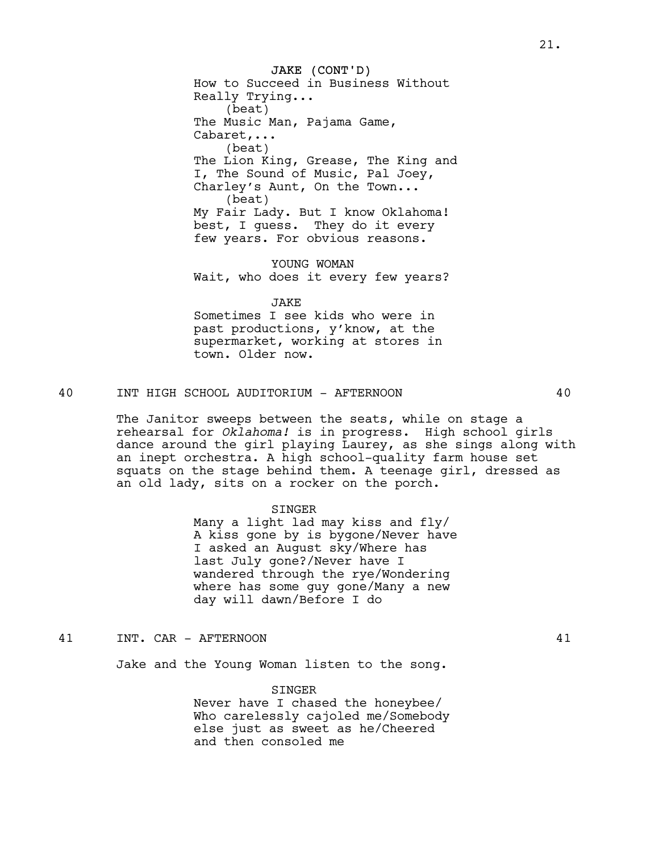JAKE (CONT'D) How to Succeed in Business Without Really Trying... (beat) The Music Man, Pajama Game, Cabaret,... (beat) The Lion King, Grease, The King and I, The Sound of Music, Pal Joey, Charley's Aunt, On the Town... (beat) My Fair Lady. But I know Oklahoma! best, I guess. They do it every few years. For obvious reasons.

YOUNG WOMAN Wait, who does it every few years?

JAKE Sometimes I see kids who were in past productions, y'know, at the supermarket, working at stores in town. Older now.

40 INT HIGH SCHOOL AUDITORIUM - AFTERNOON 40

The Janitor sweeps between the seats, while on stage a rehearsal for *Oklahoma!* is in progress. High school girls dance around the girl playing Laurey, as she sings along with an inept orchestra. A high school-quality farm house set squats on the stage behind them. A teenage girl, dressed as an old lady, sits on a rocker on the porch.

## SINGER

Many a light lad may kiss and fly/ A kiss gone by is bygone/Never have I asked an August sky/Where has last July gone?/Never have I wandered through the rye/Wondering where has some guy gone/Many a new day will dawn/Before I do

41 INT. CAR - AFTERNOON 41

Jake and the Young Woman listen to the song.

#### SINGER

Never have I chased the honeybee/ Who carelessly cajoled me/Somebody else just as sweet as he/Cheered and then consoled me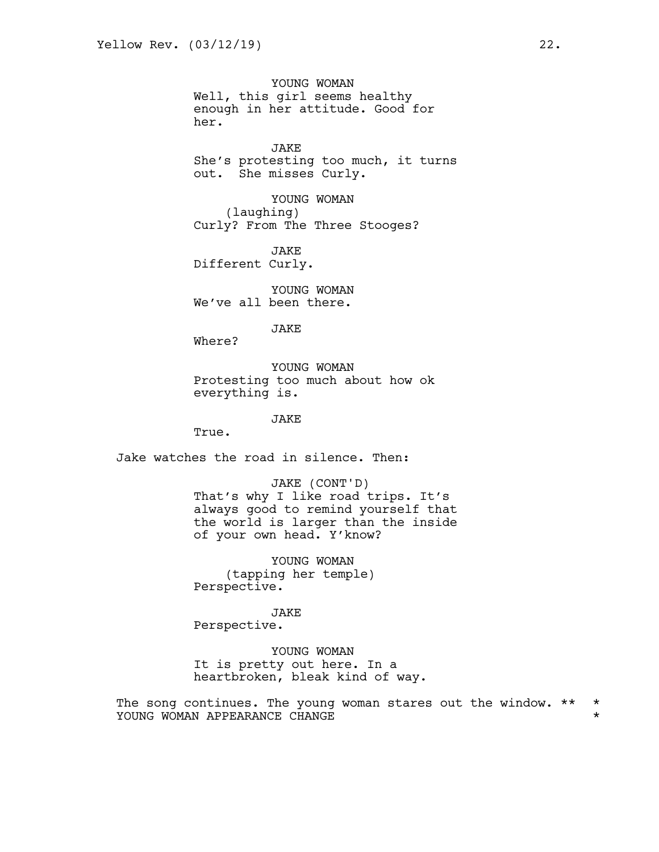YOUNG WOMAN Well, this girl seems healthy enough in her attitude. Good for her.

JAKE She's protesting too much, it turns out. She misses Curly.

YOUNG WOMAN (laughing) Curly? From The Three Stooges?

JAKE Different Curly.

YOUNG WOMAN We've all been there.

JAKE

Where?

YOUNG WOMAN Protesting too much about how ok everything is.

JAKE

True.

Jake watches the road in silence. Then:

JAKE (CONT'D) That's why I like road trips. It's always good to remind yourself that the world is larger than the inside of your own head. Y'know?

YOUNG WOMAN (tapping her temple) Perspective.

JAKE Perspective.

YOUNG WOMAN It is pretty out here. In a heartbroken, bleak kind of way.

The song continues. The young woman stares out the window. \*\* \* YOUNG WOMAN APPEARANCE CHANGE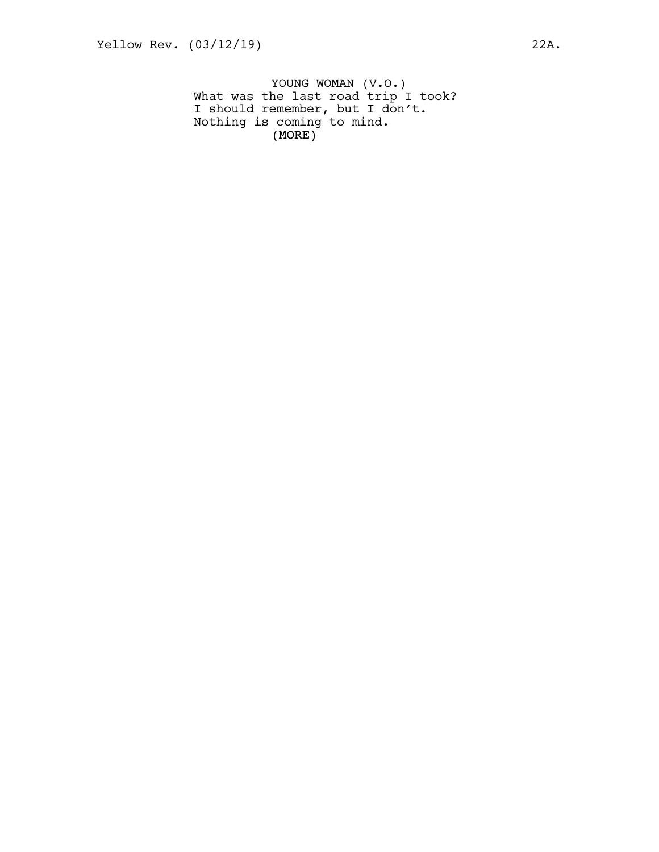(MORE) YOUNG WOMAN (V.O.) What was the last road trip I took? I should remember, but I don't. Nothing is coming to mind.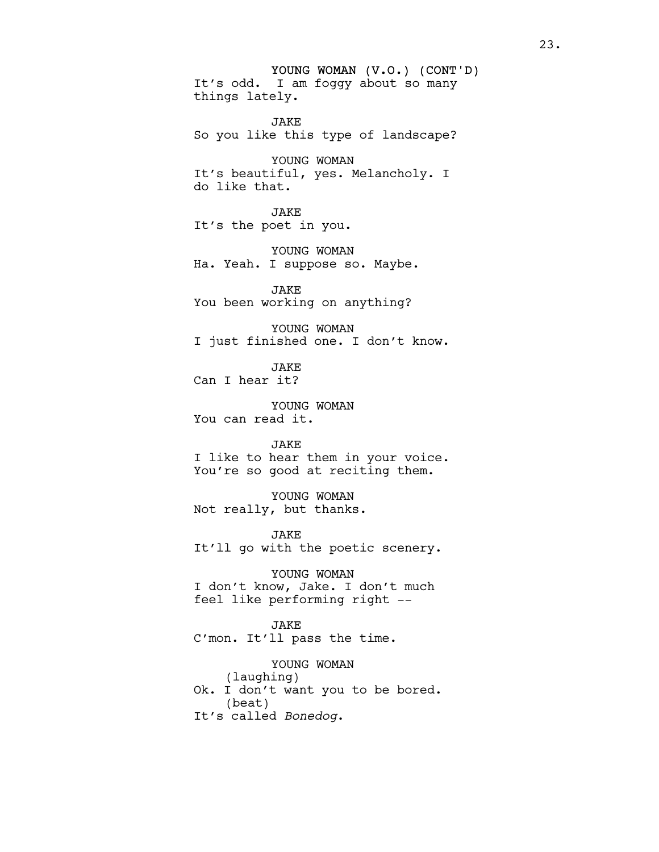YOUNG WOMAN (V.O.) (CONT'D) It's odd. I am foggy about so many things lately.

JAKE So you like this type of landscape?

YOUNG WOMAN It's beautiful, yes. Melancholy. I do like that.

JAKE It's the poet in you.

YOUNG WOMAN Ha. Yeah. I suppose so. Maybe.

JAKE You been working on anything?

YOUNG WOMAN I just finished one. I don't know.

**JAKE** Can I hear it?

YOUNG WOMAN You can read it.

JAKE I like to hear them in your voice. You're so good at reciting them.

YOUNG WOMAN Not really, but thanks.

JAKE It'll go with the poetic scenery.

YOUNG WOMAN I don't know, Jake. I don't much feel like performing right --

JAKE C'mon. It'll pass the time.

YOUNG WOMAN (laughing) Ok. I don't want you to be bored. (beat) It's called *Bonedog*.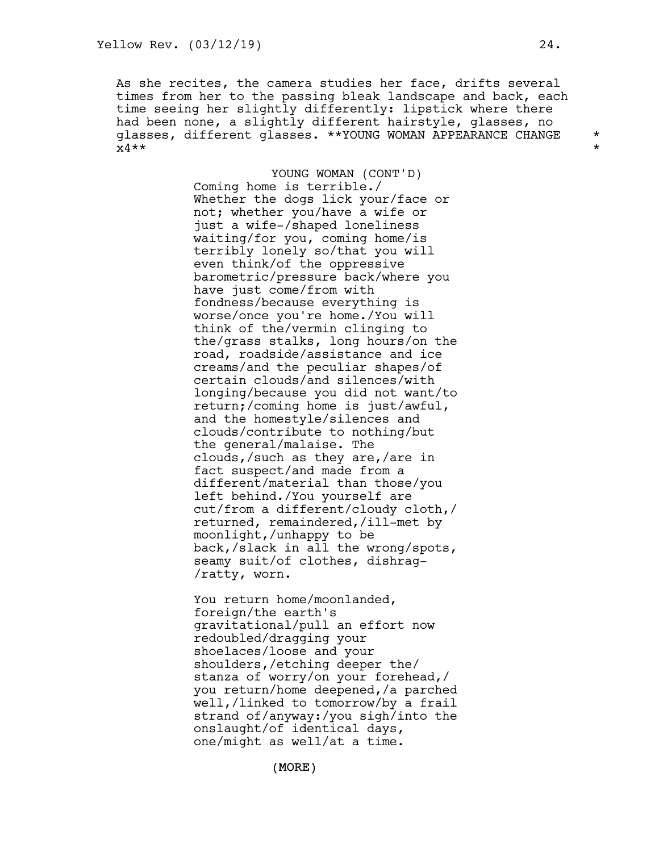As she recites, the camera studies her face, drifts several times from her to the passing bleak landscape and back, each time seeing her slightly differently: lipstick where there had been none, a slightly different hairstyle, glasses, no glasses, different glasses. \*\*YOUNG WOMAN APPEARANCE CHANGE \*  $x4***$  \*\*

> YOUNG WOMAN (CONT'D) Coming home is terrible./ Whether the dogs lick your/face or not; whether you/have a wife or just a wife-/shaped loneliness waiting/for you, coming home/is terribly lonely so/that you will even think/of the oppressive barometric/pressure back/where you have just come/from with fondness/because everything is worse/once you're home./You will think of the/vermin clinging to the/grass stalks, long hours/on the road, roadside/assistance and ice creams/and the peculiar shapes/of certain clouds/and silences/with longing/because you did not want/to return;/coming home is just/awful, and the homestyle/silences and clouds/contribute to nothing/but the general/malaise. The clouds,/such as they are,/are in fact suspect/and made from a different/material than those/you left behind./You yourself are cut/from a different/cloudy cloth,/ returned, remaindered,/ill-met by moonlight,/unhappy to be back,/slack in all the wrong/spots, seamy suit/of clothes, dishrag- /ratty, worn.

> You return home/moonlanded, foreign/the earth's gravitational/pull an effort now redoubled/dragging your shoelaces/loose and your shoulders,/etching deeper the/ stanza of worry/on your forehead,/ you return/home deepened,/a parched well,/linked to tomorrow/by a frail strand of/anyway:/you sigh/into the onslaught/of identical days, one/might as well/at a time.

> > (MORE)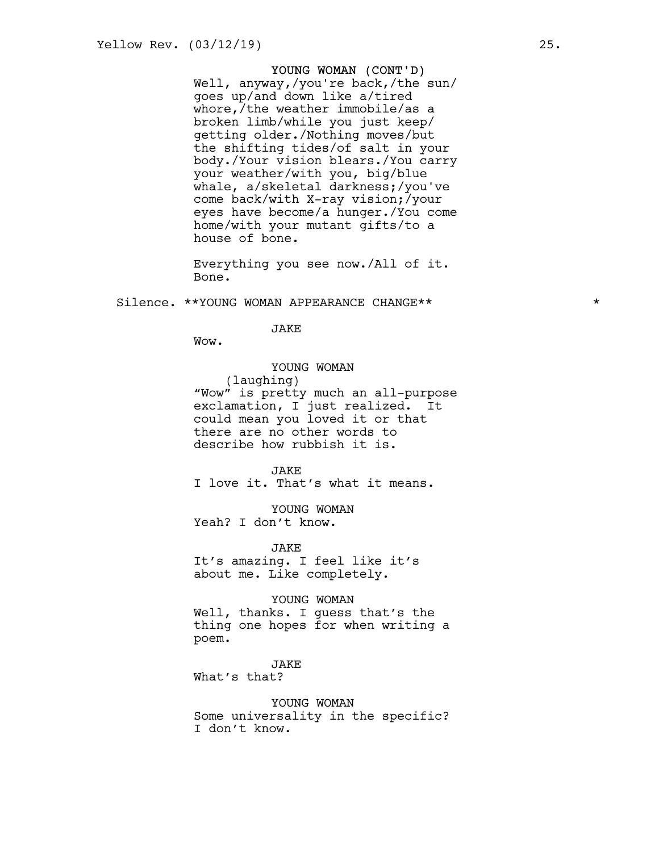## YOUNG WOMAN (CONT'D)

Well, anyway,/you're back,/the sun/ goes up/and down like a/tired whore,/the weather immobile/as a broken limb/while you just keep/ getting older./Nothing moves/but the shifting tides/of salt in your body./Your vision blears./You carry your weather/with you, big/blue whale, a/skeletal darkness;/you've come back/with X-ray vision;/your eyes have become/a hunger./You come home/with your mutant gifts/to a house of bone.

Everything you see now./All of it. Bone.

Silence. \*\*YOUNG WOMAN APPEARANCE CHANGE\*\* \*

JAKE

Wow.

YOUNG WOMAN

(laughing)

"Wow" is pretty much an all-purpose exclamation, I just realized. It could mean you loved it or that there are no other words to describe how rubbish it is.

JAKE

I love it. That's what it means.

YOUNG WOMAN Yeah? I don't know.

JAKE

It's amazing. I feel like it's about me. Like completely.

YOUNG WOMAN

Well, thanks. I guess that's the thing one hopes for when writing a poem.

JAKE

What's that?

YOUNG WOMAN Some universality in the specific? I don't know.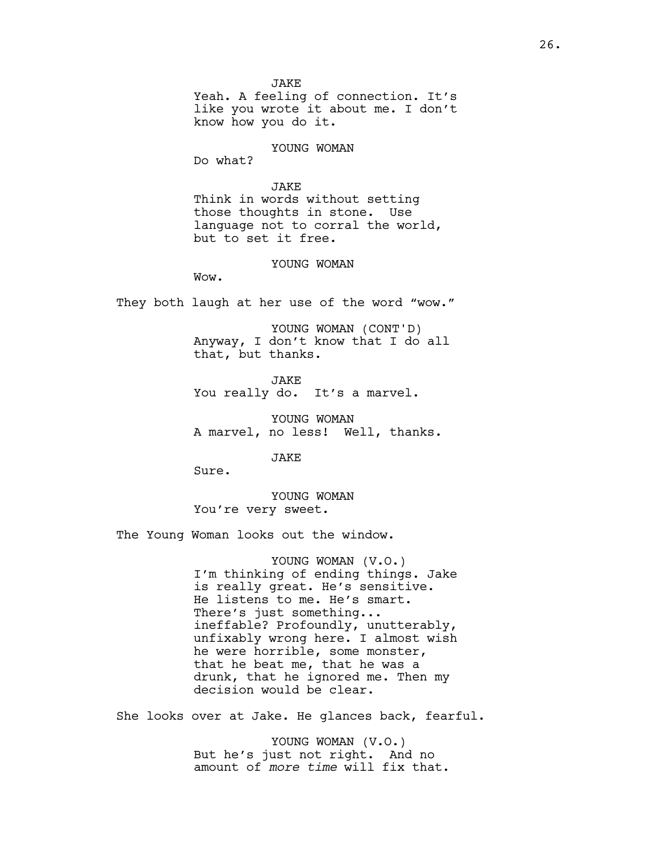**JAKE** Yeah. A feeling of connection. It's like you wrote it about me. I don't know how you do it.

#### YOUNG WOMAN

Do what?

### JAKE

Think in words without setting those thoughts in stone. Use language not to corral the world, but to set it free.

#### YOUNG WOMAN

Wow.

They both laugh at her use of the word "wow."

YOUNG WOMAN (CONT'D) Anyway, I don't know that I do all that, but thanks.

JAKE You really do. It's a marvel.

YOUNG WOMAN A marvel, no less! Well, thanks.

JAKE

Sure.

YOUNG WOMAN You're very sweet.

The Young Woman looks out the window.

YOUNG WOMAN (V.O.) I'm thinking of ending things. Jake is really great. He's sensitive. He listens to me. He's smart. There's just something... ineffable? Profoundly, unutterably, unfixably wrong here. I almost wish he were horrible, some monster, that he beat me, that he was a drunk, that he ignored me. Then my decision would be clear.

She looks over at Jake. He glances back, fearful.

YOUNG WOMAN (V.O.) But he's just not right. And no amount of *more time* will fix that.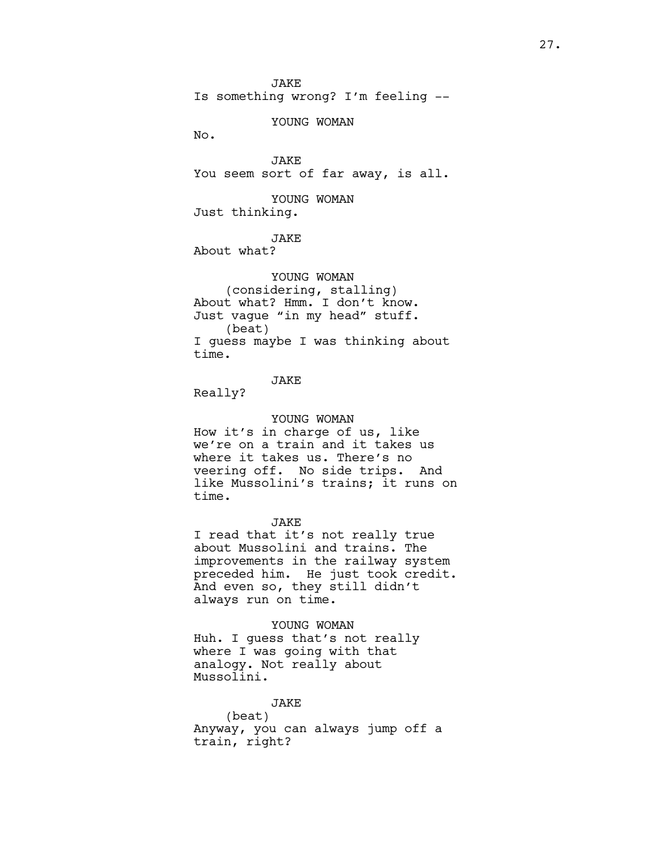**JAKE** Is something wrong? I'm feeling --

YOUNG WOMAN

No.

JAKE You seem sort of far away, is all.

YOUNG WOMAN Just thinking.

JAKE

About what?

YOUNG WOMAN (considering, stalling) About what? Hmm. I don't know. Just vague "in my head" stuff. (beat) I guess maybe I was thinking about time.

# JAKE

Really?

#### YOUNG WOMAN

How it's in charge of us, like we're on a train and it takes us where it takes us. There's no veering off. No side trips. And like Mussolini's trains; it runs on time.

#### JAKE

I read that it's not really true about Mussolini and trains. The improvements in the railway system preceded him. He just took credit. And even so, they still didn't always run on time.

YOUNG WOMAN Huh. I guess that's not really where I was going with that analogy. Not really about Mussolini.

JAKE (beat) Anyway, you can always jump off a train, right?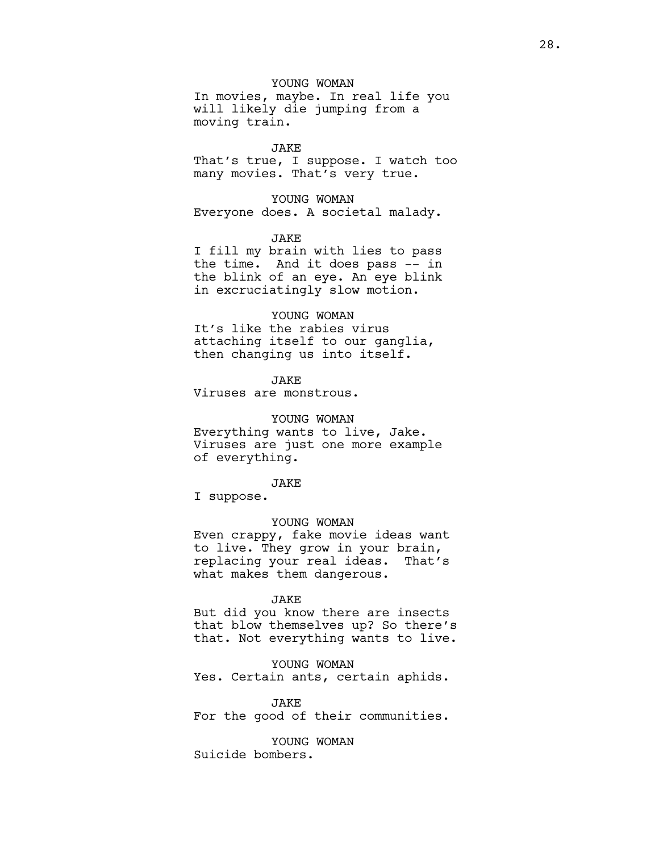YOUNG WOMAN

In movies, maybe. In real life you will likely die jumping from a moving train.

JAKE

That's true, I suppose. I watch too many movies. That's very true.

YOUNG WOMAN Everyone does. A societal malady.

JAKE

I fill my brain with lies to pass the time. And it does pass -- in the blink of an eye. An eye blink in excruciatingly slow motion.

#### YOUNG WOMAN

It's like the rabies virus attaching itself to our ganglia, then changing us into itself.

JAKE

Viruses are monstrous.

YOUNG WOMAN

Everything wants to live, Jake. Viruses are just one more example of everything.

JAKE

I suppose.

YOUNG WOMAN

Even crappy, fake movie ideas want to live. They grow in your brain, replacing your real ideas. That's what makes them dangerous.

#### JAKE

But did you know there are insects that blow themselves up? So there's that. Not everything wants to live.

YOUNG WOMAN Yes. Certain ants, certain aphids.

#### JAKE

For the good of their communities.

YOUNG WOMAN Suicide bombers.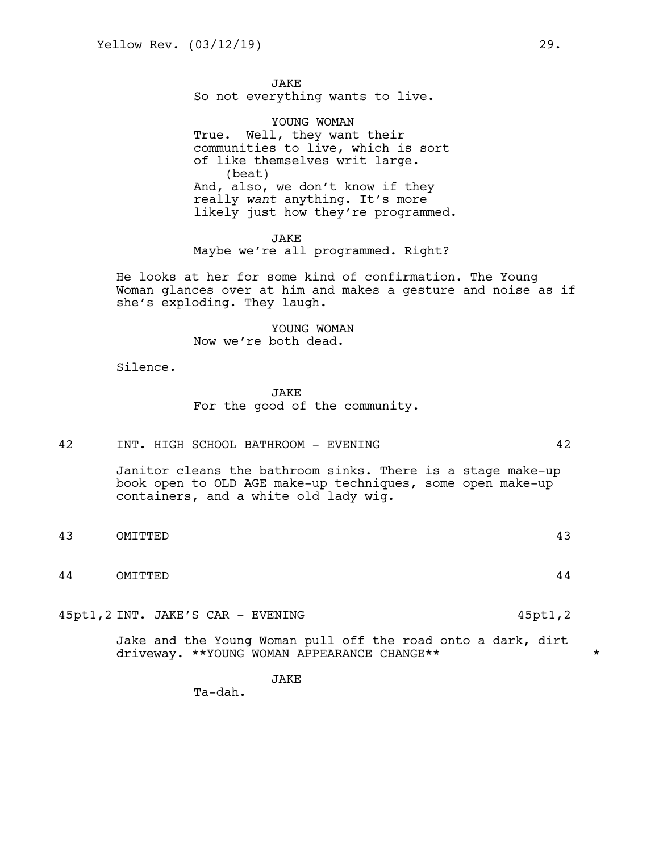**JAKE** So not everything wants to live.

YOUNG WOMAN True. Well, they want their communities to live, which is sort of like themselves writ large. (beat) And, also, we don't know if they really *want* anything. It's more likely just how they're programmed.

JAKE Maybe we're all programmed. Right?

He looks at her for some kind of confirmation. The Young Woman glances over at him and makes a gesture and noise as if she's exploding. They laugh.

> YOUNG WOMAN Now we're both dead.

Silence.

**JAKE** For the good of the community.

42 INT. HIGH SCHOOL BATHROOM - EVENING 42

Janitor cleans the bathroom sinks. There is a stage make-up book open to OLD AGE make-up techniques, some open make-up containers, and a white old lady wig.

- 43 OMITTED 43
- 44 OMITTED 44

45pt1,2 INT. JAKE'S CAR - EVENING 45pt1,2

Jake and the Young Woman pull off the road onto a dark, dirt driveway. \*\*YOUNG WOMAN APPEARANCE CHANGE\*\* \*

JAKE

Ta-dah.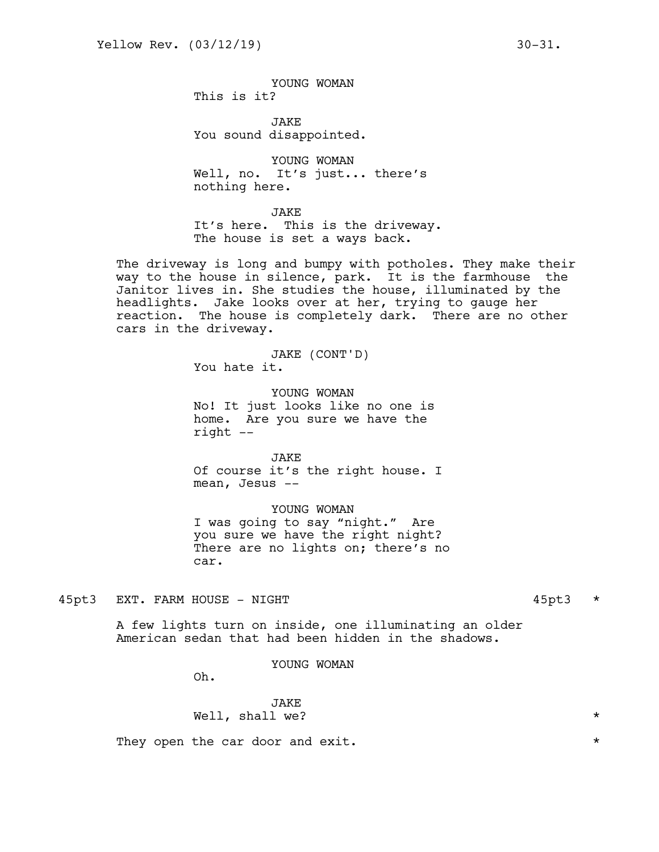YOUNG WOMAN This is it?

JAKE You sound disappointed.

YOUNG WOMAN Well, no. It's just... there's nothing here.

JAKE

It's here. This is the driveway. The house is set a ways back.

The driveway is long and bumpy with potholes. They make their way to the house in silence, park. It is the farmhouse the Janitor lives in. She studies the house, illuminated by the headlights. Jake looks over at her, trying to gauge her reaction. The house is completely dark. There are no other cars in the driveway.

> JAKE (CONT'D) You hate it.

YOUNG WOMAN No! It just looks like no one is home. Are you sure we have the right --

JAKE Of course it's the right house. I mean, Jesus --

YOUNG WOMAN I was going to say "night." Are you sure we have the right night? There are no lights on; there's no car.

45pt3 EXT. FARM HOUSE - NIGHT 45pt3 \*

A few lights turn on inside, one illuminating an older American sedan that had been hidden in the shadows.

YOUNG WOMAN

Oh.

# JAKE Well, shall we?  $\star$

They open the car door and exit.  $\star$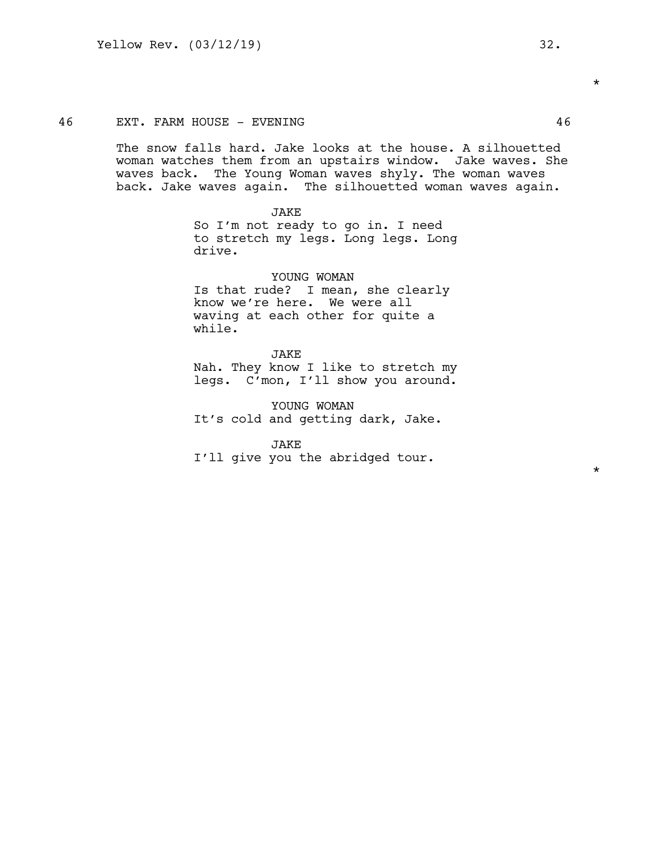### 46 EXT. FARM HOUSE - EVENING 46

The snow falls hard. Jake looks at the house. A silhouetted woman watches them from an upstairs window. Jake waves. She waves back. The Young Woman waves shyly. The woman waves back. Jake waves again. The silhouetted woman waves again.

#### JAKE

So I'm not ready to go in. I need to stretch my legs. Long legs. Long drive.

YOUNG WOMAN Is that rude? I mean, she clearly know we're here. We were all waving at each other for quite a while.

## JAKE

Nah. They know I like to stretch my legs. C'mon, I'll show you around.

YOUNG WOMAN It's cold and getting dark, Jake.

JAKE

I'll give you the abridged tour.

\*

\*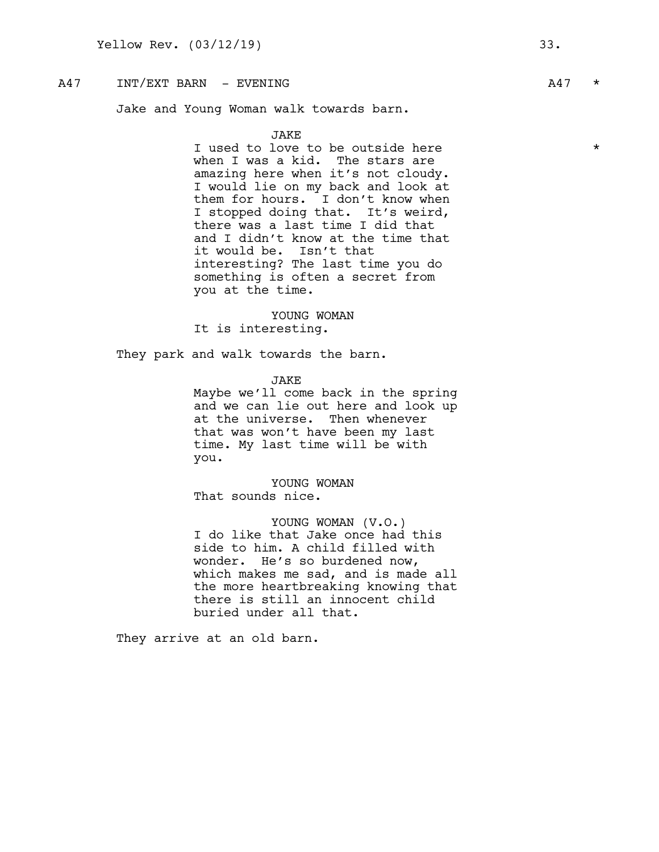# $A47$  INT/EXT BARN – EVENING  $A47$  \*

Jake and Young Woman walk towards barn.

## JAKE

I used to love to be outside here  $*$ when I was a kid. The stars are amazing here when it's not cloudy. I would lie on my back and look at them for hours. I don't know when I stopped doing that. It's weird, there was a last time I did that and I didn't know at the time that it would be. Isn't that interesting? The last time you do something is often a secret from you at the time.

YOUNG WOMAN It is interesting.

They park and walk towards the barn.

JAKE

Maybe we'll come back in the spring and we can lie out here and look up at the universe. Then whenever that was won't have been my last time. My last time will be with you.

YOUNG WOMAN That sounds nice.

YOUNG WOMAN (V.O.) I do like that Jake once had this side to him. A child filled with wonder. He's so burdened now, which makes me sad, and is made all the more heartbreaking knowing that there is still an innocent child buried under all that.

They arrive at an old barn.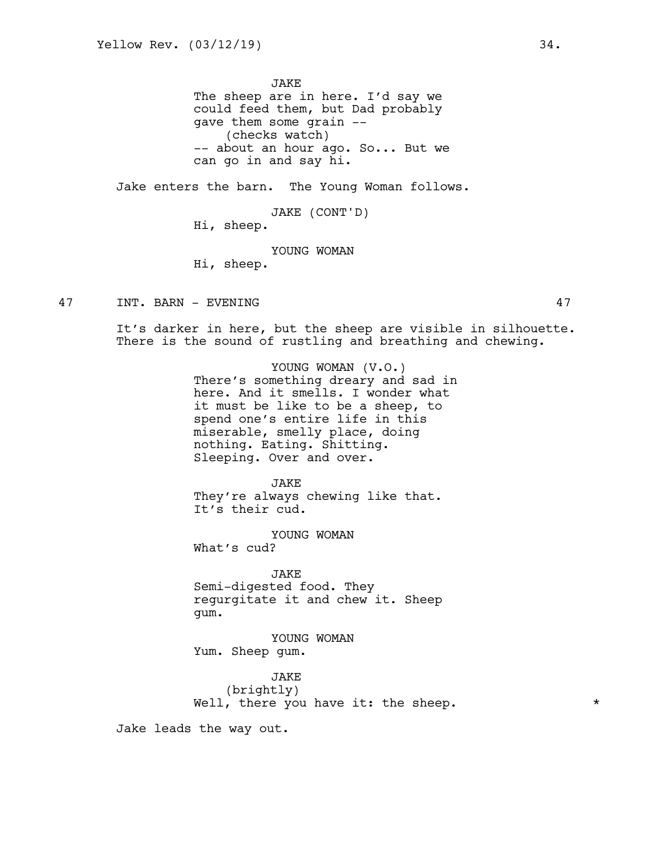**JAKE** The sheep are in here. I'd say we could feed them, but Dad probably gave them some grain -- (checks watch) -- about an hour ago. So... But we can go in and say hi.

Jake enters the barn. The Young Woman follows.

JAKE (CONT'D)

Hi, sheep.

YOUNG WOMAN

Hi, sheep.

47 INT. BARN - EVENING 47

It's darker in here, but the sheep are visible in silhouette. There is the sound of rustling and breathing and chewing.

> YOUNG WOMAN (V.O.) There's something dreary and sad in here. And it smells. I wonder what it must be like to be a sheep, to spend one's entire life in this miserable, smelly place, doing nothing. Eating. Shitting. Sleeping. Over and over.

JAKE They're always chewing like that. It's their cud.

YOUNG WOMAN What's cud?

JAKE Semi-digested food. They regurgitate it and chew it. Sheep gum.

YOUNG WOMAN Yum. Sheep gum.

JAKE (brightly) Well, there you have it: the sheep.  $*$ 

Jake leads the way out.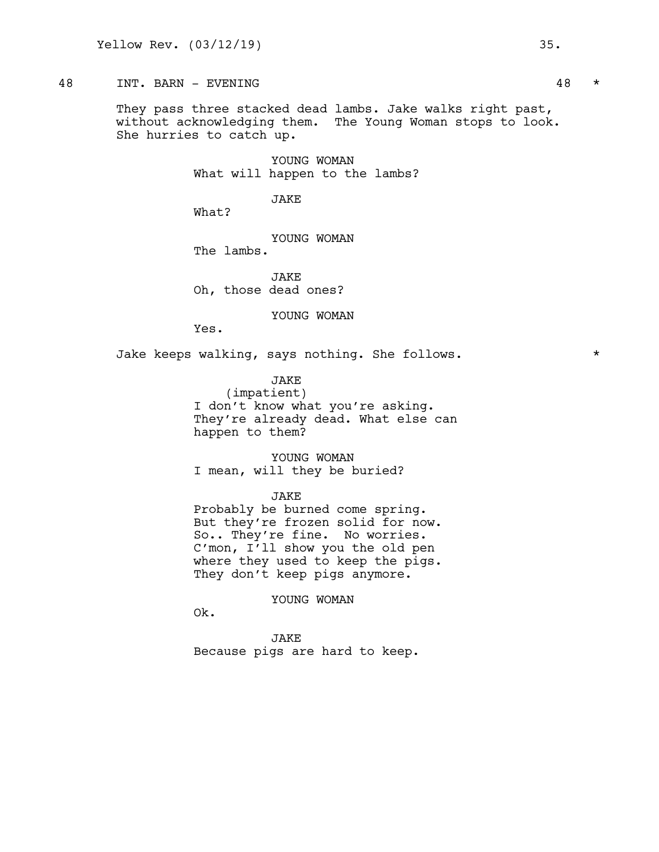# 48 INT. BARN - EVENING 48 \*

They pass three stacked dead lambs. Jake walks right past, without acknowledging them. The Young Woman stops to look. She hurries to catch up.

> YOUNG WOMAN What will happen to the lambs?

> > JAKE

What?

YOUNG WOMAN

The lambs.

**JAKE** Oh, those dead ones?

YOUNG WOMAN

Yes.

Jake keeps walking, says nothing. She follows.  $*$ 

JAKE

(impatient) I don't know what you're asking. They're already dead. What else can happen to them?

YOUNG WOMAN I mean, will they be buried?

#### JAKE

Probably be burned come spring. But they're frozen solid for now. So.. They're fine. No worries. C'mon, I'll show you the old pen where they used to keep the pigs. They don't keep pigs anymore.

YOUNG WOMAN

Ok.

JAKE Because pigs are hard to keep.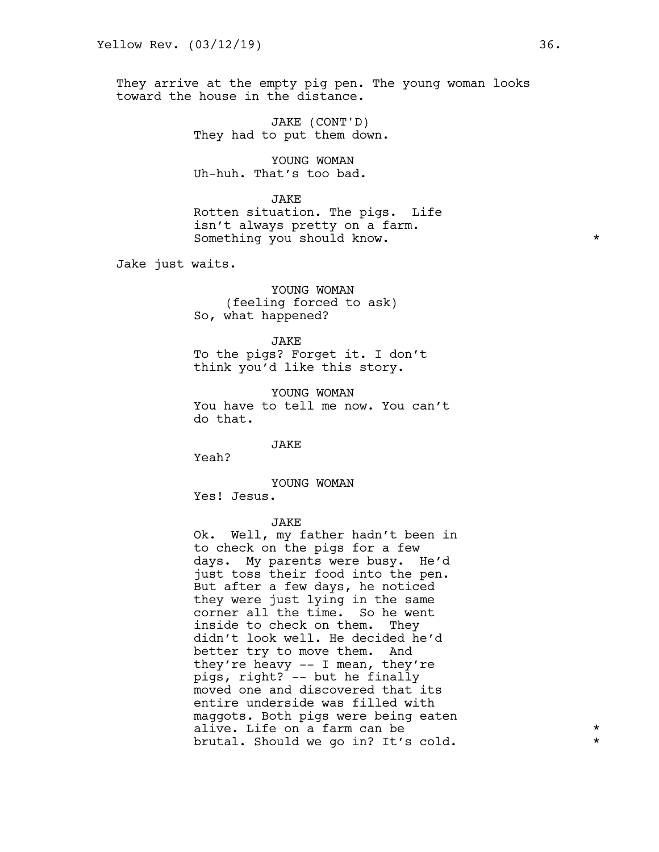They arrive at the empty pig pen. The young woman looks toward the house in the distance.

> JAKE (CONT'D) They had to put them down.

YOUNG WOMAN Uh-huh. That's too bad.

JAKE Rotten situation. The pigs. Life isn't always pretty on a farm. Something you should know.  $\star$ 

Jake just waits.

YOUNG WOMAN (feeling forced to ask) So, what happened?

JAKE To the pigs? Forget it. I don't think you'd like this story.

YOUNG WOMAN You have to tell me now. You can't do that.

JAKE

JAKE

Yeah?

YOUNG WOMAN Yes! Jesus.

Ok. Well, my father hadn't been in to check on the pigs for a few days. My parents were busy. He'd just toss their food into the pen. But after a few days, he noticed they were just lying in the same corner all the time. So he went inside to check on them. They didn't look well. He decided he'd better try to move them. And they're heavy -- I mean, they're pigs, right? -- but he finally moved one and discovered that its entire underside was filled with maggots. Both pigs were being eaten alive. Life on a farm can be  $\qquad \qquad \star$ brutal. Should we go in? It's cold. \*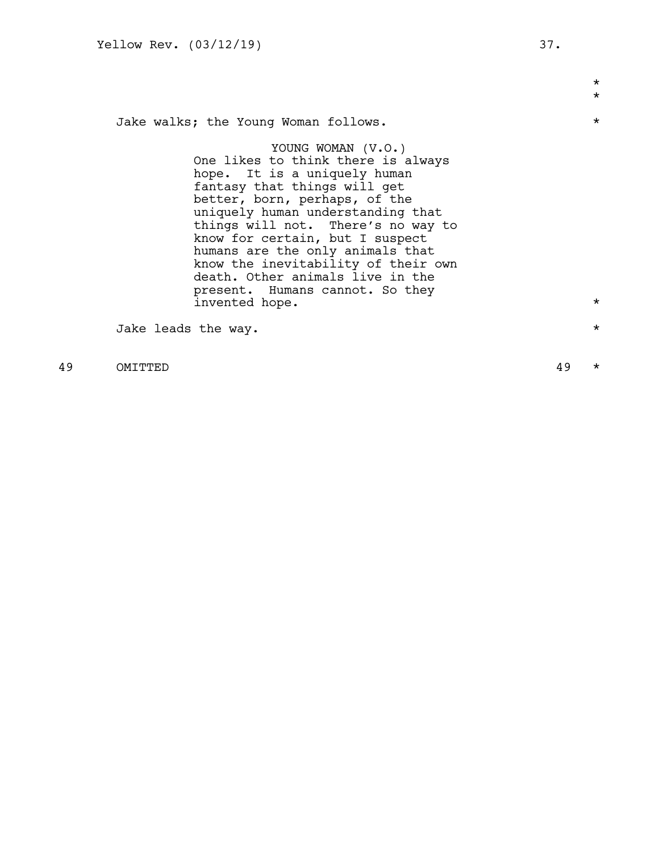\* \* Jake walks; the Young Woman follows. \* YOUNG WOMAN (V.O.) One likes to think there is always hope. It is a uniquely human fantasy that things will get better, born, perhaps, of the uniquely human understanding that things will not. There's no way to know for certain, but I suspect humans are the only animals that know the inevitability of their own death. Other animals live in the present. Humans cannot. So they invented hope.  $\star$ Jake leads the way.  $\star$ 

49 OMITTED 49 \*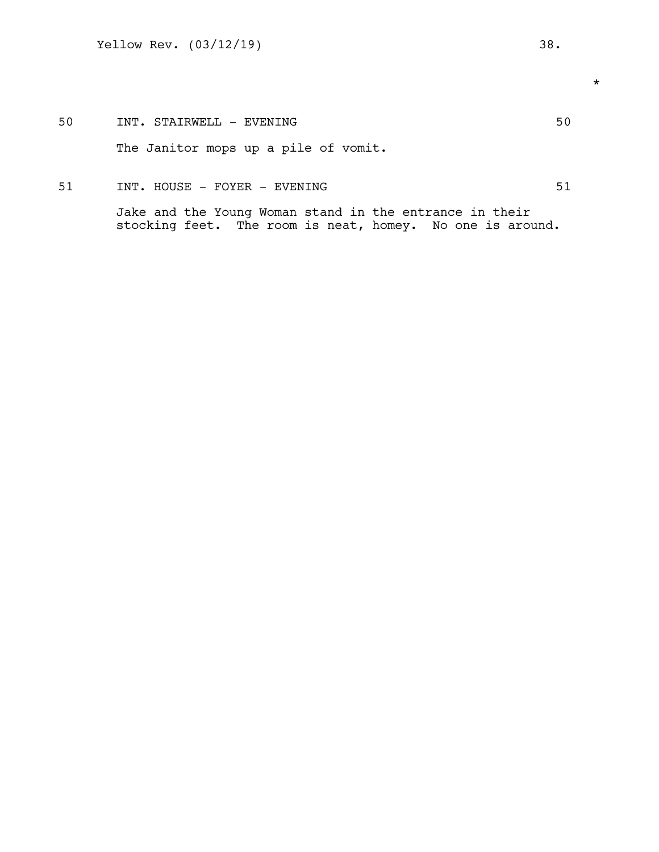# 51 INT. HOUSE - FOYER - EVENING 51

Jake and the Young Woman stand in the entrance in their stocking feet. The room is neat, homey. No one is around. \*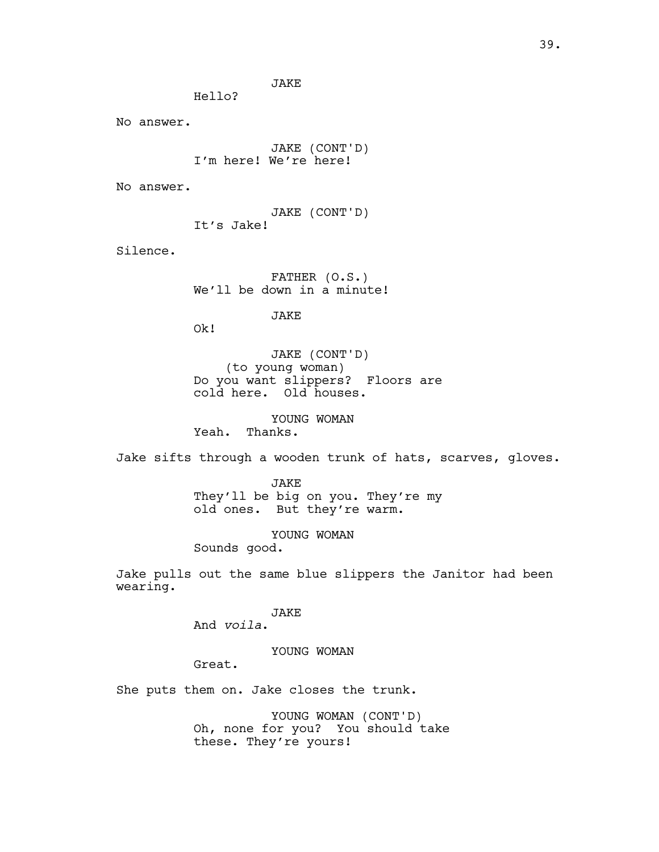JAKE

Hello?

No answer.

JAKE (CONT'D) I'm here! We're here!

No answer.

JAKE (CONT'D) It's Jake!

Silence.

FATHER (O.S.) We'll be down in a minute!

JAKE

Ok!

JAKE (CONT'D) (to young woman) Do you want slippers? Floors are cold here. Old houses.

YOUNG WOMAN

Yeah. Thanks.

Jake sifts through a wooden trunk of hats, scarves, gloves.

JAKE They'll be big on you. They're my old ones. But they're warm.

YOUNG WOMAN

Sounds good.

Jake pulls out the same blue slippers the Janitor had been wearing.

JAKE

And *voila*.

YOUNG WOMAN

Great.

She puts them on. Jake closes the trunk.

YOUNG WOMAN (CONT'D) Oh, none for you? You should take these. They're yours!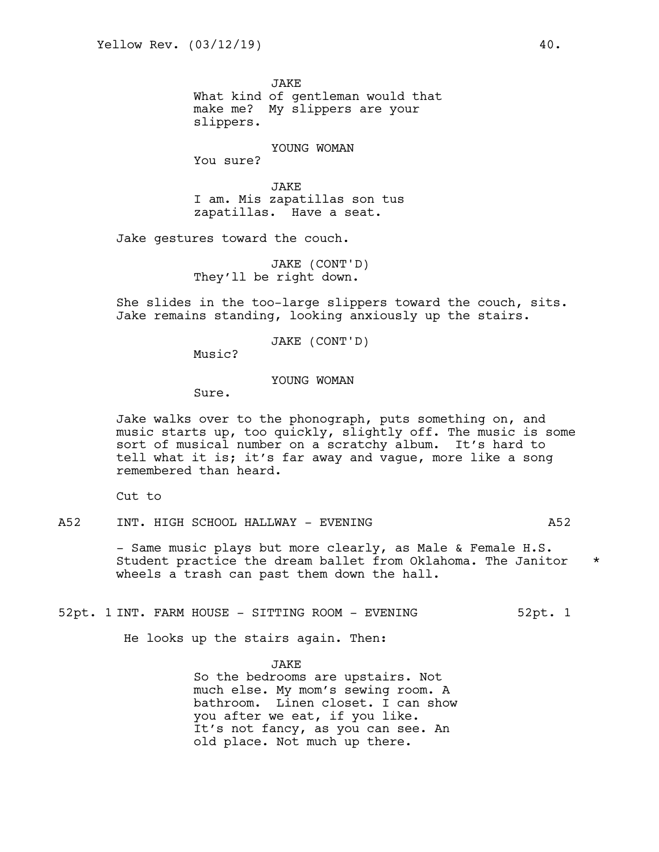**JAKE** What kind of gentleman would that make me? My slippers are your slippers.

## YOUNG WOMAN

You sure?

JAKE I am. Mis zapatillas son tus zapatillas. Have a seat.

Jake gestures toward the couch.

JAKE (CONT'D) They'll be right down.

She slides in the too-large slippers toward the couch, sits. Jake remains standing, looking anxiously up the stairs.

JAKE (CONT'D)

Music?

## YOUNG WOMAN

Sure.

Jake walks over to the phonograph, puts something on, and music starts up, too quickly, slightly off. The music is some sort of musical number on a scratchy album. It's hard to tell what it is; it's far away and vague, more like a song remembered than heard.

Cut to

A52 INT. HIGH SCHOOL HALLWAY - EVENING A52

- Same music plays but more clearly, as Male & Female H.S. Student practice the dream ballet from Oklahoma. The Janitor \* wheels a trash can past them down the hall.

52pt. 1 INT. FARM HOUSE - SITTING ROOM - EVENING 32pt. 1

He looks up the stairs again. Then:

JAKE So the bedrooms are upstairs. Not much else. My mom's sewing room. A bathroom. Linen closet. I can show you after we eat, if you like. It's not fancy, as you can see. An old place. Not much up there.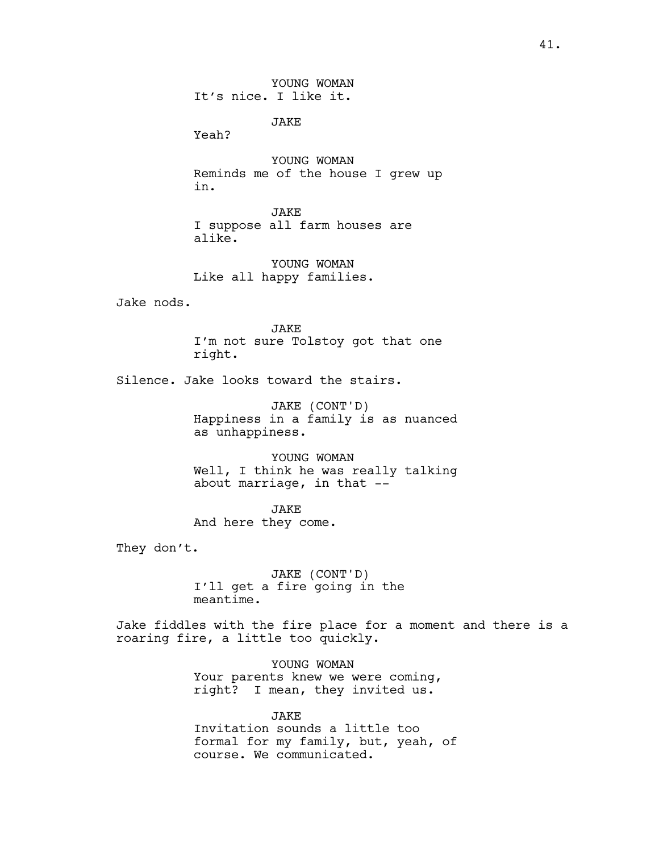YOUNG WOMAN It's nice. I like it.

JAKE

Yeah?

YOUNG WOMAN Reminds me of the house I grew up in.

JAKE I suppose all farm houses are alike.

YOUNG WOMAN Like all happy families.

Jake nods.

JAKE I'm not sure Tolstoy got that one right.

Silence. Jake looks toward the stairs.

JAKE (CONT'D) Happiness in a family is as nuanced as unhappiness.

YOUNG WOMAN Well, I think he was really talking about marriage, in that  $-$ 

JAKE And here they come.

They don't.

JAKE (CONT'D) I'll get a fire going in the meantime.

Jake fiddles with the fire place for a moment and there is a roaring fire, a little too quickly.

> YOUNG WOMAN Your parents knew we were coming, right? I mean, they invited us.

JAKE Invitation sounds a little too formal for my family, but, yeah, of course. We communicated.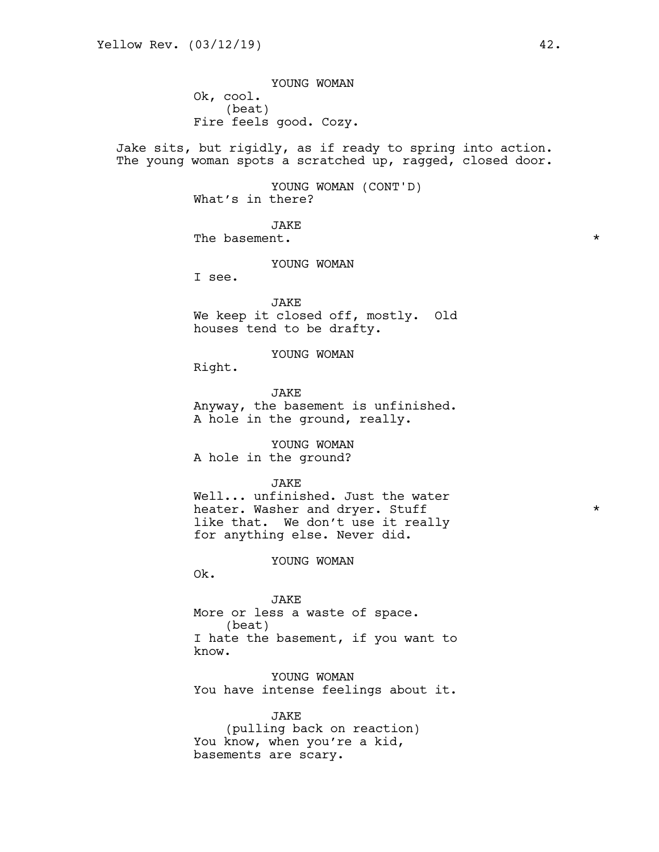YOUNG WOMAN Ok, cool. (beat) Fire feels good. Cozy.

Jake sits, but rigidly, as if ready to spring into action. The young woman spots a scratched up, ragged, closed door.

> YOUNG WOMAN (CONT'D) What's in there?

**JAKE** The basement.  $\star$ 

YOUNG WOMAN

I see.

JAKE We keep it closed off, mostly. Old houses tend to be drafty.

YOUNG WOMAN

Right.

**JAKE** Anyway, the basement is unfinished. A hole in the ground, really.

YOUNG WOMAN A hole in the ground?

**JAKE** 

Well... unfinished. Just the water heater. Washer and dryer. Stuff  $*$ like that. We don't use it really for anything else. Never did.

#### YOUNG WOMAN

Ok.

JAKE More or less a waste of space. (beat) I hate the basement, if you want to know.

YOUNG WOMAN You have intense feelings about it.

JAKE (pulling back on reaction) You know, when you're a kid, basements are scary.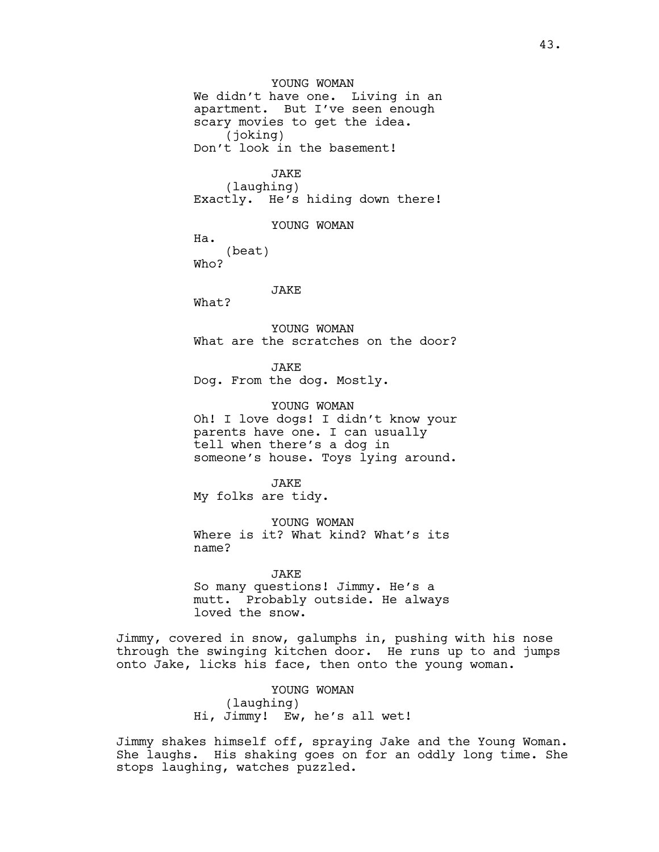YOUNG WOMAN We didn't have one. Living in an apartment. But I've seen enough scary movies to get the idea. (joking) Don't look in the basement!

> JAKE (laughing)

Exactly. He's hiding down there!

YOUNG WOMAN

Ha.

(beat) Who?

JAKE

What?

YOUNG WOMAN What are the scratches on the door?

JAKE Dog. From the dog. Mostly.

YOUNG WOMAN Oh! I love dogs! I didn't know your parents have one. I can usually tell when there's a dog in someone's house. Toys lying around.

**JAKE** My folks are tidy.

YOUNG WOMAN Where is it? What kind? What's its name?

JAKE So many questions! Jimmy. He's a mutt. Probably outside. He always loved the snow.

Jimmy, covered in snow, galumphs in, pushing with his nose through the swinging kitchen door. He runs up to and jumps onto Jake, licks his face, then onto the young woman.

> YOUNG WOMAN (laughing) Hi, Jimmy! Ew, he's all wet!

Jimmy shakes himself off, spraying Jake and the Young Woman. She laughs. His shaking goes on for an oddly long time. She stops laughing, watches puzzled.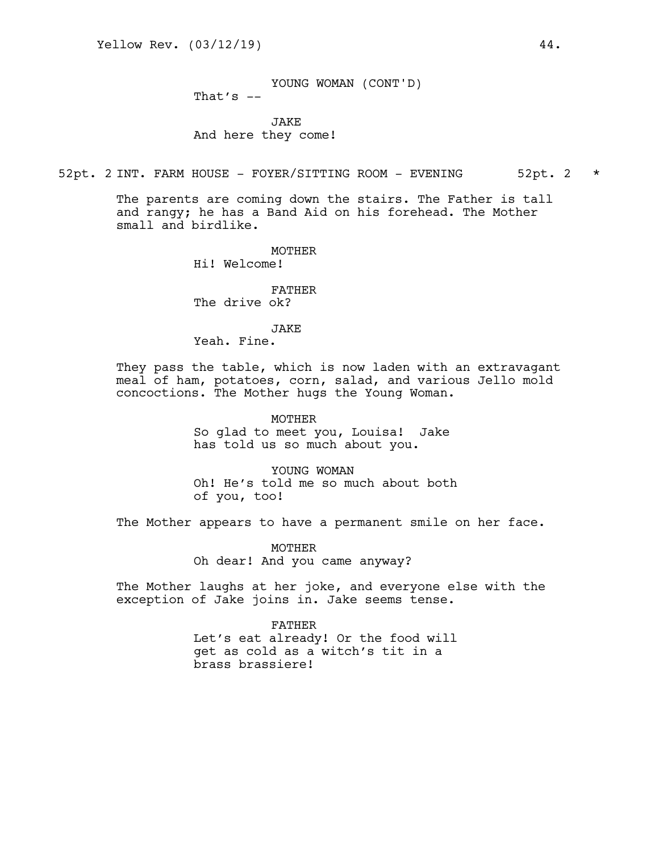YOUNG WOMAN (CONT'D)

That's  $--$ 

**JAKE** And here they come!

52pt. 2 INT. FARM HOUSE - FOYER/SITTING ROOM - EVENING 52pt. 2 \*

The parents are coming down the stairs. The Father is tall and rangy; he has a Band Aid on his forehead. The Mother small and birdlike.

> MOTHER Hi! Welcome!

FATHER The drive ok?

JAKE

Yeah. Fine.

They pass the table, which is now laden with an extravagant meal of ham, potatoes, corn, salad, and various Jello mold concoctions. The Mother hugs the Young Woman.

> MOTHER So glad to meet you, Louisa! Jake has told us so much about you.

YOUNG WOMAN Oh! He's told me so much about both of you, too!

The Mother appears to have a permanent smile on her face.

MOTHER Oh dear! And you came anyway?

The Mother laughs at her joke, and everyone else with the exception of Jake joins in. Jake seems tense.

> FATHER Let's eat already! Or the food will get as cold as a witch's tit in a brass brassiere!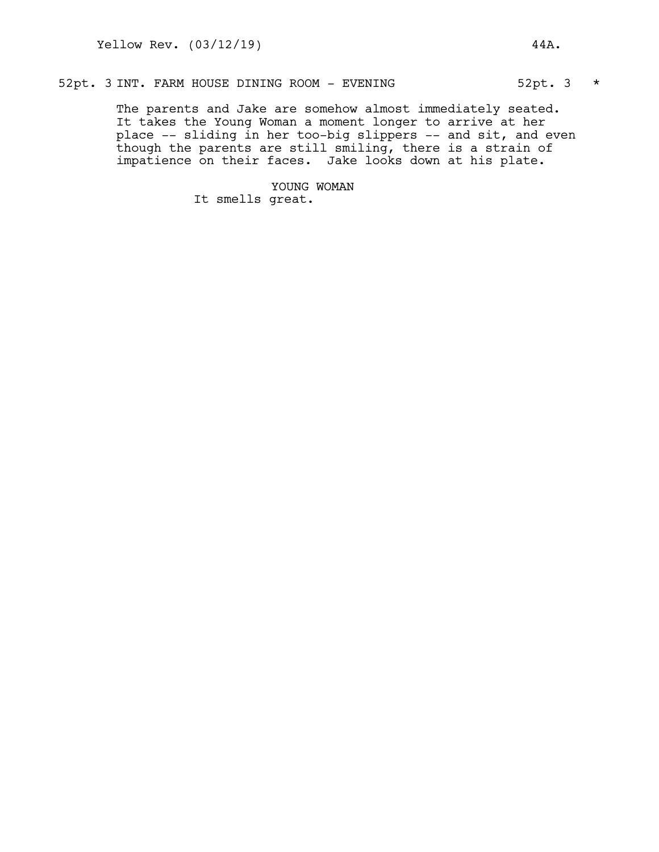# 52pt. 3 INT. FARM HOUSE DINING ROOM - EVENING 62pt. 3 \*

The parents and Jake are somehow almost immediately seated. It takes the Young Woman a moment longer to arrive at her place -- sliding in her too-big slippers -- and sit, and even though the parents are still smiling, there is a strain of impatience on their faces. Jake looks down at his plate.

> YOUNG WOMAN It smells great.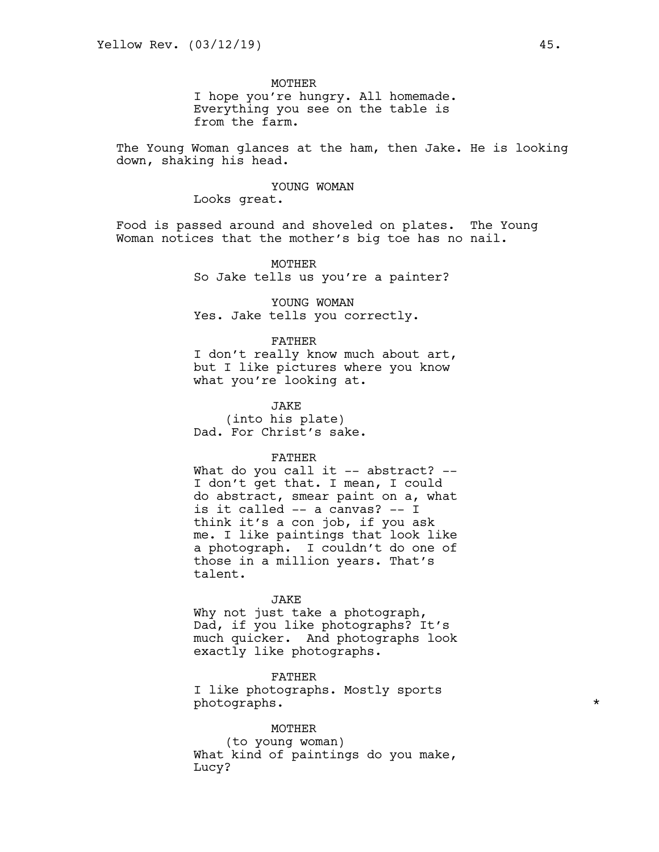## **MOTHER**

I hope you're hungry. All homemade. Everything you see on the table is from the farm.

The Young Woman glances at the ham, then Jake. He is looking down, shaking his head.

## YOUNG WOMAN

Looks great.

Food is passed around and shoveled on plates. The Young Woman notices that the mother's big toe has no nail.

> MOTHER So Jake tells us you're a painter?

YOUNG WOMAN Yes. Jake tells you correctly.

### FATHER

I don't really know much about art, but I like pictures where you know what you're looking at.

JAKE (into his plate) Dad. For Christ's sake.

## FATHER

What do you call it  $-$  abstract?  $-$ I don't get that. I mean, I could do abstract, smear paint on a, what is it called -- a canvas? -- I think it's a con job, if you ask me. I like paintings that look like a photograph. I couldn't do one of those in a million years. That's talent.

#### JAKE

Why not just take a photograph, Dad, if you like photographs? It's much quicker. And photographs look exactly like photographs.

FATHER I like photographs. Mostly sports photographs. \*

#### MOTHER

(to young woman) What kind of paintings do you make, Lucy?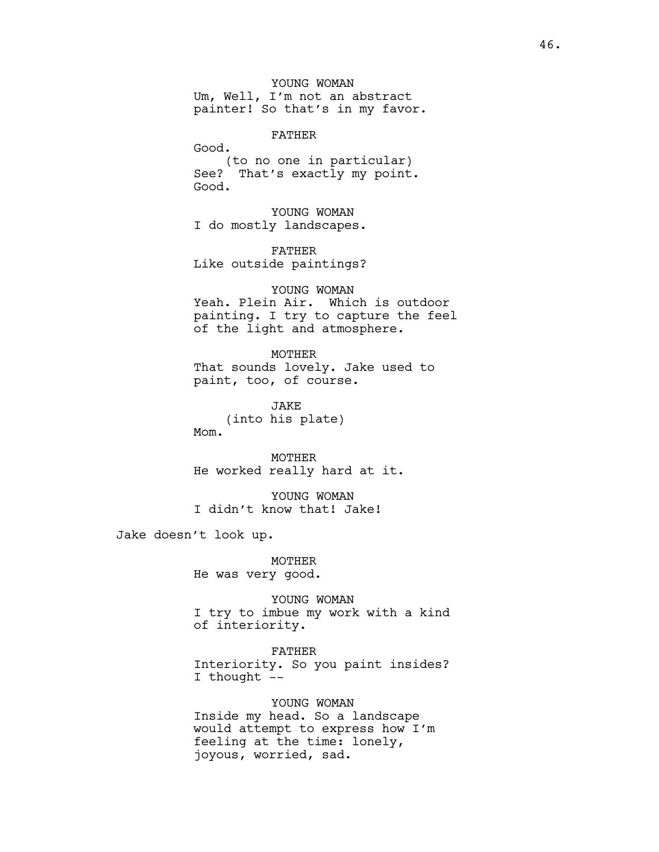YOUNG WOMAN Um, Well, I'm not an abstract painter! So that's in my favor.

FATHER

Good.

(to no one in particular) See? That's exactly my point. Good.

YOUNG WOMAN I do mostly landscapes.

FATHER Like outside paintings?

## YOUNG WOMAN

Yeah. Plein Air. Which is outdoor painting. I try to capture the feel of the light and atmosphere.

MOTHER That sounds lovely. Jake used to paint, too, of course.

JAKE (into his plate) Mom.

MOTHER He worked really hard at it.

YOUNG WOMAN I didn't know that! Jake!

Jake doesn't look up.

MOTHER He was very good.

YOUNG WOMAN I try to imbue my work with a kind of interiority.

FATHER Interiority. So you paint insides? I thought --

YOUNG WOMAN Inside my head. So a landscape would attempt to express how I'm feeling at the time: lonely, joyous, worried, sad.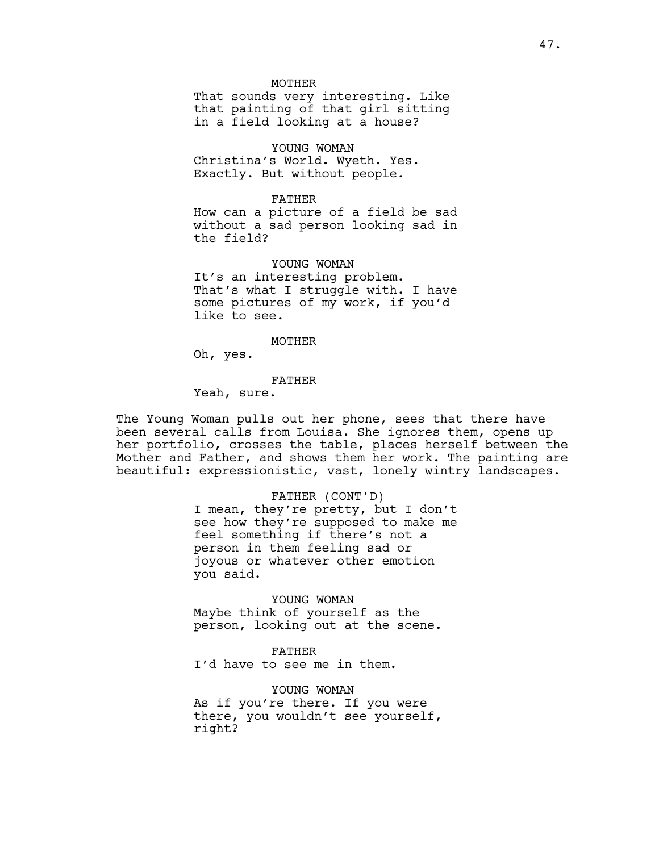**MOTHER** 

That sounds very interesting. Like that painting of that girl sitting in a field looking at a house?

YOUNG WOMAN Christina's World. Wyeth. Yes. Exactly. But without people.

#### FATHER

How can a picture of a field be sad without a sad person looking sad in the field?

YOUNG WOMAN It's an interesting problem. That's what I struggle with. I have some pictures of my work, if you'd like to see.

#### MOTHER

Oh, yes.

## FATHER

Yeah, sure.

The Young Woman pulls out her phone, sees that there have been several calls from Louisa. She ignores them, opens up her portfolio, crosses the table, places herself between the Mother and Father, and shows them her work. The painting are beautiful: expressionistic, vast, lonely wintry landscapes.

#### FATHER (CONT'D)

I mean, they're pretty, but I don't see how they're supposed to make me feel something if there's not a person in them feeling sad or joyous or whatever other emotion you said.

YOUNG WOMAN Maybe think of yourself as the person, looking out at the scene.

#### FATHER

I'd have to see me in them.

YOUNG WOMAN As if you're there. If you were there, you wouldn't see yourself, right?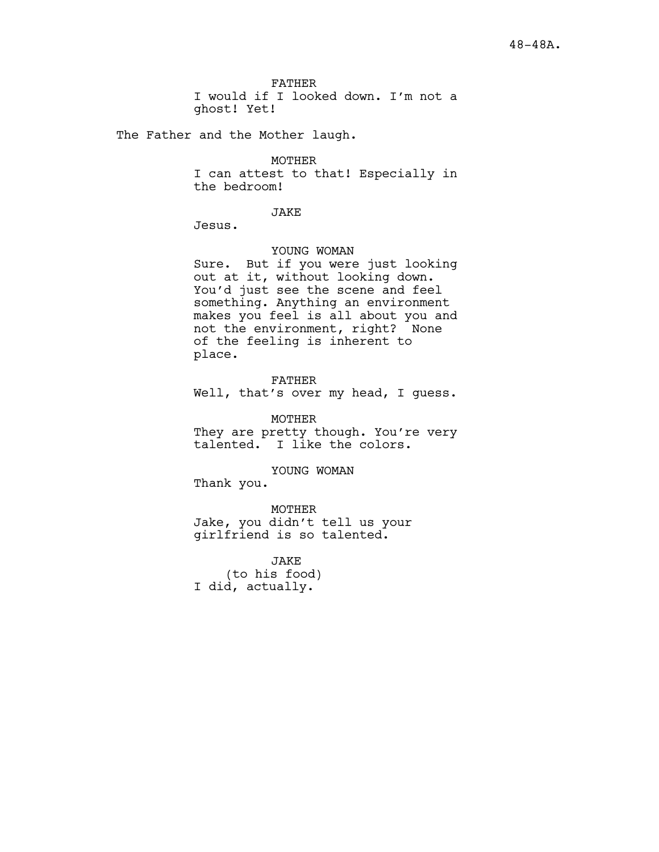FATHER I would if I looked down. I'm not a ghost! Yet!

The Father and the Mother laugh.

## MOTHER

I can attest to that! Especially in the bedroom!

JAKE

Jesus.

#### YOUNG WOMAN

Sure. But if you were just looking out at it, without looking down. You'd just see the scene and feel something. Anything an environment makes you feel is all about you and not the environment, right? None of the feeling is inherent to place.

FATHER Well, that's over my head, I guess.

MOTHER They are pretty though. You're very talented. I like the colors.

YOUNG WOMAN

Thank you.

MOTHER Jake, you didn't tell us your girlfriend is so talented.

JAKE (to his food) I did, actually.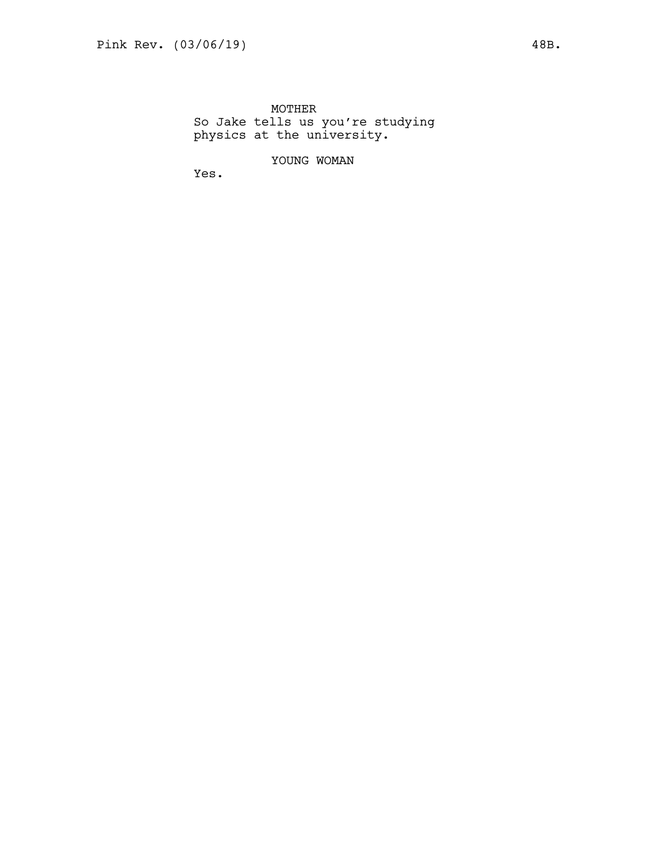MOTHER So Jake tells us you're studying physics at the university.

YOUNG WOMAN

Yes.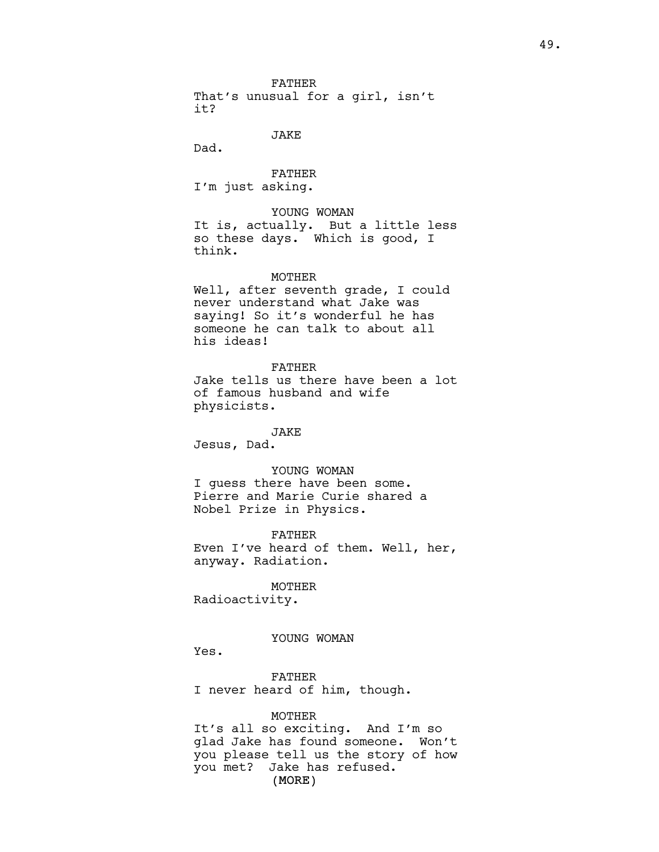FATHER That's unusual for a girl, isn't it?

JAKE

Dad.

FATHER I'm just asking.

# YOUNG WOMAN

It is, actually. But a little less so these days. Which is good, I think.

#### MOTHER

Well, after seventh grade, I could never understand what Jake was saying! So it's wonderful he has someone he can talk to about all his ideas!

## FATHER

Jake tells us there have been a lot of famous husband and wife physicists.

## JAKE

Jesus, Dad.

## YOUNG WOMAN

I guess there have been some. Pierre and Marie Curie shared a Nobel Prize in Physics.

FATHER Even I've heard of them. Well, her,

anyway. Radiation. MOTHER

Radioactivity.

## YOUNG WOMAN

Yes.

FATHER I never heard of him, though.

#### MOTHER

(MORE) It's all so exciting. And I'm so glad Jake has found someone. Won't you please tell us the story of how you met? Jake has refused.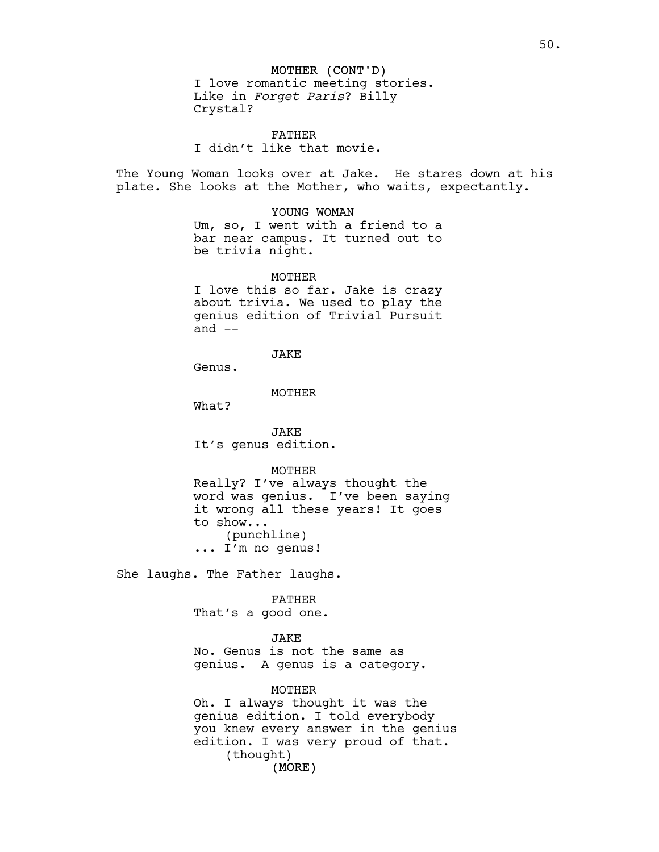## MOTHER (CONT'D)

I love romantic meeting stories. Like in *Forget Paris*? Billy Crystal?

FATHER I didn't like that movie.

The Young Woman looks over at Jake. He stares down at his plate. She looks at the Mother, who waits, expectantly.

#### YOUNG WOMAN

Um, so, I went with a friend to a bar near campus. It turned out to be trivia night.

MOTHER

I love this so far. Jake is crazy about trivia. We used to play the genius edition of Trivial Pursuit and  $--$ 

JAKE

Genus.

MOTHER

What?

JAKE It's genus edition.

MOTHER

Really? I've always thought the word was genius. I've been saying it wrong all these years! It goes to show... (punchline) ... I'm no genus!

She laughs. The Father laughs.

FATHER

That's a good one.

#### JAKE

No. Genus is not the same as genius. A genus is a category.

#### MOTHER

(MORE) Oh. I always thought it was the genius edition. I told everybody you knew every answer in the genius edition. I was very proud of that. (thought)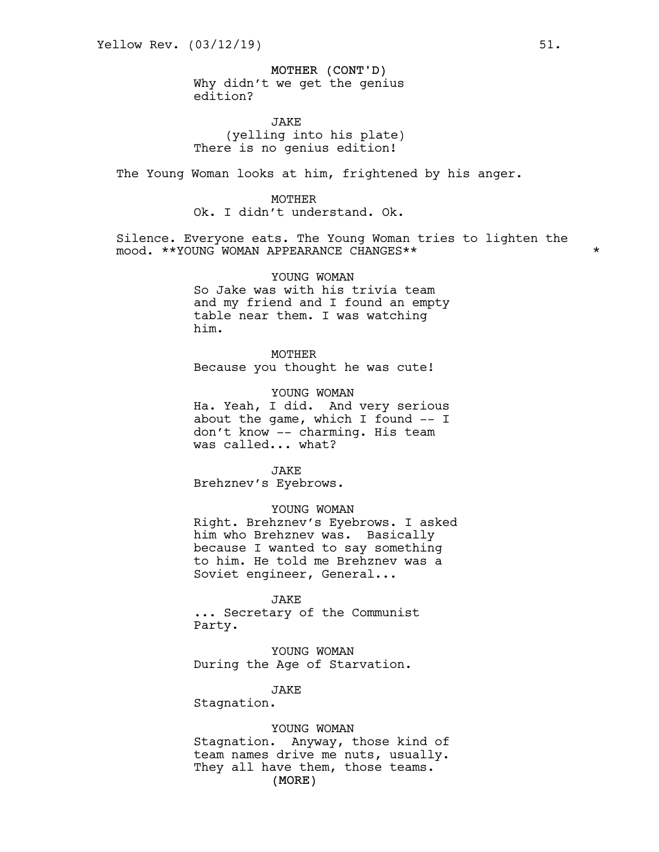## MOTHER (CONT'D)

Why didn't we get the genius edition?

JAKE (yelling into his plate) There is no genius edition!

The Young Woman looks at him, frightened by his anger.

MOTHER Ok. I didn't understand. Ok.

Silence. Everyone eats. The Young Woman tries to lighten the mood. \*\*YOUNG WOMAN APPEARANCE CHANGES\*\* \*

> YOUNG WOMAN So Jake was with his trivia team and my friend and I found an empty table near them. I was watching him.

MOTHER Because you thought he was cute!

YOUNG WOMAN

Ha. Yeah, I did. And very serious about the game, which I found -- I don't know -- charming. His team was called... what?

JAKE

Brehznev's Eyebrows.

YOUNG WOMAN Right. Brehznev's Eyebrows. I asked him who Brehznev was. Basically because I wanted to say something to him. He told me Brehznev was a Soviet engineer, General...

JAKE ... Secretary of the Communist Party.

YOUNG WOMAN During the Age of Starvation.

JAKE

Stagnation.

(MORE) YOUNG WOMAN Stagnation. Anyway, those kind of team names drive me nuts, usually. They all have them, those teams.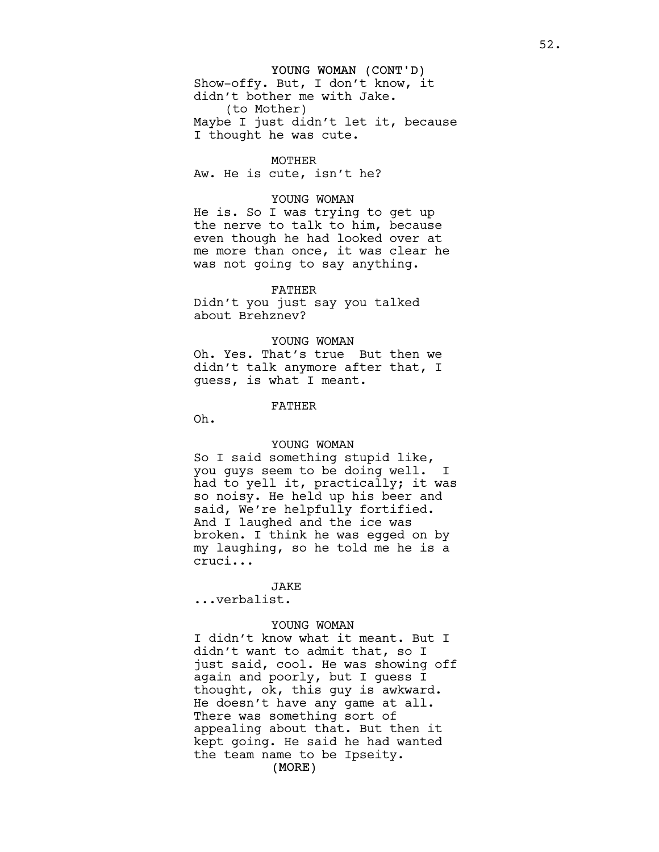# YOUNG WOMAN (CONT'D) Show-offy. But, I don't know, it didn't bother me with Jake. (to Mother) Maybe I just didn't let it, because

MOTHER Aw. He is cute, isn't he?

I thought he was cute.

#### YOUNG WOMAN

He is. So I was trying to get up the nerve to talk to him, because even though he had looked over at me more than once, it was clear he was not going to say anything.

## FATHER

Didn't you just say you talked about Brehznev?

### YOUNG WOMAN

Oh. Yes. That's true But then we didn't talk anymore after that, I guess, is what I meant.

#### FATHER

Oh.

## YOUNG WOMAN

So I said something stupid like, you guys seem to be doing well. I had to yell it, practically; it was so noisy. He held up his beer and said, We're helpfully fortified. And I laughed and the ice was broken. I think he was egged on by my laughing, so he told me he is a cruci...

JAKE ...verbalist.

# YOUNG WOMAN

(MORE) I didn't know what it meant. But I didn't want to admit that, so I just said, cool. He was showing off again and poorly, but I guess I thought, ok, this guy is awkward. He doesn't have any game at all. There was something sort of appealing about that. But then it kept going. He said he had wanted the team name to be Ipseity.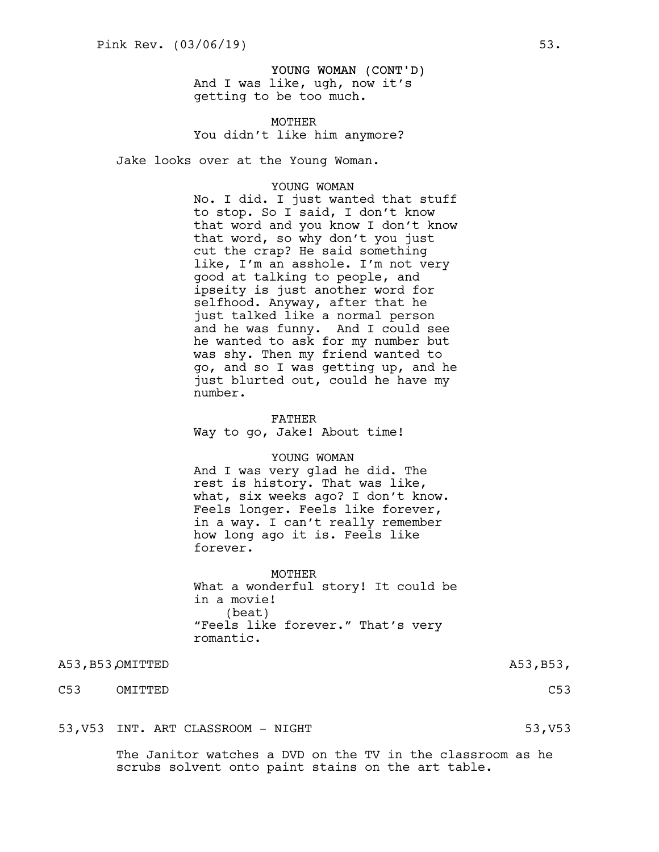YOUNG WOMAN (CONT'D) And I was like, ugh, now it's getting to be too much.

MOTHER You didn't like him anymore?

Jake looks over at the Young Woman.

## YOUNG WOMAN

No. I did. I just wanted that stuff to stop. So I said, I don't know that word and you know I don't know that word, so why don't you just cut the crap? He said something like, I'm an asshole. I'm not very good at talking to people, and ipseity is just another word for selfhood. Anyway, after that he just talked like a normal person and he was funny. And I could see he wanted to ask for my number but was shy. Then my friend wanted to go, and so I was getting up, and he just blurted out, could he have my number.

FATHER Way to go, Jake! About time!

#### YOUNG WOMAN

And I was very glad he did. The rest is history. That was like, what, six weeks ago? I don't know. Feels longer. Feels like forever, in a way. I can't really remember how long ago it is. Feels like forever.

MOTHER What a wonderful story! It could be in a movie! (beat) "Feels like forever." That's very romantic.

A53,B53,OMITTED A53,B53,

C53 OMITTED C53

53, V53 INT. ART CLASSROOM - NIGHT 53, V53 SAMPLE 53, V53

The Janitor watches a DVD on the TV in the classroom as he scrubs solvent onto paint stains on the art table.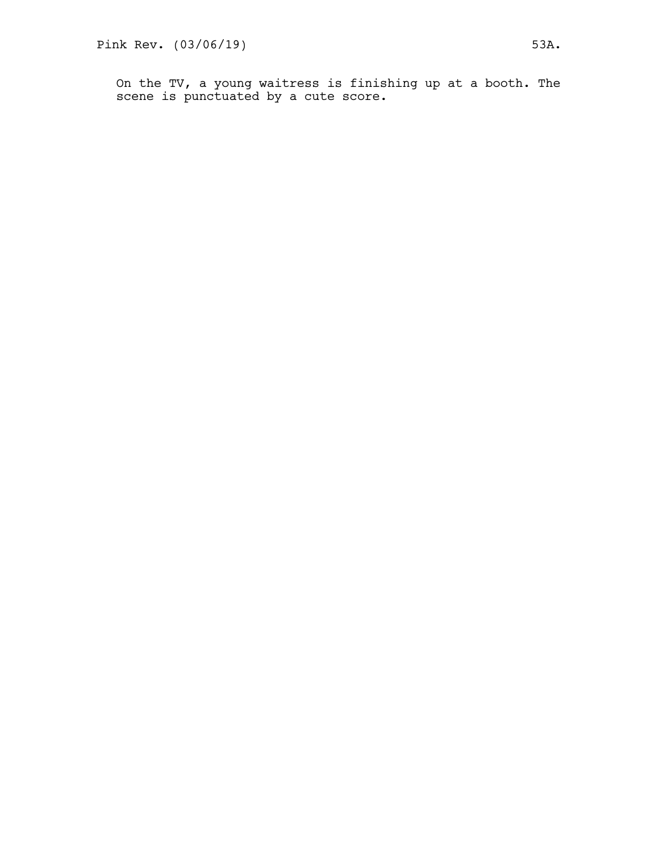On the TV, a young waitress is finishing up at a booth. The scene is punctuated by a cute score.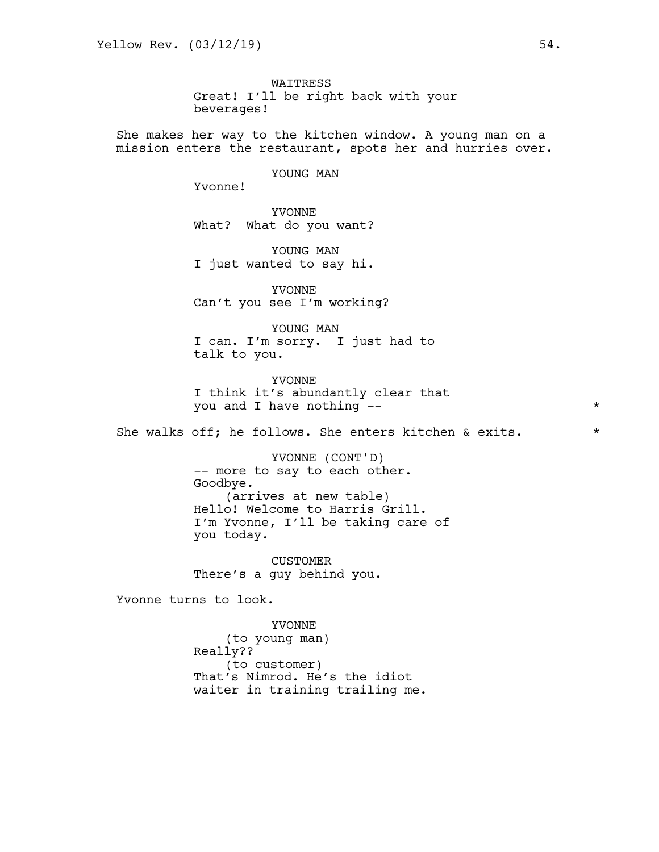WAITRESS Great! I'll be right back with your beverages!

She makes her way to the kitchen window. A young man on a mission enters the restaurant, spots her and hurries over.

## YOUNG MAN

Yvonne!

YVONNE What? What do you want?

YOUNG MAN I just wanted to say hi.

YVONNE Can't you see I'm working?

YOUNG MAN I can. I'm sorry. I just had to talk to you.

YVONNE I think it's abundantly clear that you and I have nothing --  $\star$ 

She walks off; he follows. She enters kitchen & exits.  $*$ 

YVONNE (CONT'D) -- more to say to each other. Goodbye. (arrives at new table) Hello! Welcome to Harris Grill. I'm Yvonne, I'll be taking care of you today.

CUSTOMER There's a guy behind you.

Yvonne turns to look.

YVONNE (to young man) Really?? (to customer) That's Nimrod. He's the idiot waiter in training trailing me.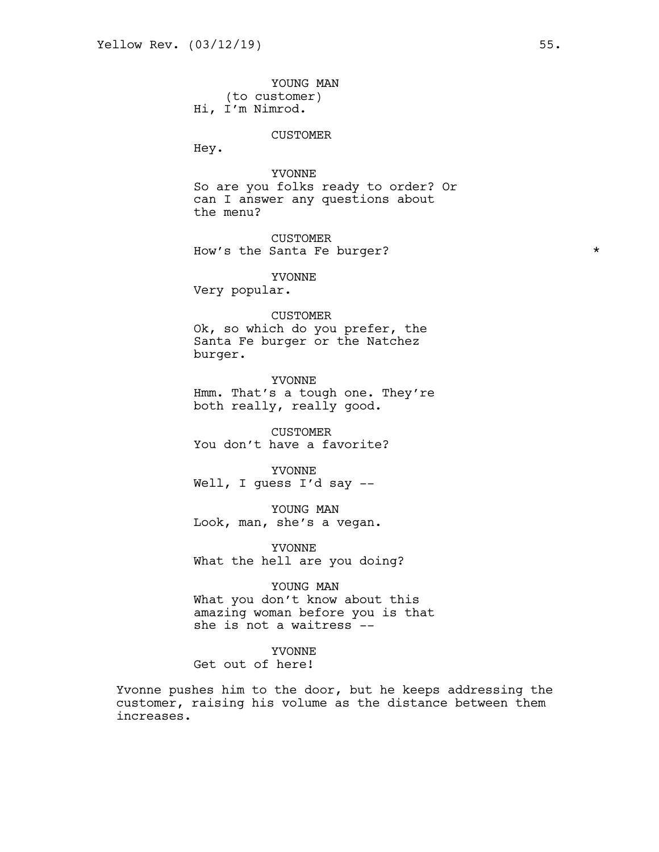YOUNG MAN (to customer) Hi, I'm Nimrod.

#### CUSTOMER

Hey.

YVONNE So are you folks ready to order? Or can I answer any questions about the menu?

CUSTOMER How's the Santa Fe burger? \*

YVONNE

Very popular.

#### CUSTOMER

Ok, so which do you prefer, the Santa Fe burger or the Natchez burger.

YVONNE Hmm. That's a tough one. They're both really, really good.

CUSTOMER You don't have a favorite?

YVONNE Well, I guess I'd say --

YOUNG MAN Look, man, she's a vegan.

YVONNE What the hell are you doing?

YOUNG MAN

What you don't know about this amazing woman before you is that she is not a waitress --

YVONNE

Get out of here!

Yvonne pushes him to the door, but he keeps addressing the customer, raising his volume as the distance between them increases.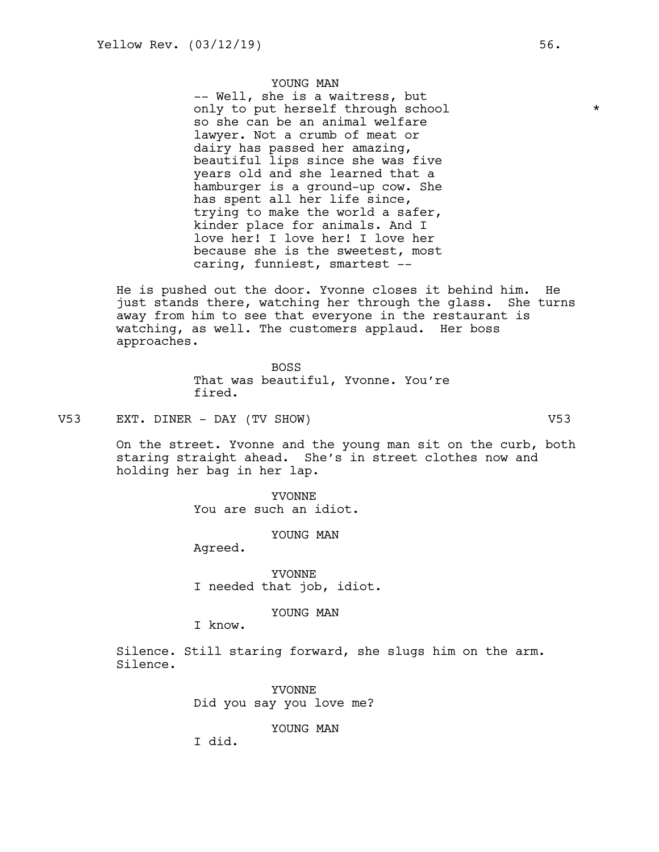YOUNG MAN

-- Well, she is a waitress, but only to put herself through school \* so she can be an animal welfare lawyer. Not a crumb of meat or dairy has passed her amazing, beautiful lips since she was five years old and she learned that a hamburger is a ground-up cow. She has spent all her life since, trying to make the world a safer, kinder place for animals. And I love her! I love her! I love her because she is the sweetest, most caring, funniest, smartest --

He is pushed out the door. Yvonne closes it behind him. He just stands there, watching her through the glass. She turns away from him to see that everyone in the restaurant is watching, as well. The customers applaud. Her boss approaches.

> BOSS That was beautiful, Yvonne. You're fired.

V53 EXT. DINER - DAY (TV SHOW) V53

On the street. Yvonne and the young man sit on the curb, both staring straight ahead. She's in street clothes now and holding her bag in her lap.

> YVONNE You are such an idiot.

> > YOUNG MAN

Agreed.

YVONNE I needed that job, idiot.

YOUNG MAN

I know.

Silence. Still staring forward, she slugs him on the arm. Silence.

> YVONNE Did you say you love me?

> > YOUNG MAN

I did.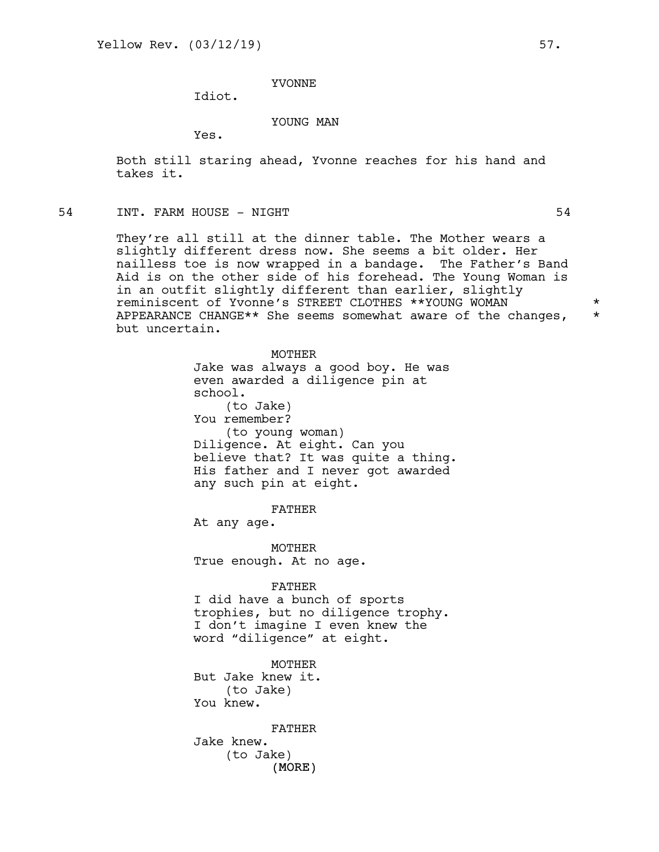# YVONNE

Idiot.

## YOUNG MAN

Yes.

Both still staring ahead, Yvonne reaches for his hand and takes it.

## 54 INT. FARM HOUSE - NIGHT 54

They're all still at the dinner table. The Mother wears a slightly different dress now. She seems a bit older. Her nailless toe is now wrapped in a bandage. The Father's Band Aid is on the other side of his forehead. The Young Woman is in an outfit slightly different than earlier, slightly reminiscent of Yvonne's STREET CLOTHES \*\*YOUNG WOMAN \* APPEARANCE CHANGE\*\* She seems somewhat aware of the changes, \* but uncertain.

> MOTHER Jake was always a good boy. He was even awarded a diligence pin at school. (to Jake) You remember? (to young woman) Diligence. At eight. Can you believe that? It was quite a thing. His father and I never got awarded any such pin at eight.

> > FATHER

At any age.

MOTHER True enough. At no age.

#### FATHER

I did have a bunch of sports trophies, but no diligence trophy. I don't imagine I even knew the word "diligence" at eight.

MOTHER But Jake knew it. (to Jake) You knew.

(MORE) FATHER Jake knew. (to Jake)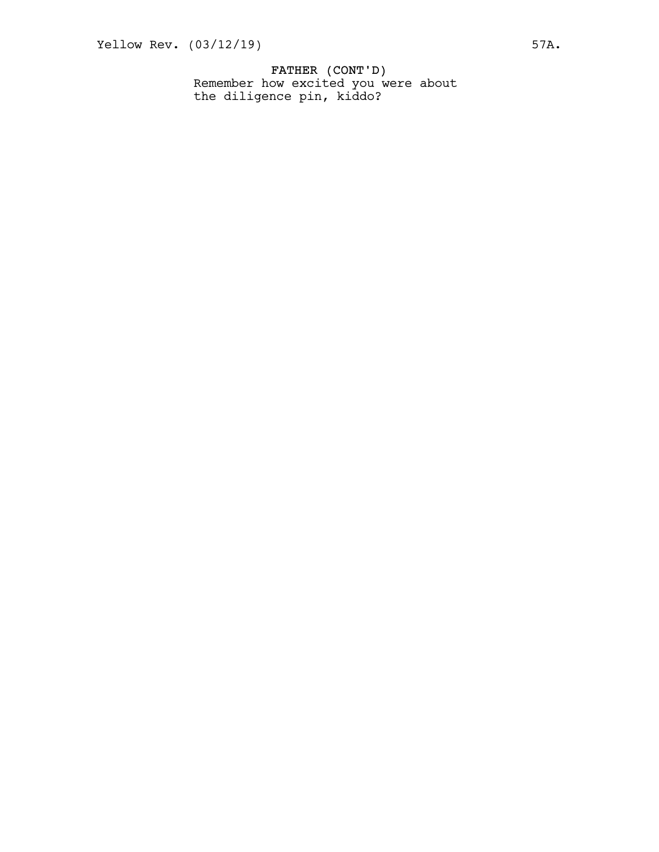FATHER (CONT'D) Remember how excited you were about the diligence pin, kiddo?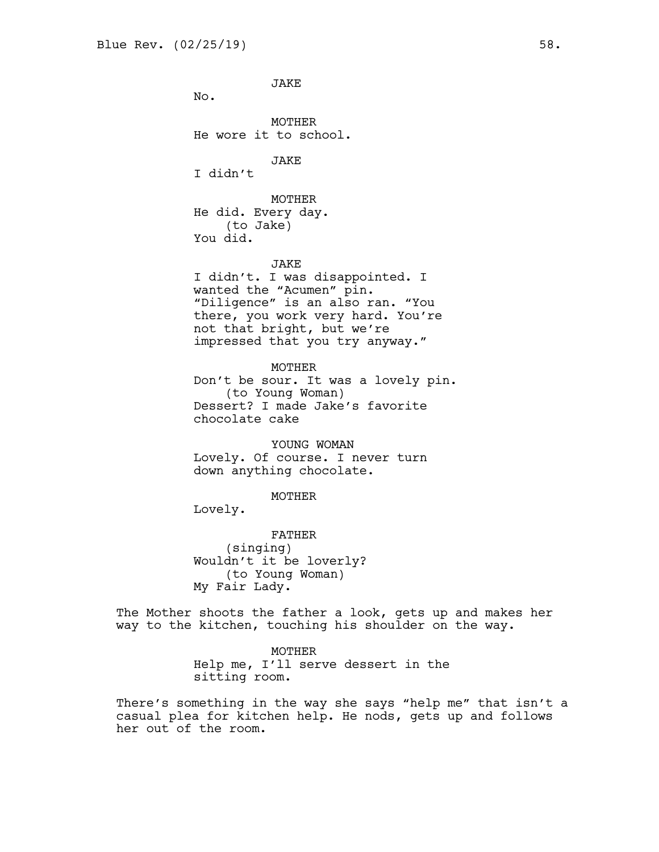JAKE No. MOTHER He wore it to school. JAKE I didn't MOTHER He did. Every day. (to Jake) You did. JAKE I didn't. I was disappointed. I wanted the "Acumen" pin. "Diligence" is an also ran. "You there, you work very hard. You're not that bright, but we're impressed that you try anyway."

MOTHER Don't be sour. It was a lovely pin. (to Young Woman) Dessert? I made Jake's favorite chocolate cake

YOUNG WOMAN Lovely. Of course. I never turn down anything chocolate.

MOTHER

Lovely.

FATHER (singing) Wouldn't it be loverly? (to Young Woman) My Fair Lady.

The Mother shoots the father a look, gets up and makes her way to the kitchen, touching his shoulder on the way.

> MOTHER Help me, I'll serve dessert in the sitting room.

There's something in the way she says "help me" that isn't a casual plea for kitchen help. He nods, gets up and follows her out of the room.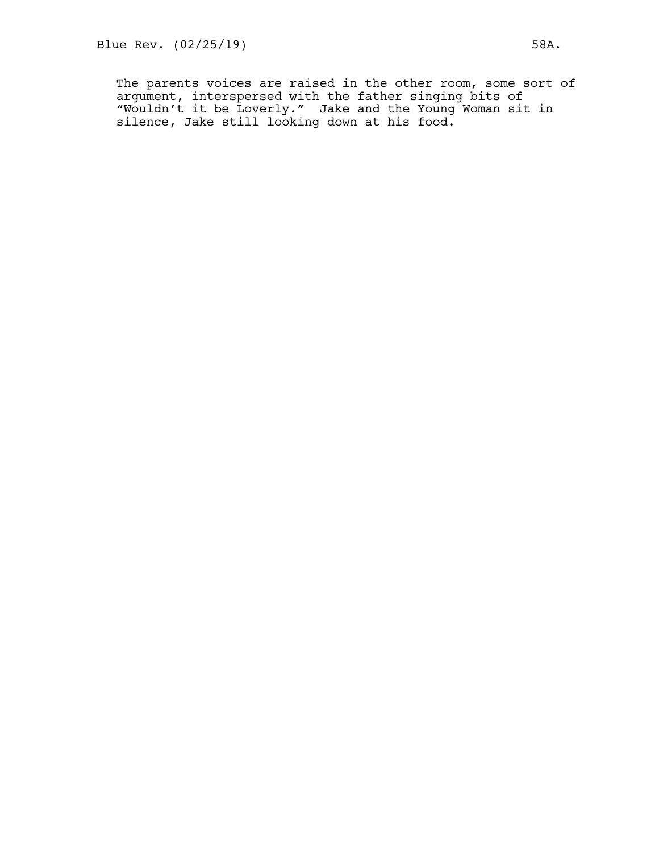The parents voices are raised in the other room, some sort of argument, interspersed with the father singing bits of "Wouldn't it be Loverly." Jake and the Young Woman sit in silence, Jake still looking down at his food.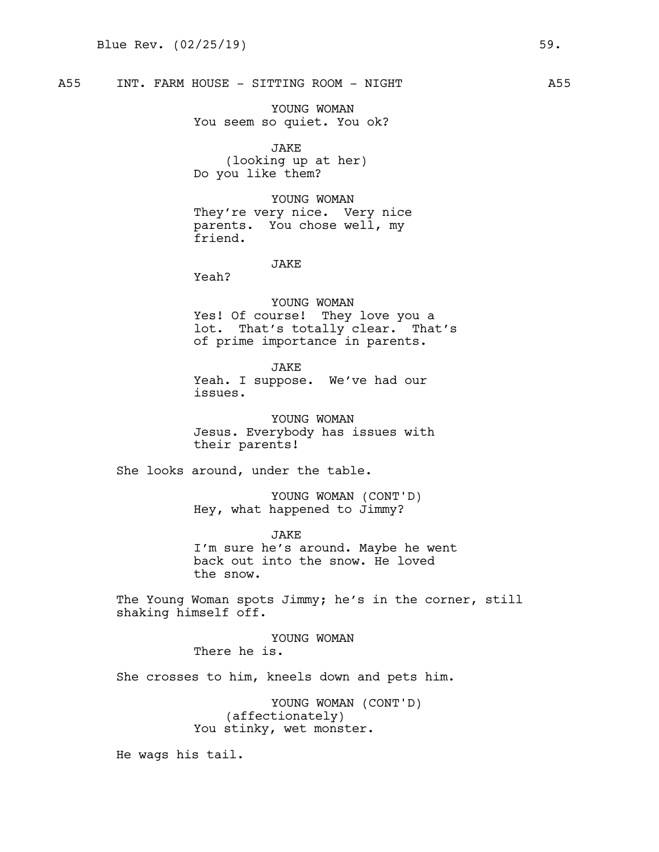A55 INT. FARM HOUSE - SITTING ROOM - NIGHT

YOUNG WOMAN You seem so quiet. You ok?

JAKE (looking up at her) Do you like them?

YOUNG WOMAN They're very nice. Very nice parents. You chose well, my friend.

JAKE

Yeah?

YOUNG WOMAN Yes! Of course! They love you a lot. That's totally clear. That's of prime importance in parents.

JAKE Yeah. I suppose. We've had our issues.

YOUNG WOMAN Jesus. Everybody has issues with their parents!

She looks around, under the table.

YOUNG WOMAN (CONT'D) Hey, what happened to Jimmy?

JAKE I'm sure he's around. Maybe he went back out into the snow. He loved the snow.

The Young Woman spots Jimmy; he's in the corner, still shaking himself off.

> YOUNG WOMAN There he is.

She crosses to him, kneels down and pets him.

YOUNG WOMAN (CONT'D) (affectionately) You stinky, wet monster.

He wags his tail.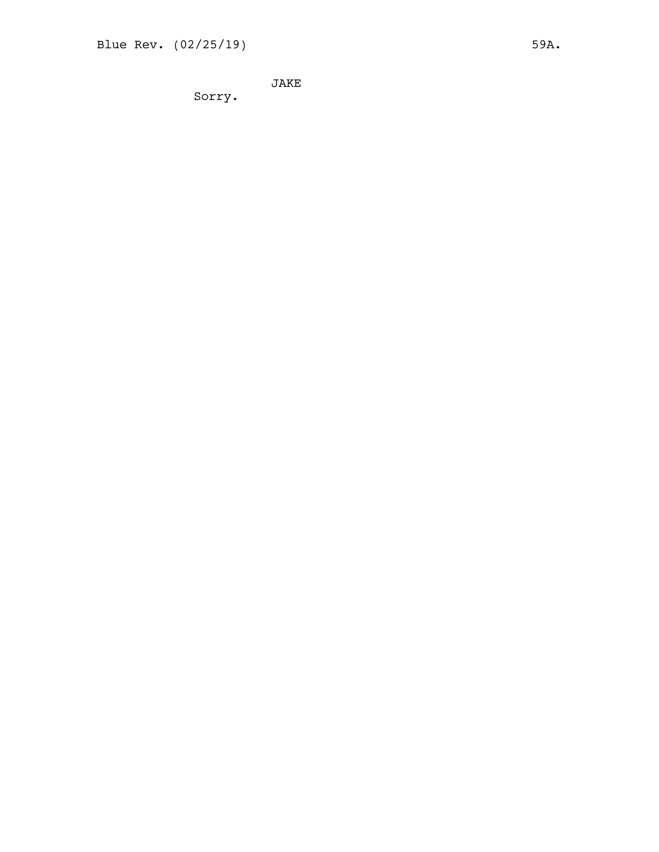J A K E

Sorry.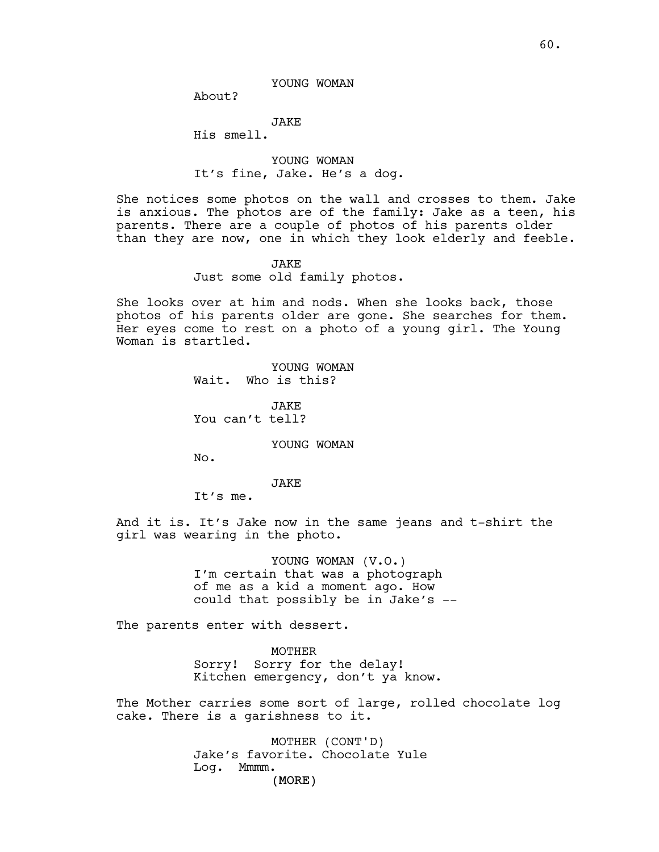About?

JAKE

His smell.

YOUNG WOMAN It's fine, Jake. He's a dog.

She notices some photos on the wall and crosses to them. Jake is anxious. The photos are of the family: Jake as a teen, his parents. There are a couple of photos of his parents older than they are now, one in which they look elderly and feeble.

#### JAKE

Just some old family photos.

She looks over at him and nods. When she looks back, those photos of his parents older are gone. She searches for them. Her eyes come to rest on a photo of a young girl. The Young Woman is startled.

> YOUNG WOMAN Wait. Who is this?

JAKE You can't tell?

YOUNG WOMAN

No.

# JAKE

It's me.

And it is. It's Jake now in the same jeans and t-shirt the girl was wearing in the photo.

> YOUNG WOMAN (V.O.) I'm certain that was a photograph of me as a kid a moment ago. How could that possibly be in Jake's --

The parents enter with dessert.

MOTHER Sorry! Sorry for the delay! Kitchen emergency, don't ya know.

The Mother carries some sort of large, rolled chocolate log cake. There is a garishness to it.

> (MORE) MOTHER (CONT'D) Jake's favorite. Chocolate Yule Log. Mmmm.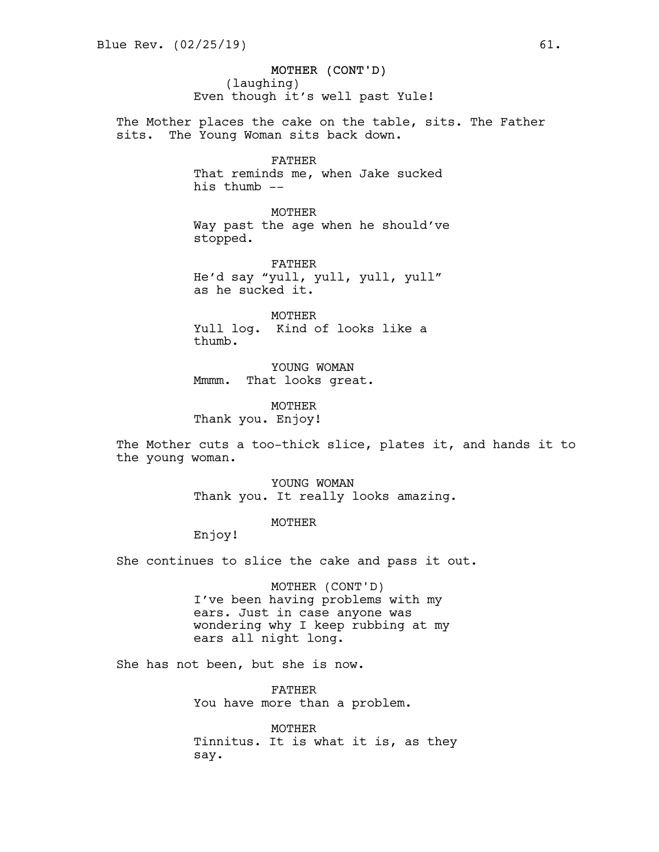MOTHER (CONT'D) (laughing) Even though it's well past Yule!

The Mother places the cake on the table, sits. The Father sits. The Young Woman sits back down.

## FATHER

That reminds me, when Jake sucked his thumb --

MOTHER Way past the age when he should've stopped.

FATHER He'd say "yull, yull, yull, yull" as he sucked it.

MOTHER Yull log. Kind of looks like a thumb.

YOUNG WOMAN Mmmm. That looks great.

MOTHER Thank you. Enjoy!

The Mother cuts a too-thick slice, plates it, and hands it to the young woman.

> YOUNG WOMAN Thank you. It really looks amazing.

## MOTHER

Enjoy!

She continues to slice the cake and pass it out.

MOTHER (CONT'D) I've been having problems with my ears. Just in case anyone was wondering why I keep rubbing at my ears all night long.

She has not been, but she is now.

FATHER You have more than a problem.

MOTHER Tinnitus. It is what it is, as they say.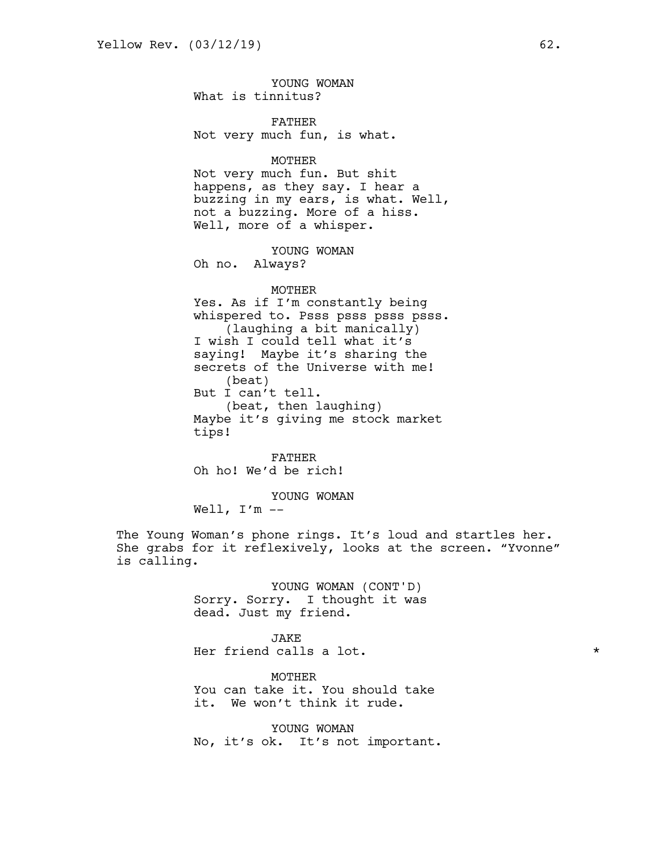YOUNG WOMAN What is tinnitus?

FATHER Not very much fun, is what.

MOTHER

Not very much fun. But shit happens, as they say. I hear a buzzing in my ears, is what. Well, not a buzzing. More of a hiss. Well, more of a whisper.

YOUNG WOMAN

Oh no. Always?

## MOTHER

Yes. As if I'm constantly being whispered to. Psss psss psss psss. (laughing a bit manically) I wish I could tell what it's saying! Maybe it's sharing the secrets of the Universe with me! (beat) But I can't tell. (beat, then laughing) Maybe it's giving me stock market tips!

FATHER Oh ho! We'd be rich!

YOUNG WOMAN

Well,  $I'm --$ 

The Young Woman's phone rings. It's loud and startles her. She grabs for it reflexively, looks at the screen. "Yvonne" is calling.

> YOUNG WOMAN (CONT'D) Sorry. Sorry. I thought it was dead. Just my friend.

JAKE Her friend calls a lot.  $\star$ 

MOTHER You can take it. You should take it. We won't think it rude.

YOUNG WOMAN No, it's ok. It's not important.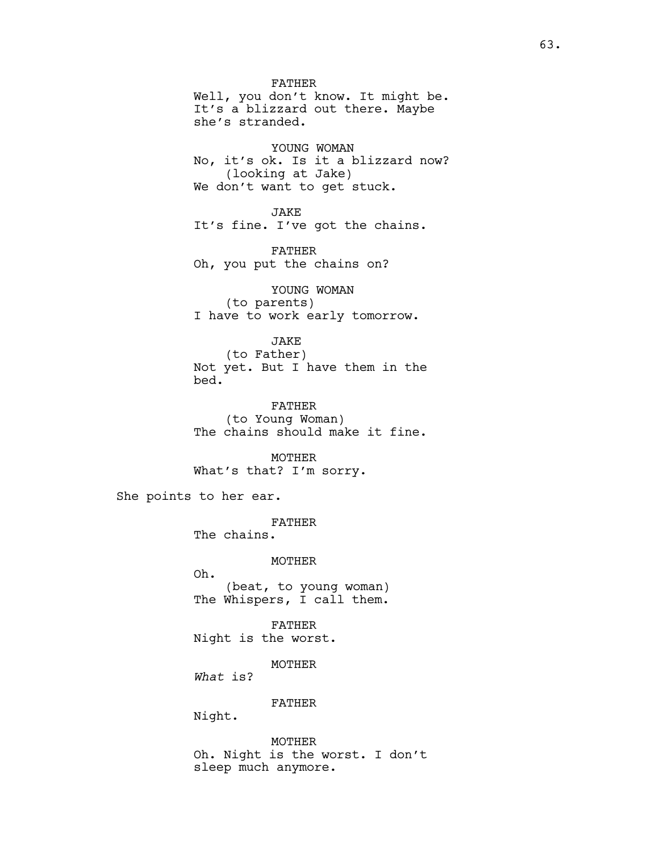FATHER Well, you don't know. It might be. It's a blizzard out there. Maybe she's stranded. YOUNG WOMAN No, it's ok. Is it a blizzard now? (looking at Jake) We don't want to get stuck. JAKE It's fine. I've got the chains. FATHER Oh, you put the chains on? YOUNG WOMAN (to parents) I have to work early tomorrow.

JAKE (to Father) Not yet. But I have them in the bed.

FATHER (to Young Woman) The chains should make it fine.

MOTHER What's that? I'm sorry.

She points to her ear.

FATHER The chains.

MOTHER Oh. (beat, to young woman) The Whispers, I call them.

FATHER Night is the worst.

MOTHER

*What* is?

FATHER

Night.

MOTHER Oh. Night is the worst. I don't sleep much anymore.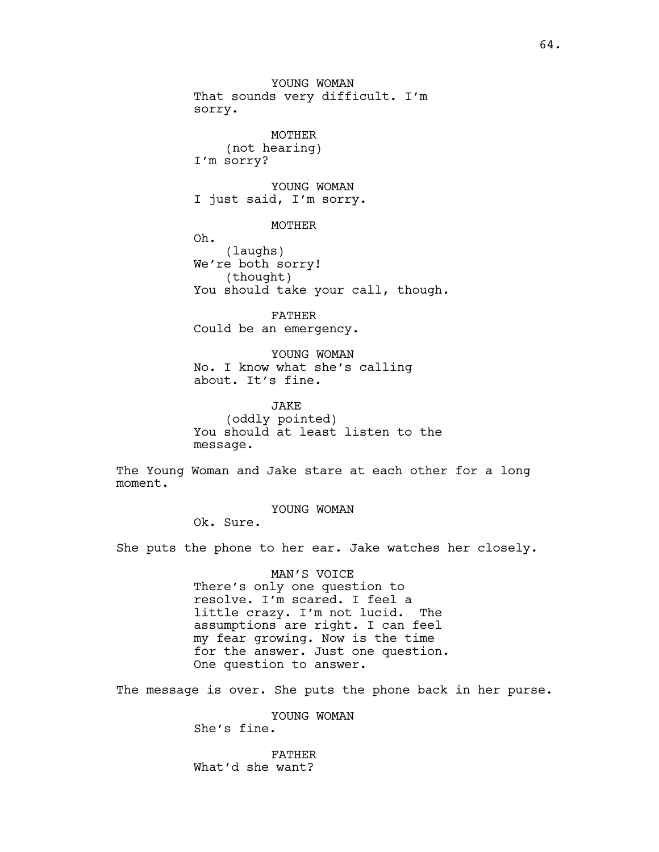MOTHER (not hearing) I'm sorry?

YOUNG WOMAN I just said, I'm sorry.

MOTHER

Oh. (laughs) We're both sorry! (thought) You should take your call, though.

FATHER Could be an emergency.

YOUNG WOMAN No. I know what she's calling about. It's fine.

JAKE (oddly pointed) You should at least listen to the message.

The Young Woman and Jake stare at each other for a long moment.

YOUNG WOMAN

Ok. Sure.

She puts the phone to her ear. Jake watches her closely.

MAN'S VOICE There's only one question to resolve. I'm scared. I feel a little crazy. I'm not lucid. The assumptions are right. I can feel my fear growing. Now is the time for the answer. Just one question. One question to answer.

The message is over. She puts the phone back in her purse.

YOUNG WOMAN She's fine.

FATHER What'd she want?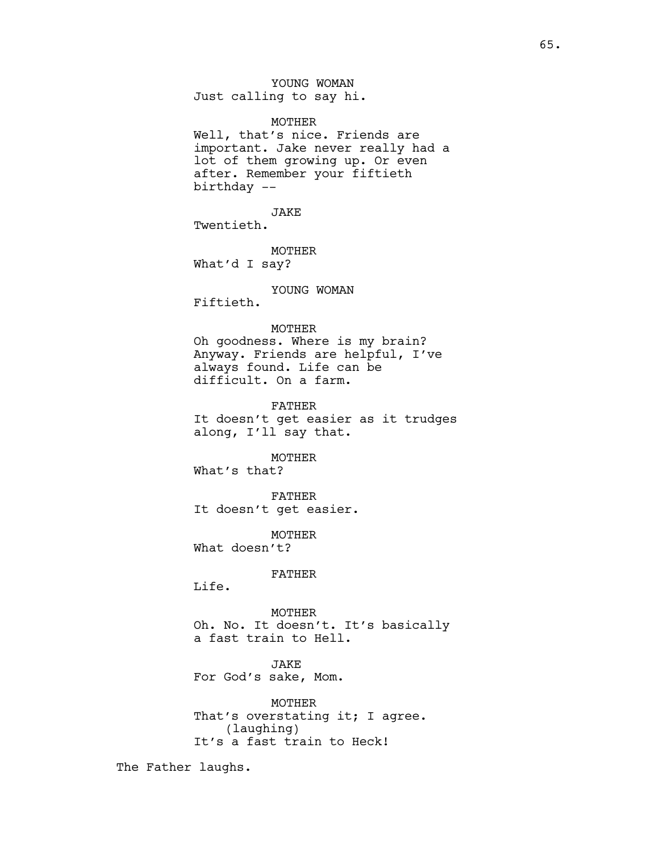YOUNG WOMAN Just calling to say hi.

#### MOTHER

Well, that's nice. Friends are important. Jake never really had a lot of them growing up. Or even after. Remember your fiftieth birthday --

JAKE Twentieth.

MOTHER What'd I say?

## YOUNG WOMAN

Fiftieth.

## MOTHER

Oh goodness. Where is my brain? Anyway. Friends are helpful, I've always found. Life can be difficult. On a farm.

### FATHER

It doesn't get easier as it trudges along, I'll say that.

#### **MOTHER**

What's that?

FATHER It doesn't get easier.

MOTHER What doesn't?

### FATHER

Life.

MOTHER Oh. No. It doesn't. It's basically a fast train to Hell.

JAKE For God's sake, Mom.

MOTHER That's overstating it; I agree. (laughing) It's a fast train to Heck!

The Father laughs.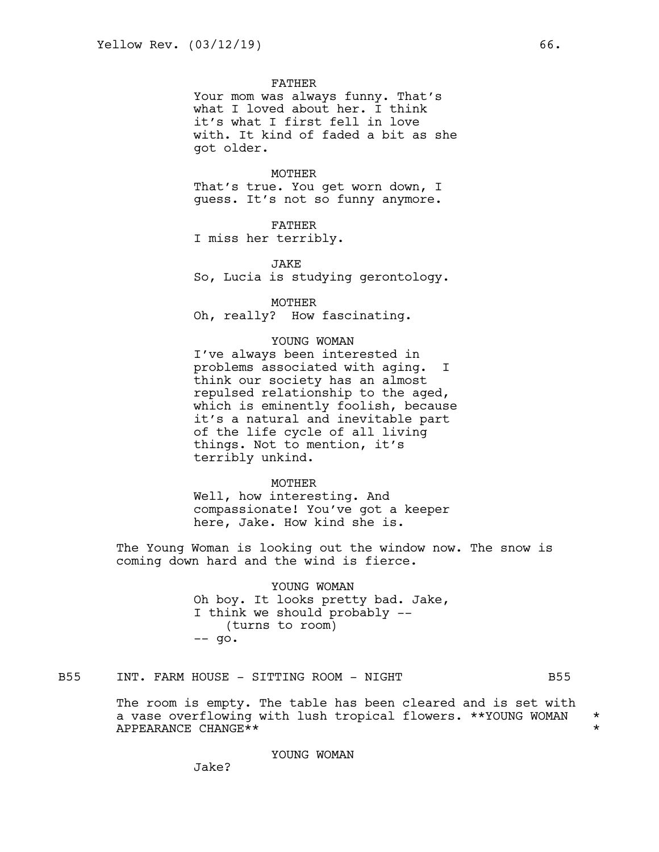FATHER

Your mom was always funny. That's what I loved about her. I think it's what I first fell in love with. It kind of faded a bit as she got older.

#### MOTHER

That's true. You get worn down, I guess. It's not so funny anymore.

FATHER

I miss her terribly.

JAKE

So, Lucia is studying gerontology.

MOTHER Oh, really? How fascinating.

### YOUNG WOMAN

I've always been interested in problems associated with aging. I think our society has an almost repulsed relationship to the aged, which is eminently foolish, because it's a natural and inevitable part of the life cycle of all living things. Not to mention, it's terribly unkind.

**MOTHER** 

Well, how interesting. And compassionate! You've got a keeper here, Jake. How kind she is.

The Young Woman is looking out the window now. The snow is coming down hard and the wind is fierce.

> YOUNG WOMAN Oh boy. It looks pretty bad. Jake, I think we should probably -- (turns to room)  $--$  go.

## B55 INT. FARM HOUSE - SITTING ROOM - NIGHT

The room is empty. The table has been cleared and is set with a vase overflowing with lush tropical flowers. \*\*YOUNG WOMAN \*<br>APPEARANCE CHANGE\*\* APPEARANCE CHANGE\*\* \*

YOUNG WOMAN

Jake?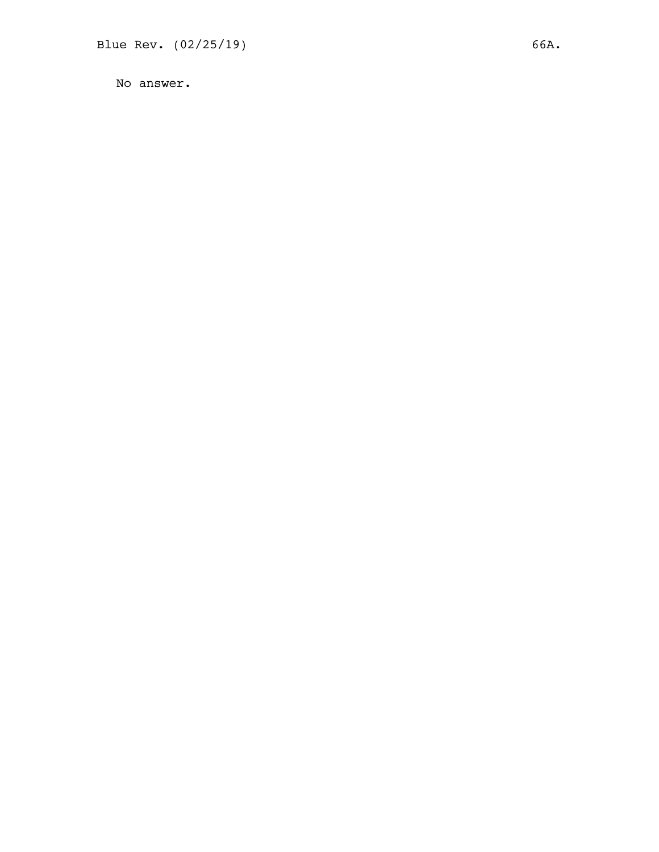No answer.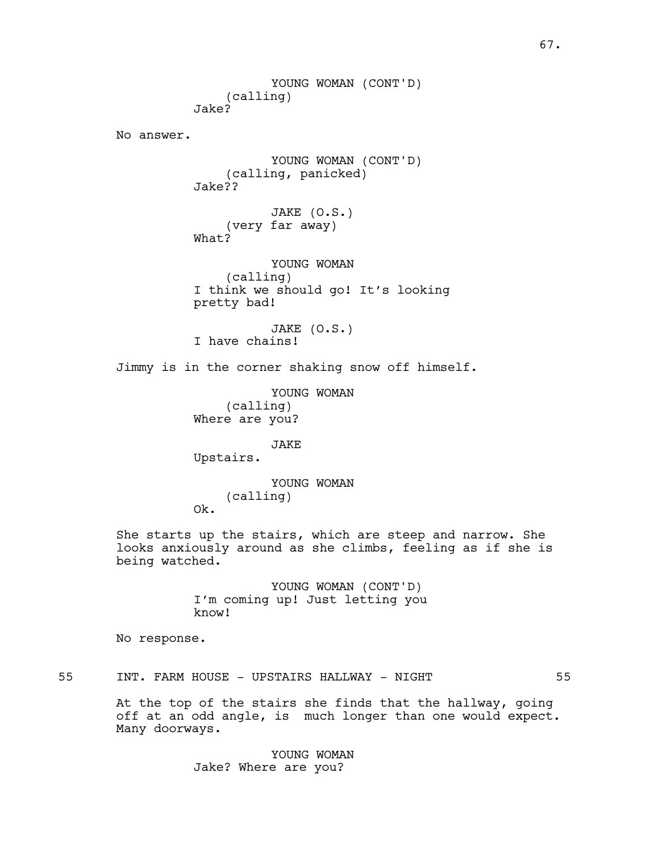YOUNG WOMAN (CONT'D) (calling) Jake? No answer. YOUNG WOMAN (CONT'D) (calling, panicked) Jake?? JAKE (O.S.) (very far away) What? YOUNG WOMAN (calling) I think we should go! It's looking pretty bad! JAKE (O.S.) I have chains! Jimmy is in the corner shaking snow off himself. YOUNG WOMAN (calling) Where are you? JAKE Upstairs. YOUNG WOMAN (calling) Ok. She starts up the stairs, which are steep and narrow. She looks anxiously around as she climbs, feeling as if she is being watched. YOUNG WOMAN (CONT'D) I'm coming up! Just letting you know! No response. 55 INT. FARM HOUSE - UPSTAIRS HALLWAY - NIGHT 55

At the top of the stairs she finds that the hallway, going off at an odd angle, is much longer than one would expect. Many doorways.

> YOUNG WOMAN Jake? Where are you?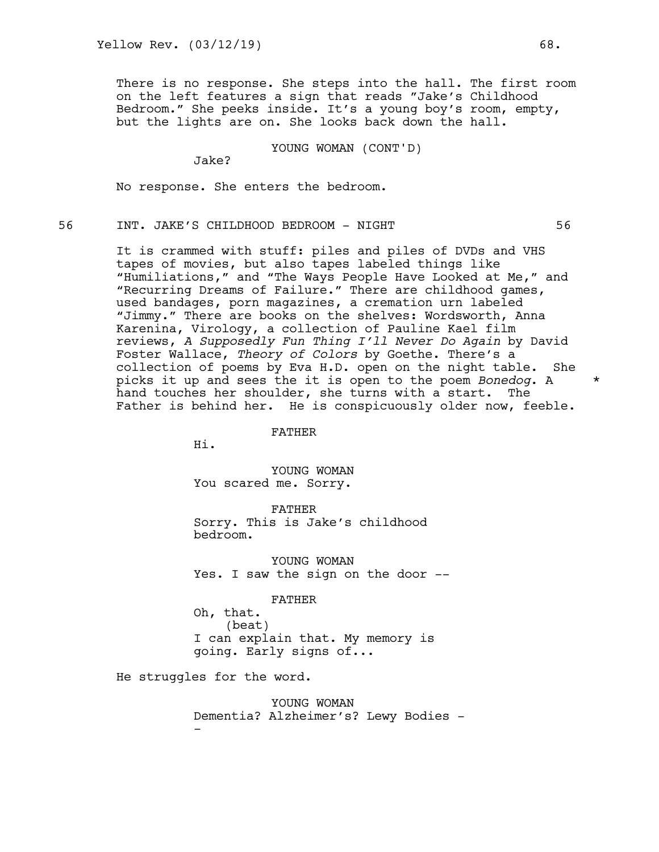There is no response. She steps into the hall. The first room on the left features a sign that reads "Jake's Childhood Bedroom." She peeks inside. It's a young boy's room, empty, but the lights are on. She looks back down the hall.

YOUNG WOMAN (CONT'D)

Jake?

No response. She enters the bedroom.

# 56 INT. JAKE'S CHILDHOOD BEDROOM - NIGHT 56

It is crammed with stuff: piles and piles of DVDs and VHS tapes of movies, but also tapes labeled things like "Humiliations," and "The Ways People Have Looked at Me," and "Recurring Dreams of Failure." There are childhood games, used bandages, porn magazines, a cremation urn labeled "Jimmy." There are books on the shelves: Wordsworth, Anna Karenina, Virology, a collection of Pauline Kael film reviews, *A Supposedly Fun Thing I'll Never Do Again* by David Foster Wallace, *Theory of Colors* by Goethe. There's a collection of poems by Eva H.D. open on the night table. She picks it up and sees the it is open to the poem *Bonedog*. A \* hand touches her shoulder, she turns with a start. The Father is behind her. He is conspicuously older now, feeble.

FATHER

Hi.

YOUNG WOMAN You scared me. Sorry.

FATHER Sorry. This is Jake's childhood bedroom.

YOUNG WOMAN Yes. I saw the sign on the door --

FATHER

Oh, that. (beat) I can explain that. My memory is going. Early signs of...

He struggles for the word.

YOUNG WOMAN Dementia? Alzheimer's? Lewy Bodies - -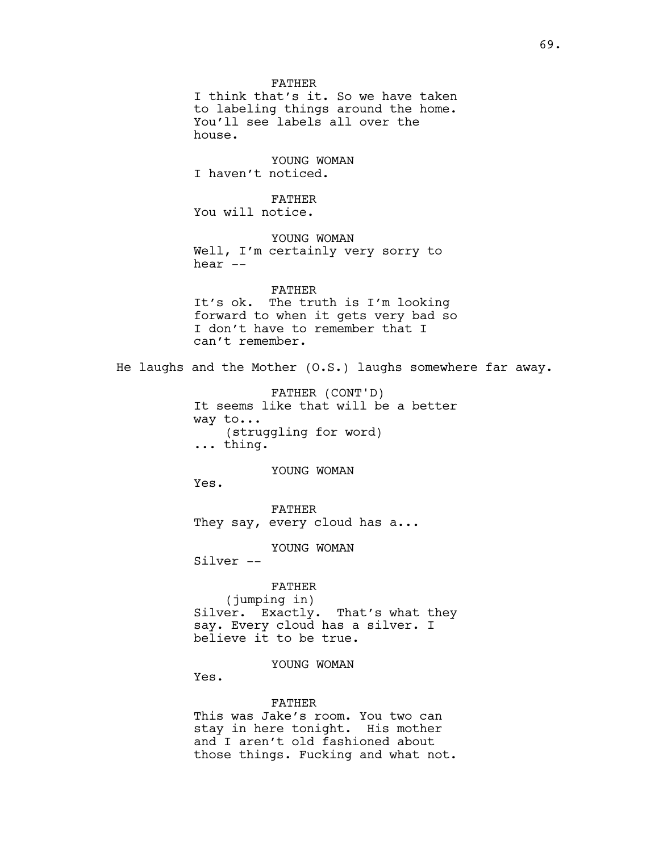FATHER I think that's it. So we have taken to labeling things around the home. You'll see labels all over the house. YOUNG WOMAN I haven't noticed. FATHER You will notice. YOUNG WOMAN Well, I'm certainly very sorry to hear -- FATHER It's ok. The truth is I'm looking forward to when it gets very bad so I don't have to remember that I can't remember. He laughs and the Mother (O.S.) laughs somewhere far away. FATHER (CONT'D) It seems like that will be a better way to... (struggling for word) ... thing. YOUNG WOMAN Yes. FATHER They say, every cloud has a... YOUNG WOMAN Silver -- FATHER (jumping in) Silver. Exactly. That's what they say. Every cloud has a silver. I believe it to be true. YOUNG WOMAN Yes. FATHER This was Jake's room. You two can stay in here tonight. His mother

> and I aren't old fashioned about those things. Fucking and what not.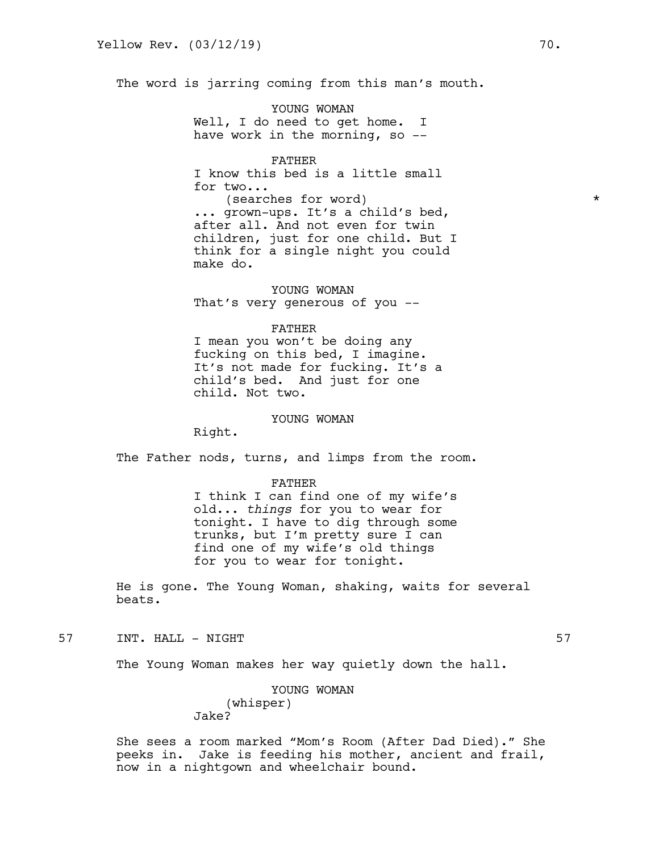The word is jarring coming from this man's mouth.

YOUNG WOMAN Well, I do need to get home. I have work in the morning, so --

FATHER I know this bed is a little small for two... (searches for word) \* ... grown-ups. It's a child's bed, after all. And not even for twin children, just for one child. But I think for a single night you could make do.

YOUNG WOMAN That's very generous of you --

#### FATHER

I mean you won't be doing any fucking on this bed, I imagine. It's not made for fucking. It's a child's bed. And just for one child. Not two.

#### YOUNG WOMAN

Right.

The Father nods, turns, and limps from the room.

#### FATHER

I think I can find one of my wife's old... *things* for you to wear for tonight. I have to dig through some trunks, but I'm pretty sure I can find one of my wife's old things for you to wear for tonight.

He is gone. The Young Woman, shaking, waits for several beats.

# 57 INT. HALL - NIGHT 57

The Young Woman makes her way quietly down the hall.

## YOUNG WOMAN (whisper) Jake?

She sees a room marked "Mom's Room (After Dad Died)." She peeks in. Jake is feeding his mother, ancient and frail, now in a nightgown and wheelchair bound.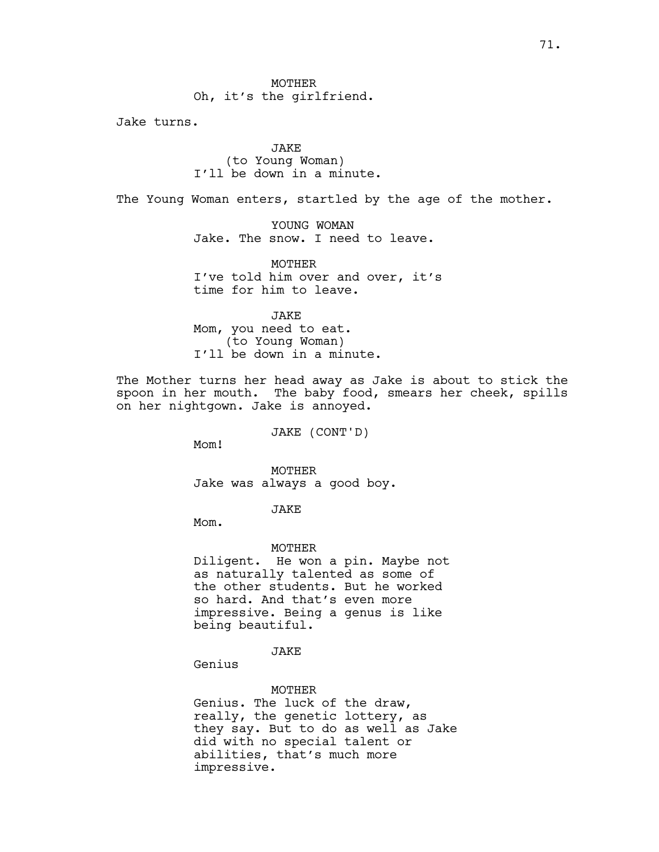**MOTHER** Oh, it's the girlfriend.

Jake turns.

# JAKE (to Young Woman) I'll be down in a minute.

The Young Woman enters, startled by the age of the mother.

YOUNG WOMAN Jake. The snow. I need to leave.

MOTHER I've told him over and over, it's time for him to leave.

JAKE Mom, you need to eat. (to Young Woman) I'll be down in a minute.

The Mother turns her head away as Jake is about to stick the spoon in her mouth. The baby food, smears her cheek, spills on her nightgown. Jake is annoyed.

JAKE (CONT'D)

Mom!

MOTHER Jake was always a good boy.

JAKE

Mom.

#### MOTHER

Diligent. He won a pin. Maybe not as naturally talented as some of the other students. But he worked so hard. And that's even more impressive. Being a genus is like being beautiful.

JAKE

Genius

### MOTHER

Genius. The luck of the draw, really, the genetic lottery, as they say. But to do as well as Jake did with no special talent or abilities, that's much more impressive.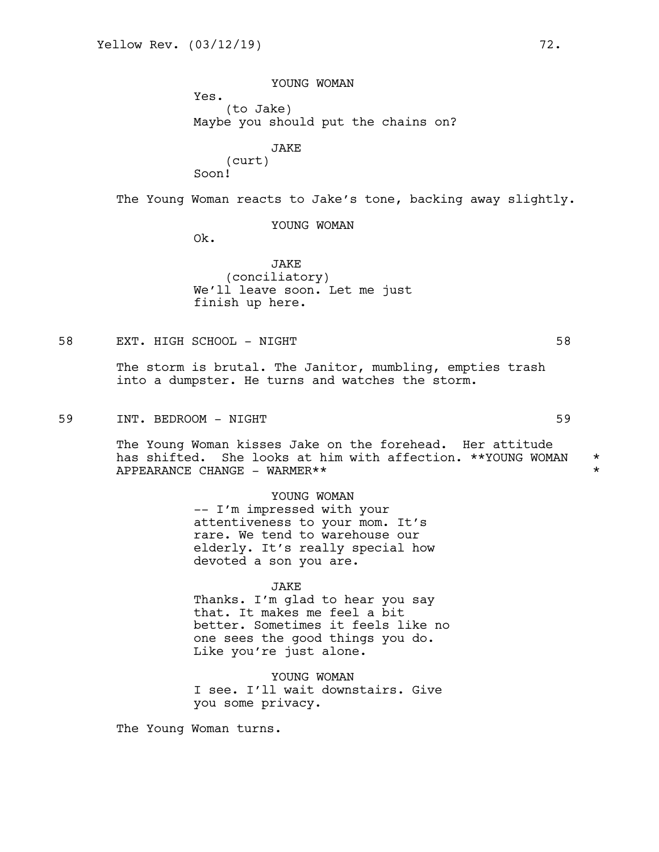YOUNG WOMAN Yes. (to Jake) Maybe you should put the chains on? JAKE

(curt)

Soon!

The Young Woman reacts to Jake's tone, backing away slightly.

YOUNG WOMAN

Ok.

JAKE (conciliatory) We'll leave soon. Let me just finish up here.

58 EXT. HIGH SCHOOL - NIGHT 58

The storm is brutal. The Janitor, mumbling, empties trash into a dumpster. He turns and watches the storm.

59 INT. BEDROOM - NIGHT 59

The Young Woman kisses Jake on the forehead. Her attitude has shifted. She looks at him with affection. \*\*YOUNG WOMAN \* APPEARANCE CHANGE - WARMER\*\*

YOUNG WOMAN

-- I'm impressed with your attentiveness to your mom. It's rare. We tend to warehouse our elderly. It's really special how devoted a son you are.

#### JAKE

Thanks. I'm glad to hear you say that. It makes me feel a bit better. Sometimes it feels like no one sees the good things you do. Like you're just alone.

YOUNG WOMAN I see. I'll wait downstairs. Give you some privacy.

The Young Woman turns.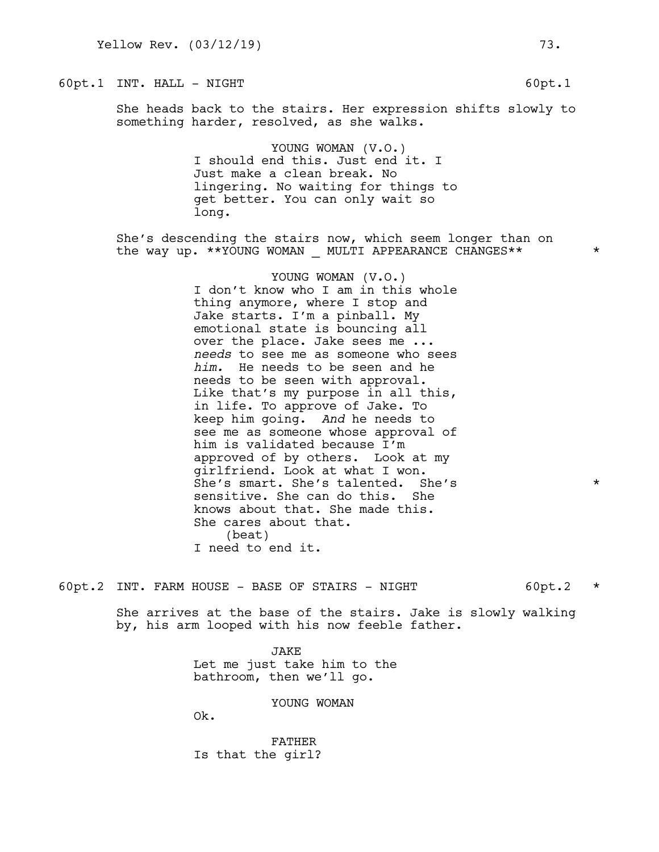## 60pt.1 INT. HALL - NIGHT 60pt.1 60pt.1

She heads back to the stairs. Her expression shifts slowly to something harder, resolved, as she walks.

> YOUNG WOMAN (V.O.) I should end this. Just end it. I Just make a clean break. No lingering. No waiting for things to get better. You can only wait so long.

She's descending the stairs now, which seem longer than on the way up. \*\*YOUNG WOMAN \_\_ MULTI APPEARANCE CHANGES\*\*  $\rightarrow$ 

> YOUNG WOMAN (V.O.) I don't know who I am in this whole thing anymore, where I stop and Jake starts. I'm a pinball. My emotional state is bouncing all over the place. Jake sees me ... *needs* to see me as someone who sees *him.* He needs to be seen and he needs to be seen with approval. Like that's my purpose in all this, in life. To approve of Jake. To keep him going. *And* he needs to see me as someone whose approval of him is validated because I'm approved of by others. Look at my girlfriend. Look at what I won. She's smart. She's talented. She's \* sensitive. She can do this. She knows about that. She made this. She cares about that. (beat) I need to end it.

 $60pt.2$  INT. FARM HOUSE - BASE OF STAIRS - NIGHT 60pt.2  $*$ 

She arrives at the base of the stairs. Jake is slowly walking by, his arm looped with his now feeble father.

> JAKE Let me just take him to the bathroom, then we'll go.

> > YOUNG WOMAN

Ok.

FATHER Is that the girl?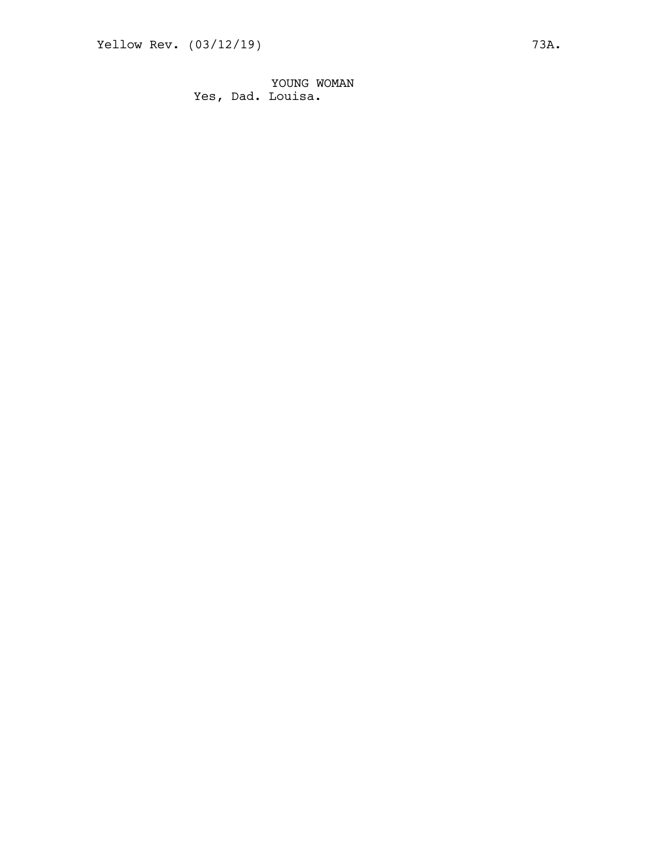YOUNG WOMAN Yes, Dad. Louisa.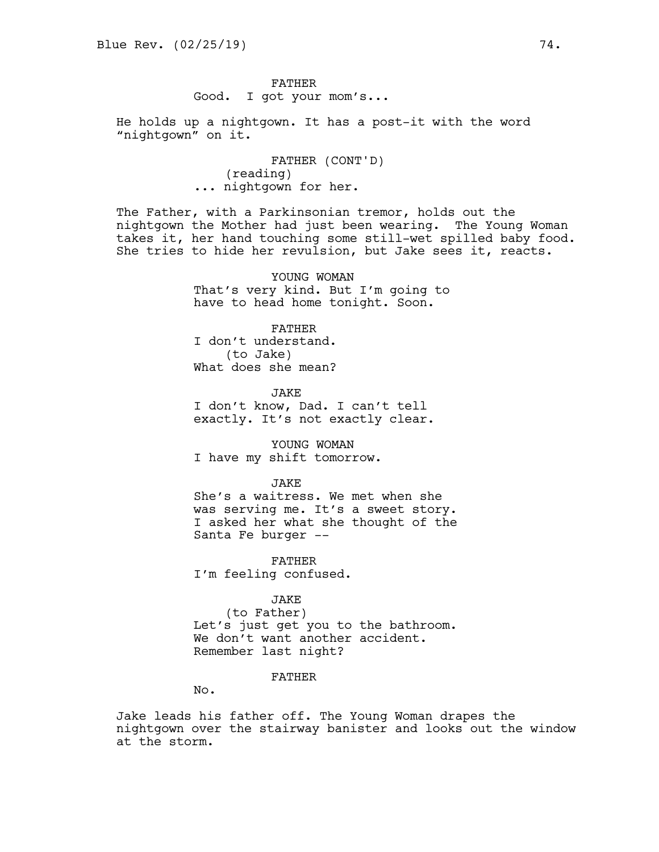FATHER Good. I got your mom's...

He holds up a nightgown. It has a post-it with the word "nightgown" on it.

> FATHER (CONT'D) (reading) ... nightgown for her.

The Father, with a Parkinsonian tremor, holds out the nightgown the Mother had just been wearing. The Young Woman takes it, her hand touching some still-wet spilled baby food. She tries to hide her revulsion, but Jake sees it, reacts.

> YOUNG WOMAN That's very kind. But I'm going to have to head home tonight. Soon.

FATHER I don't understand. (to Jake) What does she mean?

**JAKE** I don't know, Dad. I can't tell exactly. It's not exactly clear.

YOUNG WOMAN I have my shift tomorrow.

**JAKE** 

She's a waitress. We met when she was serving me. It's a sweet story. I asked her what she thought of the Santa Fe burger --

FATHER I'm feeling confused.

JAKE

(to Father) Let's just get you to the bathroom. We don't want another accident. Remember last night?

## FATHER

No.

Jake leads his father off. The Young Woman drapes the nightgown over the stairway banister and looks out the window at the storm.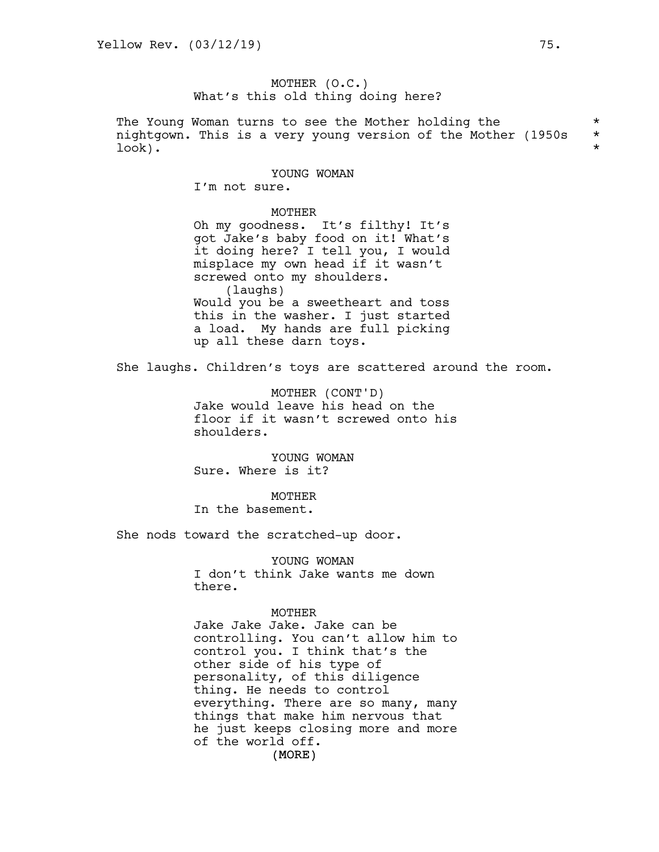# MOTHER (O.C.) What's this old thing doing here?

The Young Woman turns to see the Mother holding the \* nightgown. This is a very young version of the Mother (1950s \* look). \*

### YOUNG WOMAN

I'm not sure.

MOTHER Oh my goodness. It's filthy! It's got Jake's baby food on it! What's it doing here? I tell you, I would misplace my own head if it wasn't screwed onto my shoulders. (laughs) Would you be a sweetheart and toss this in the washer. I just started a load. My hands are full picking up all these darn toys.

She laughs. Children's toys are scattered around the room.

MOTHER (CONT'D) Jake would leave his head on the floor if it wasn't screwed onto his shoulders.

YOUNG WOMAN Sure. Where is it?

MOTHER In the basement.

She nods toward the scratched-up door.

YOUNG WOMAN I don't think Jake wants me down there.

#### MOTHER

(MORE) Jake Jake Jake. Jake can be controlling. You can't allow him to control you. I think that's the other side of his type of personality, of this diligence thing. He needs to control everything. There are so many, many things that make him nervous that he just keeps closing more and more of the world off.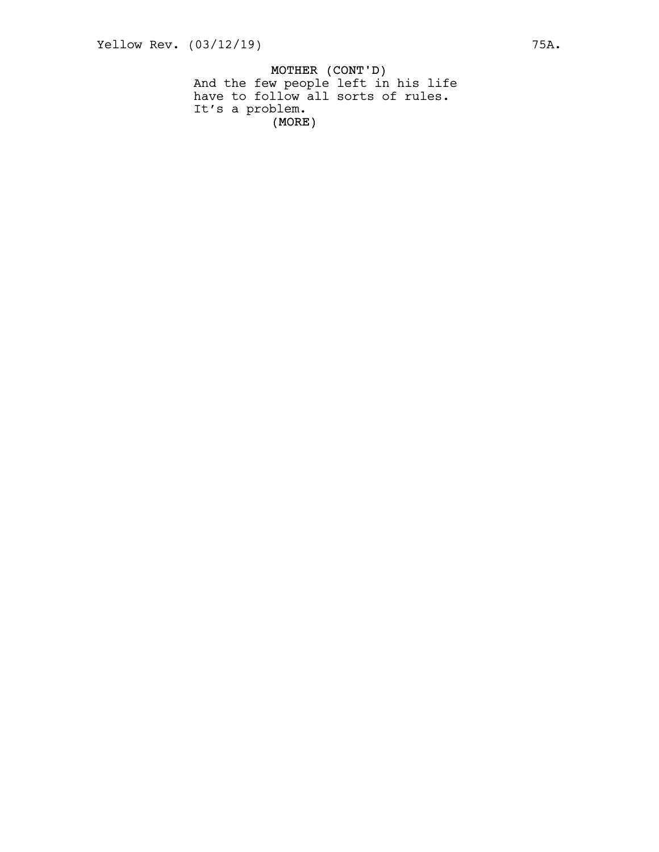MOTHER (CONT'D) (MORE) And the few people left in his life have to follow all sorts of rules. It's a problem.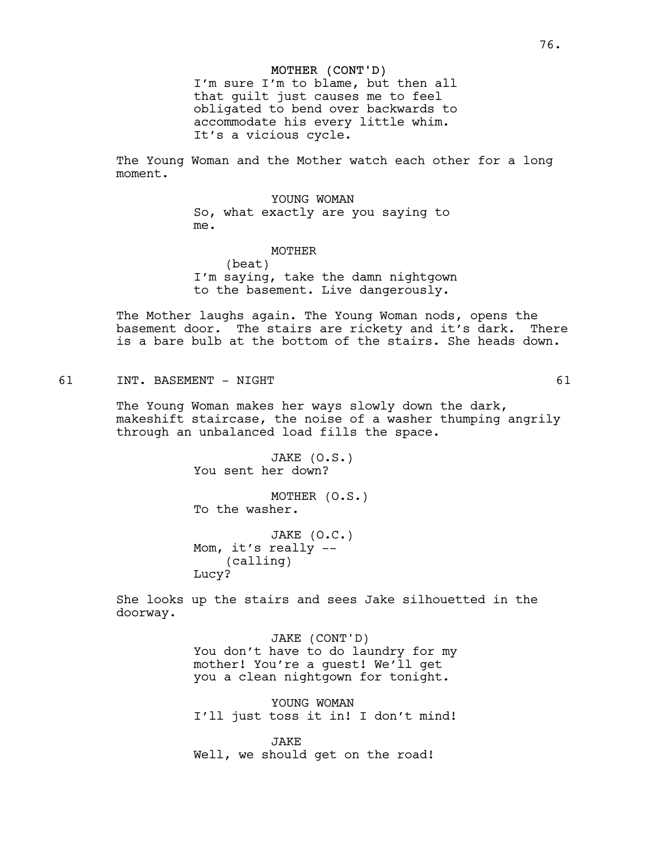#### MOTHER (CONT'D)

I'm sure I'm to blame, but then all that guilt just causes me to feel obligated to bend over backwards to accommodate his every little whim. It's a vicious cycle.

The Young Woman and the Mother watch each other for a long moment.

> YOUNG WOMAN So, what exactly are you saying to me.

# MOTHER

(beat) I'm saying, take the damn nightgown to the basement. Live dangerously.

The Mother laughs again. The Young Woman nods, opens the basement door. The stairs are rickety and it's dark. There is a bare bulb at the bottom of the stairs. She heads down.

61 INT. BASEMENT - NIGHT 61

The Young Woman makes her ways slowly down the dark, makeshift staircase, the noise of a washer thumping angrily through an unbalanced load fills the space.

> JAKE (O.S.) You sent her down?

MOTHER (O.S.) To the washer.

JAKE (O.C.) Mom, it's really -- (calling) Lucy?

She looks up the stairs and sees Jake silhouetted in the doorway.

> JAKE (CONT'D) You don't have to do laundry for my mother! You're a guest! We'll get you a clean nightgown for tonight.

> YOUNG WOMAN I'll just toss it in! I don't mind!

JAKE Well, we should get on the road!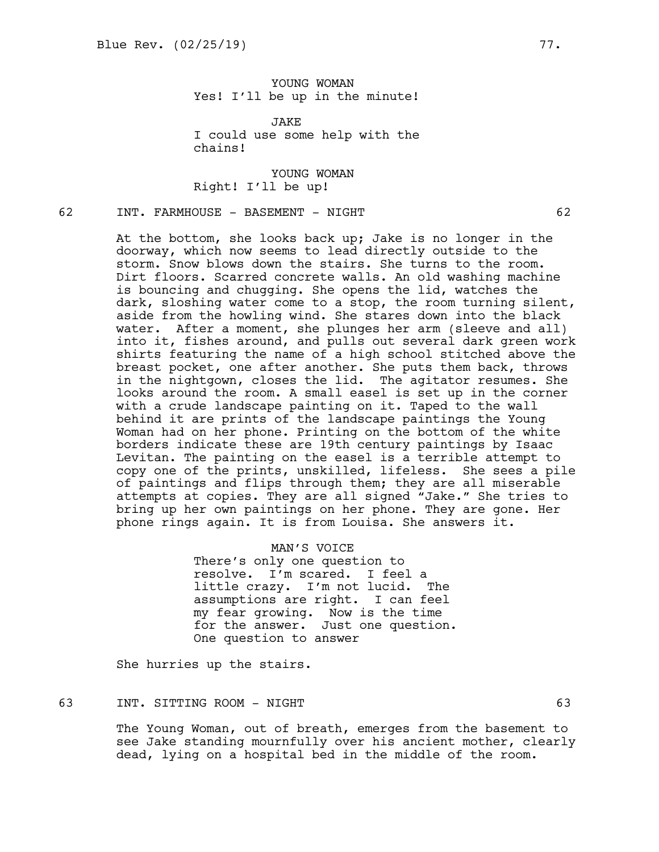YOUNG WOMAN Yes! I'll be up in the minute!

JAKE I could use some help with the chains!

YOUNG WOMAN Right! I'll be up!

# 62 INT. FARMHOUSE - BASEMENT - NIGHT 62

At the bottom, she looks back up; Jake is no longer in the doorway, which now seems to lead directly outside to the storm. Snow blows down the stairs. She turns to the room. Dirt floors. Scarred concrete walls. An old washing machine is bouncing and chugging. She opens the lid, watches the dark, sloshing water come to a stop, the room turning silent, aside from the howling wind. She stares down into the black water. After a moment, she plunges her arm (sleeve and all) into it, fishes around, and pulls out several dark green work shirts featuring the name of a high school stitched above the breast pocket, one after another. She puts them back, throws in the nightgown, closes the lid. The agitator resumes. She looks around the room. A small easel is set up in the corner with a crude landscape painting on it. Taped to the wall behind it are prints of the landscape paintings the Young Woman had on her phone. Printing on the bottom of the white borders indicate these are 19th century paintings by Isaac Levitan. The painting on the easel is a terrible attempt to copy one of the prints, unskilled, lifeless. She sees a pile of paintings and flips through them; they are all miserable attempts at copies. They are all signed "Jake." She tries to bring up her own paintings on her phone. They are gone. Her phone rings again. It is from Louisa. She answers it.

> MAN'S VOICE There's only one question to resolve. I'm scared. I feel a little crazy. I'm not lucid. The assumptions are right. I can feel my fear growing. Now is the time for the answer. Just one question. One question to answer

She hurries up the stairs.

## 63 INT. SITTING ROOM - NIGHT 63

The Young Woman, out of breath, emerges from the basement to see Jake standing mournfully over his ancient mother, clearly dead, lying on a hospital bed in the middle of the room.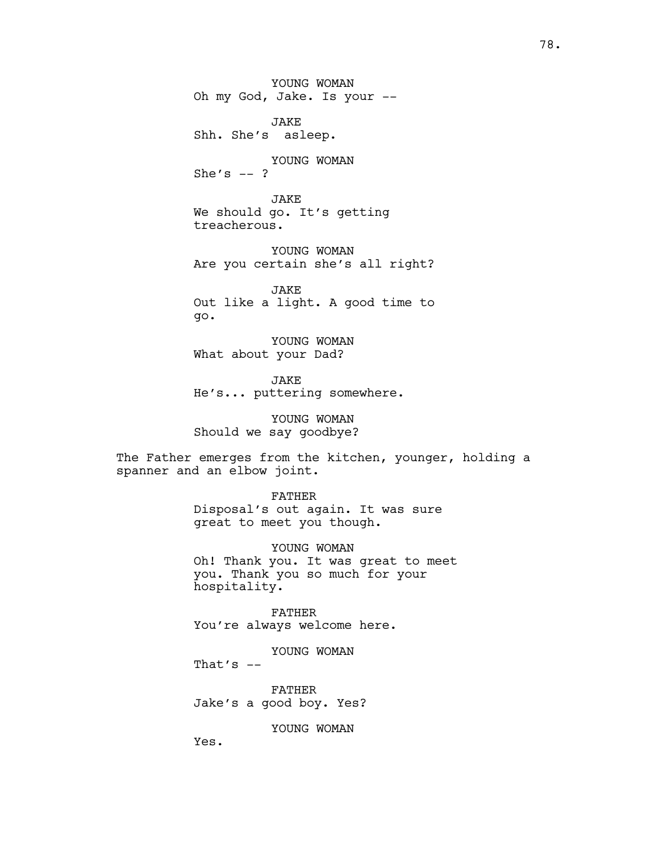YOUNG WOMAN Oh my God, Jake. Is your --

JAKE Shh. She's asleep.

YOUNG WOMAN She's  $--$  ?

JAKE We should go. It's getting treacherous.

YOUNG WOMAN Are you certain she's all right?

JAKE Out like a light. A good time to go.

YOUNG WOMAN What about your Dad?

JAKE He's... puttering somewhere.

YOUNG WOMAN Should we say goodbye?

The Father emerges from the kitchen, younger, holding a spanner and an elbow joint.

> FATHER Disposal's out again. It was sure great to meet you though.

YOUNG WOMAN Oh! Thank you. It was great to meet you. Thank you so much for your hospitality.

FATHER You're always welcome here.

YOUNG WOMAN

That's  $--$ 

FATHER Jake's a good boy. Yes?

YOUNG WOMAN

Yes.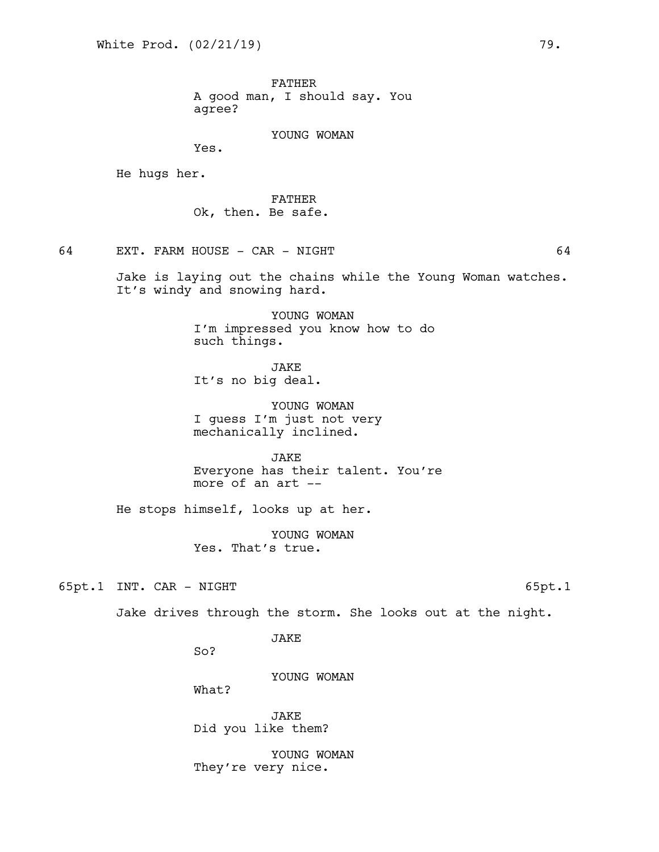FATHER A good man, I should say. You agree?

### YOUNG WOMAN

Yes.

He hugs her.

FATHER Ok, then. Be safe.

64 EXT. FARM HOUSE - CAR - NIGHT 64

Jake is laying out the chains while the Young Woman watches. It's windy and snowing hard.

> YOUNG WOMAN I'm impressed you know how to do such things.

**JAKE** It's no big deal.

YOUNG WOMAN I guess I'm just not very mechanically inclined.

JAKE Everyone has their talent. You're more of an art --

He stops himself, looks up at her.

YOUNG WOMAN Yes. That's true.

65pt.1 INT. CAR - NIGHT 65pt.1

Jake drives through the storm. She looks out at the night.

JAKE

So?

YOUNG WOMAN

What?

JAKE Did you like them?

YOUNG WOMAN They're very nice.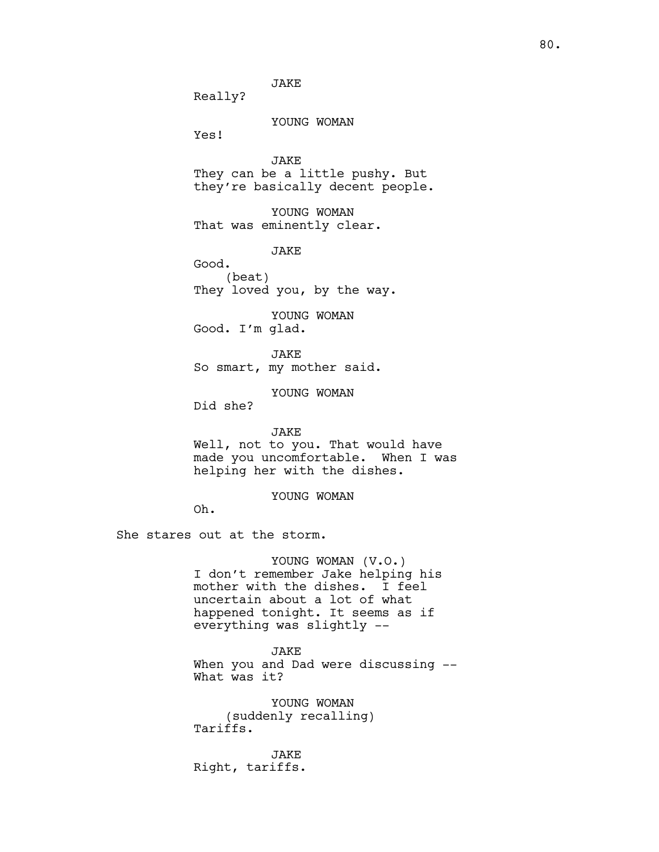JAKE

Really?

## YOUNG WOMAN

Yes!

JAKE They can be a little pushy. But they're basically decent people.

YOUNG WOMAN That was eminently clear.

**JAKE** 

Good. (beat) They loved you, by the way.

YOUNG WOMAN Good. I'm glad.

JAKE So smart, my mother said.

YOUNG WOMAN

Did she?

#### JAKE

Well, not to you. That would have made you uncomfortable. When I was helping her with the dishes.

## YOUNG WOMAN

Oh.

She stares out at the storm.

YOUNG WOMAN (V.O.) I don't remember Jake helping his mother with the dishes. I feel uncertain about a lot of what happened tonight. It seems as if everything was slightly --

JAKE When you and Dad were discussing --What was it?

YOUNG WOMAN (suddenly recalling) Tariffs.

JAKE Right, tariffs.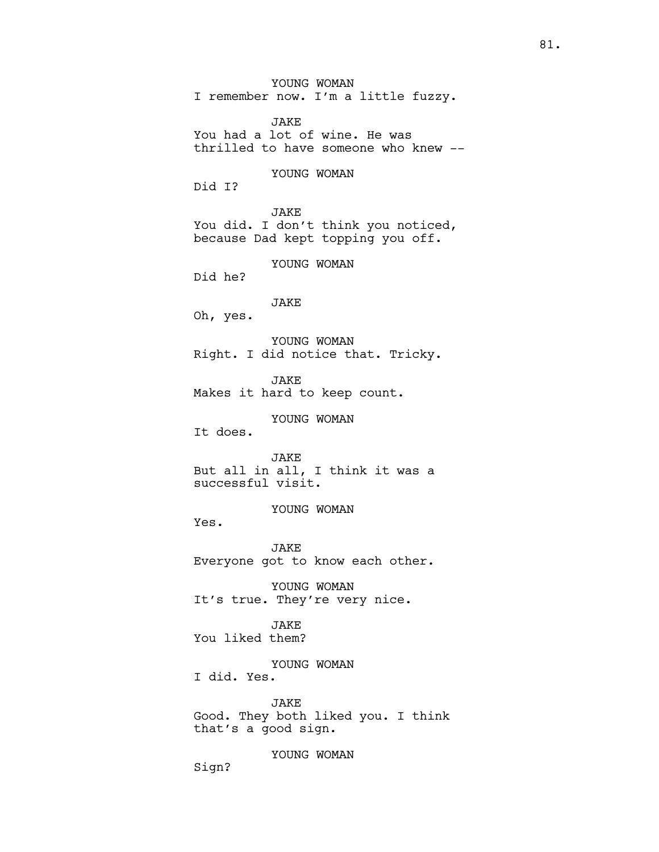YOUNG WOMAN

I remember now. I'm a little fuzzy.

JAKE You had a lot of wine. He was thrilled to have someone who knew --

## YOUNG WOMAN

Did I?

JAKE You did. I don't think you noticed, because Dad kept topping you off.

YOUNG WOMAN

Did he?

JAKE

Oh, yes.

YOUNG WOMAN Right. I did notice that. Tricky.

JAKE

Makes it hard to keep count.

YOUNG WOMAN

It does.

JAKE But all in all, I think it was a successful visit.

YOUNG WOMAN

Yes.

JAKE Everyone got to know each other.

YOUNG WOMAN It's true. They're very nice.

JAKE You liked them?

YOUNG WOMAN

I did. Yes.

JAKE Good. They both liked you. I think that's a good sign.

YOUNG WOMAN

Sign?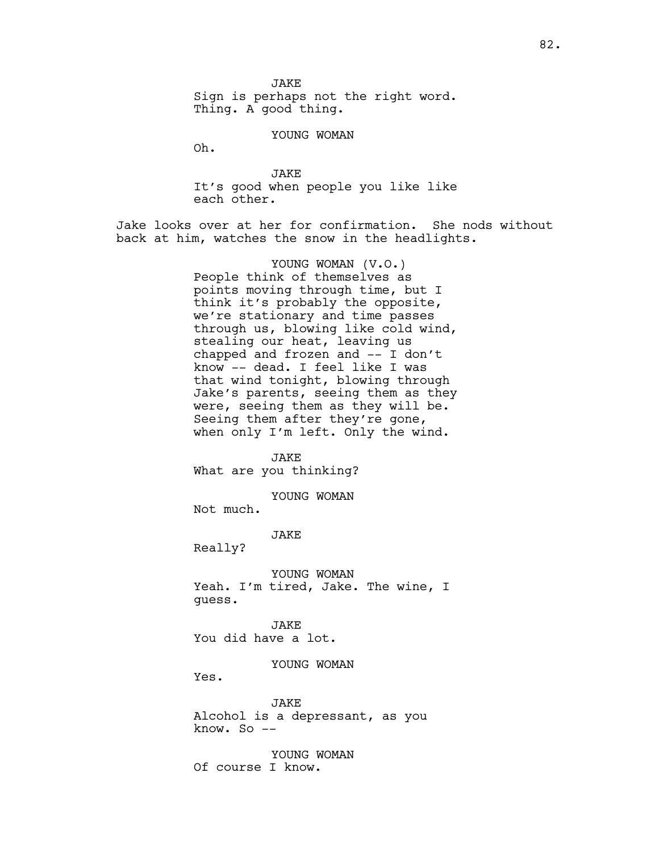**JAKE** Sign is perhaps not the right word. Thing. A good thing.

YOUNG WOMAN

Oh.

JAKE It's good when people you like like each other.

Jake looks over at her for confirmation. She nods without back at him, watches the snow in the headlights.

> YOUNG WOMAN (V.O.) People think of themselves as points moving through time, but I think it's probably the opposite, we're stationary and time passes through us, blowing like cold wind, stealing our heat, leaving us chapped and frozen and -- I don't know -- dead. I feel like I was that wind tonight, blowing through Jake's parents, seeing them as they were, seeing them as they will be. Seeing them after they're gone, when only I'm left. Only the wind.

JAKE What are you thinking?

YOUNG WOMAN

Not much.

JAKE

Really?

YOUNG WOMAN Yeah. I'm tired, Jake. The wine, I guess.

JAKE You did have a lot.

YOUNG WOMAN

Yes.

JAKE Alcohol is a depressant, as you know. So --

YOUNG WOMAN Of course I know.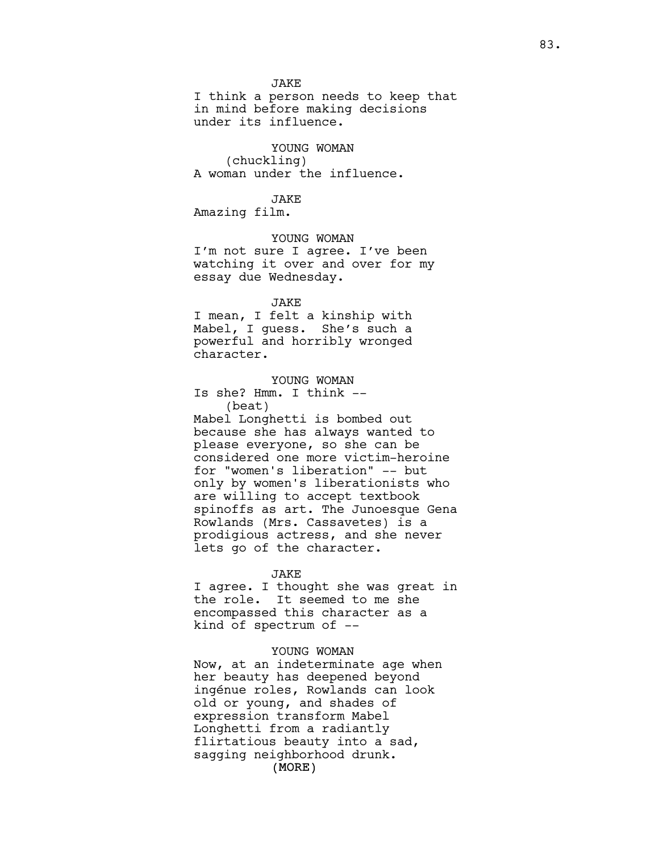**JAKE** 

I think a person needs to keep that in mind before making decisions under its influence.

YOUNG WOMAN (chuckling) A woman under the influence.

JAKE

Amazing film.

YOUNG WOMAN I'm not sure I agree. I've been watching it over and over for my essay due Wednesday.

JAKE I mean, I felt a kinship with Mabel, I guess. She's such a powerful and horribly wronged character.

YOUNG WOMAN Is she? Hmm. I think -- (beat) Mabel Longhetti is bombed out because she has always wanted to please everyone, so she can be considered one more victim-heroine

for "women's liberation" -- but only by women's liberationists who are willing to accept textbook spinoffs as art. The Junoesque Gena Rowlands (Mrs. Cassavetes) is a prodigious actress, and she never lets go of the character.

#### JAKE

I agree. I thought she was great in the role. It seemed to me she encompassed this character as a kind of spectrum of --

## YOUNG WOMAN

(MORE) Now, at an indeterminate age when her beauty has deepened beyond ingénue roles, Rowlands can look old or young, and shades of expression transform Mabel Longhetti from a radiantly flirtatious beauty into a sad, sagging neighborhood drunk.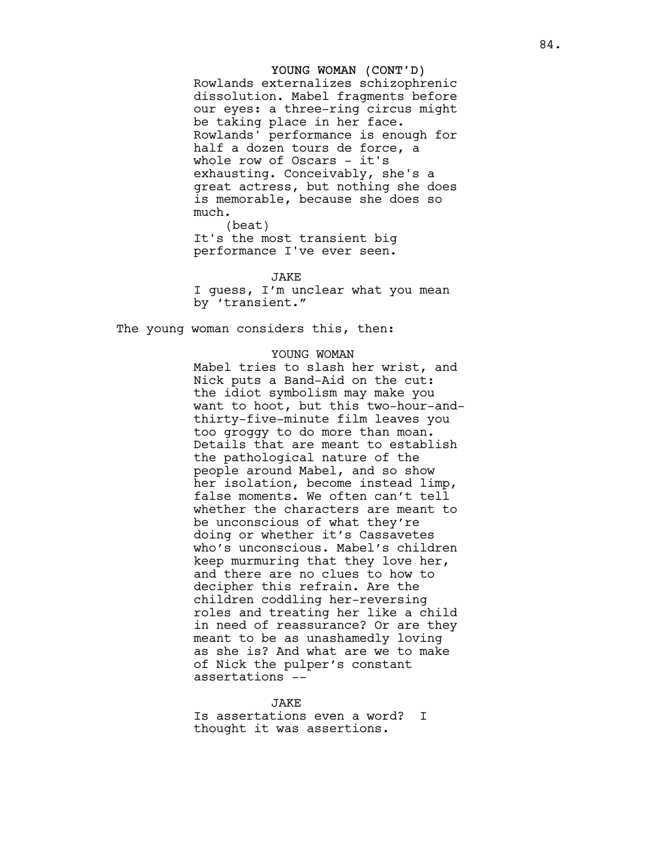### YOUNG WOMAN (CONT'D)

Rowlands externalizes schizophrenic dissolution. Mabel fragments before our eyes: a three-ring circus might be taking place in her face. Rowlands' performance is enough for half a dozen tours de force, a whole row of Oscars – it's exhausting. Conceivably, she's a great actress, but nothing she does is memorable, because she does so m u c h .<br>(beat)

It's the most transient big performance I've ever seen.

J A K E

I guess, I'm unclear what you mean by 'transient."

The young woman considers this, then:

# YOUNG WOMAN

Mabel tries to slash her wrist, and Nick puts a Band-Aid on the cut: the idiot symbolism may make you want to hoot, but this two-hour-andthirty-five-minute film leaves you too groggy to do more than moan. Details that are meant to establish the pathological nature of the people around Mabel, and so show her isolation, become instead limp, false moments. We often can't tell whether the characters are meant to be unconscious of what they're doing or whether it's Cassavetes who's unconscious. Mabel's children keep murmuring that they love her, and there are no clues to how to decipher this refrain. Are the children coddling her-reversing roles and treating her like a child in need of reassurance? Or are they meant to be as unashamedly loving as she is? And what are we to make of Nick the pulper's constant assertations --

# J A K E

Is assertations even a word? I thought it was assertions.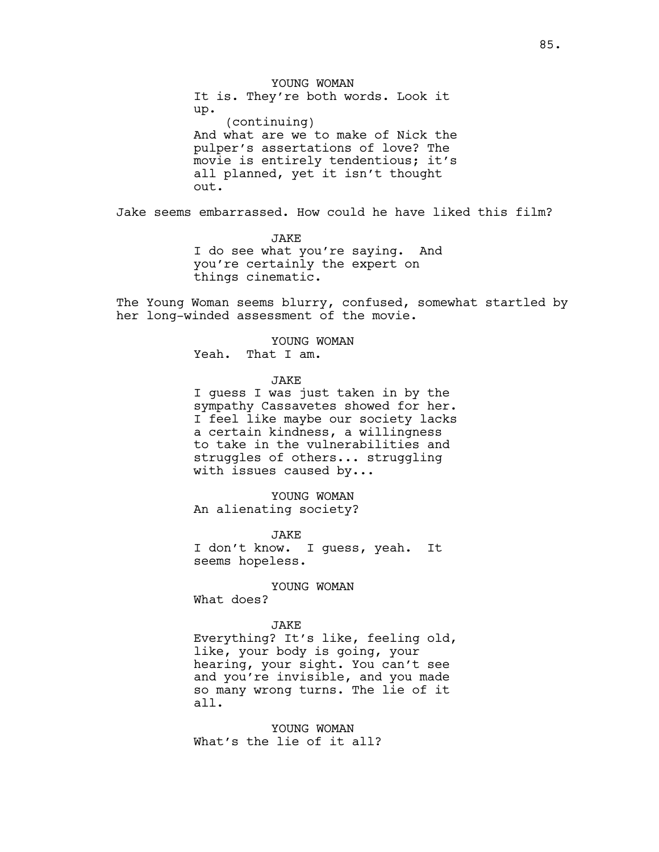YOUNG WOMAN It is. They're both words. Look it up. (continuing) And what are we to make of Nick the pulper's assertations of love? The movie is entirely tendentious; it's all planned, yet it isn't thought out.

Jake seems embarrassed. How could he have liked this film?

JAKE I do see what you're saying. And you're certainly the expert on things cinematic.

The Young Woman seems blurry, confused, somewhat startled by her long-winded assessment of the movie.

> YOUNG WOMAN Yeah. That I am.

> > JAKE

I guess I was just taken in by the sympathy Cassavetes showed for her. I feel like maybe our society lacks a certain kindness, a willingness to take in the vulnerabilities and struggles of others... struggling with issues caused by...

YOUNG WOMAN An alienating society?

JAKE I don't know. I guess, yeah. It seems hopeless.

YOUNG WOMAN

What does?

JAKE

Everything? It's like, feeling old, like, your body is going, your hearing, your sight. You can't see and you're invisible, and you made so many wrong turns. The lie of it all.

YOUNG WOMAN What's the lie of it all?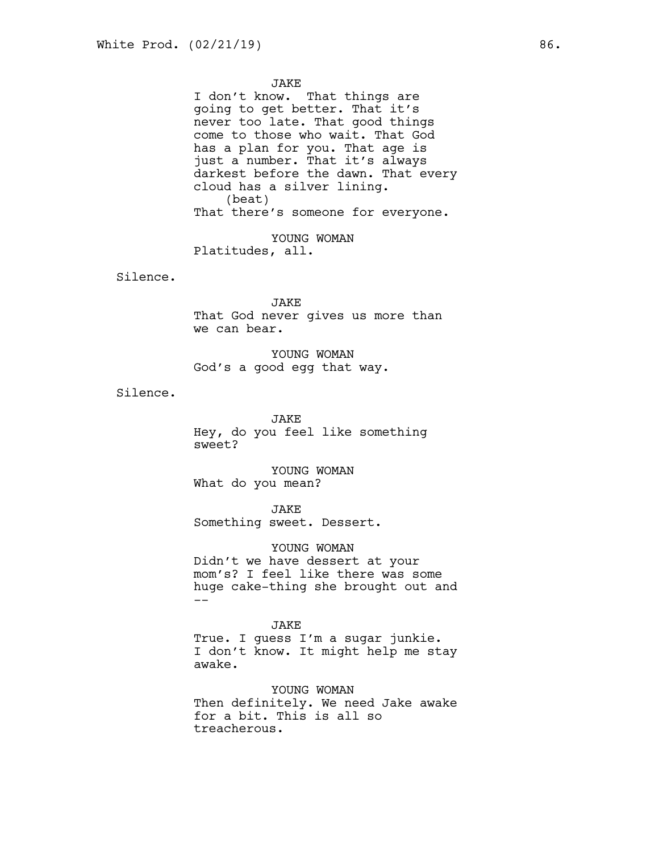### JAKE

I don't know. That things are going to get better. That it's never too late. That good things come to those who wait. That God has a plan for you. That age is just a number. That it's always darkest before the dawn. That every cloud has a silver lining. (beat) That there's someone for everyone.

YOUNG WOMAN Platitudes, all.

Silence.

JAKE That God never gives us more than we can bear.

YOUNG WOMAN God's a good egg that way.

Silence.

JAKE Hey, do you feel like something sweet?

YOUNG WOMAN What do you mean?

JAKE Something sweet. Dessert.

YOUNG WOMAN Didn't we have dessert at your mom's? I feel like there was some huge cake-thing she brought out and --

JAKE True. I guess I'm a sugar junkie. I don't know. It might help me stay awake.

YOUNG WOMAN Then definitely. We need Jake awake for a bit. This is all so treacherous.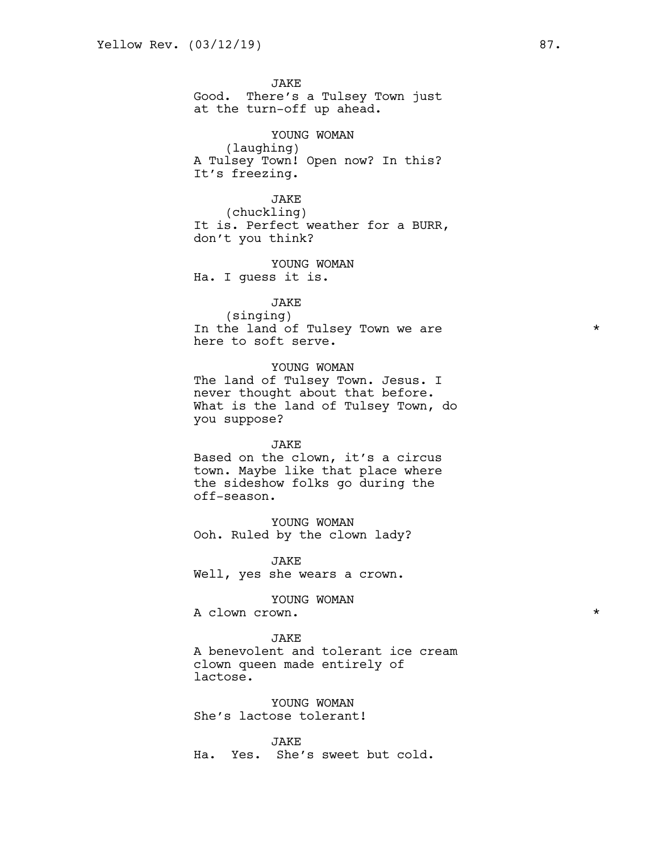JAKE Good. There's a Tulsey Town just at the turn-off up ahead.

YOUNG WOMAN (laughing) A Tulsey Town! Open now? In this? It's freezing.

JAKE (chuckling) It is. Perfect weather for a BURR, don't you think?

YOUNG WOMAN Ha. I guess it is.

JAKE (singing) In the land of Tulsey Town we are  $*$ here to soft serve.

YOUNG WOMAN The land of Tulsey Town. Jesus. I never thought about that before. What is the land of Tulsey Town, do you suppose?

JAKE Based on the clown, it's a circus town. Maybe like that place where the sideshow folks go during the off-season.

YOUNG WOMAN Ooh. Ruled by the clown lady?

JAKE Well, yes she wears a crown.

YOUNG WOMAN

A clown crown.  $\star$ 

#### JAKE

A benevolent and tolerant ice cream clown queen made entirely of lactose.

YOUNG WOMAN She's lactose tolerant!

JAKE Ha. Yes. She's sweet but cold.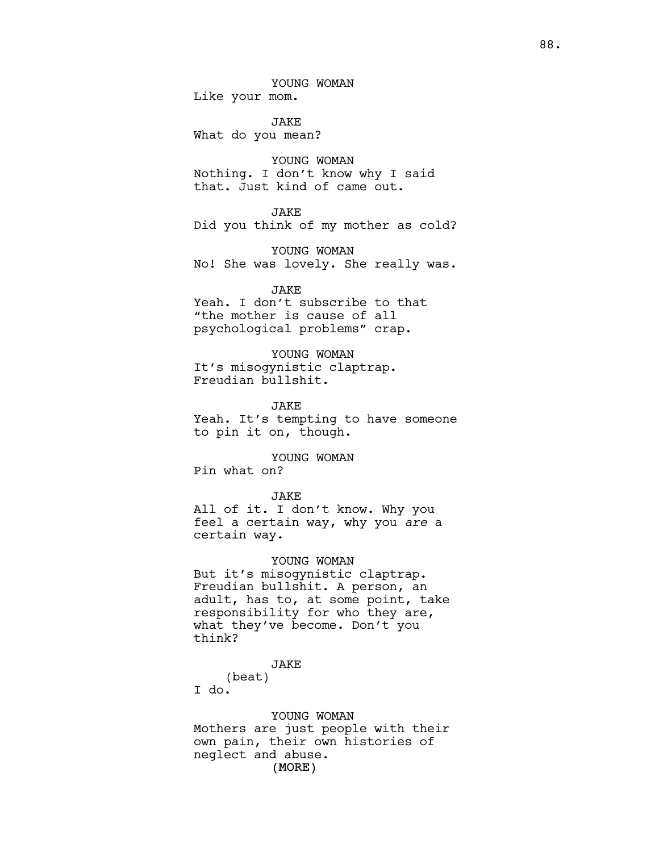YOUNG WOMAN Like your mom.

JAKE What do you mean?

YOUNG WOMAN Nothing. I don't know why I said that. Just kind of came out.

JAKE

Did you think of my mother as cold?

YOUNG WOMAN No! She was lovely. She really was.

JAKE

Yeah. I don't subscribe to that "the mother is cause of all psychological problems" crap.

YOUNG WOMAN It's misogynistic claptrap. Freudian bullshit.

JAKE Yeah. It's tempting to have someone to pin it on, though.

YOUNG WOMAN Pin what on?

### JAKE

All of it. I don't know. Why you feel a certain way, why you *are* a certain way.

YOUNG WOMAN But it's misogynistic claptrap. Freudian bullshit. A person, an adult, has to, at some point, take responsibility for who they are, what they've become. Don't you think?

## JAKE

(beat) I do.

(MORE) YOUNG WOMAN Mothers are just people with their own pain, their own histories of neglect and abuse.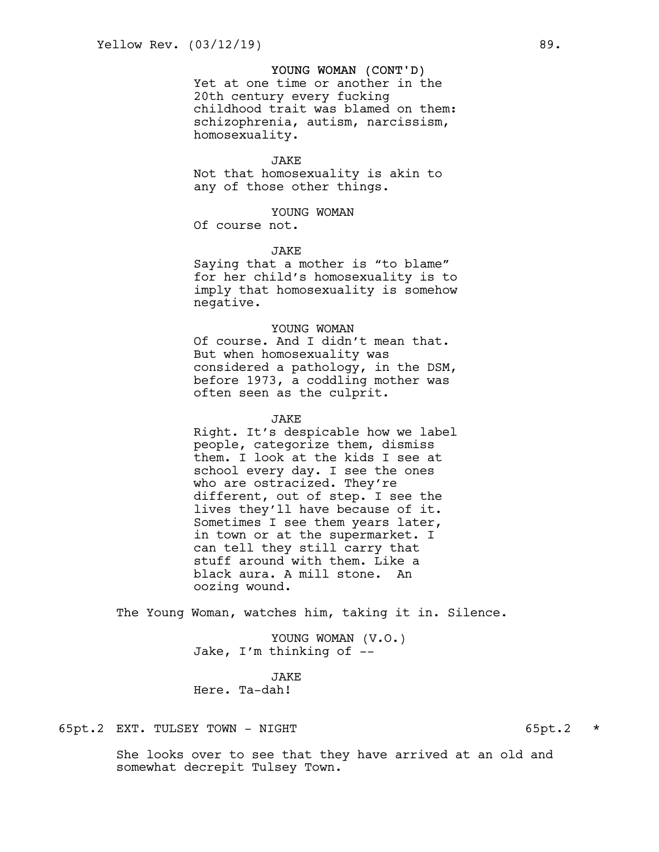## YOUNG WOMAN (CONT'D)

Yet at one time or another in the 20th century every fucking childhood trait was blamed on them: schizophrenia, autism, narcissism, homosexuality.

#### JAKE

Not that homosexuality is akin to any of those other things.

## YOUNG WOMAN

Of course not.

### **JAKE**

Saying that a mother is "to blame" for her child's homosexuality is to imply that homosexuality is somehow negative.

## YOUNG WOMAN

Of course. And I didn't mean that. But when homosexuality was considered a pathology, in the DSM, before 1973, a coddling mother was often seen as the culprit.

## JAKE

Right. It's despicable how we label people, categorize them, dismiss them. I look at the kids I see at school every day. I see the ones who are ostracized. They're different, out of step. I see the lives they'll have because of it. Sometimes I see them years later, in town or at the supermarket. I can tell they still carry that stuff around with them. Like a black aura. A mill stone. An oozing wound.

The Young Woman, watches him, taking it in. Silence.

YOUNG WOMAN (V.O.) Jake, I'm thinking of --

**JAKE** Here. Ta-dah!

# 65pt.2 EXT. TULSEY TOWN - NIGHT 65pt.2 \*

She looks over to see that they have arrived at an old and somewhat decrepit Tulsey Town.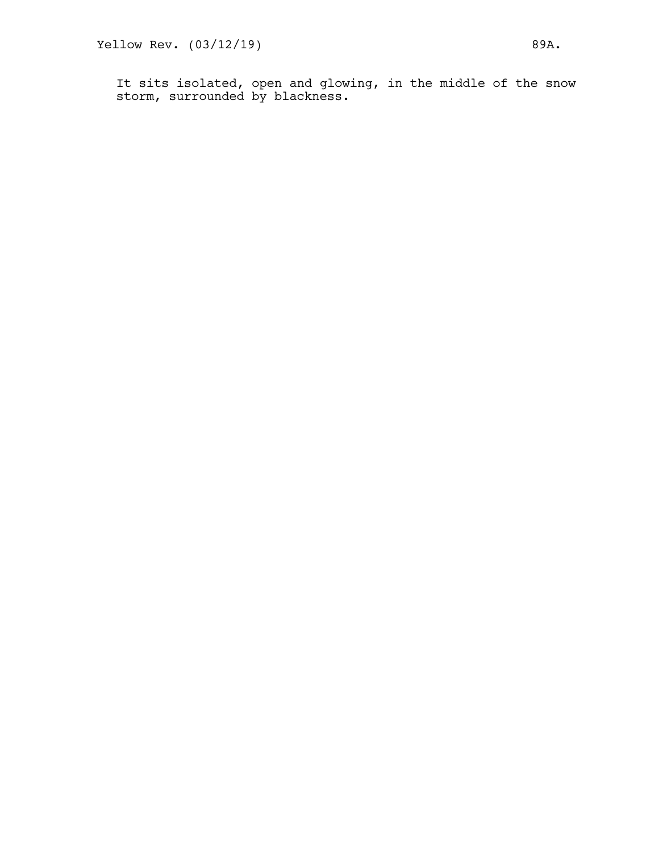It sits isolated, open and glowing, in the middle of the snow storm, surrounded by blackness.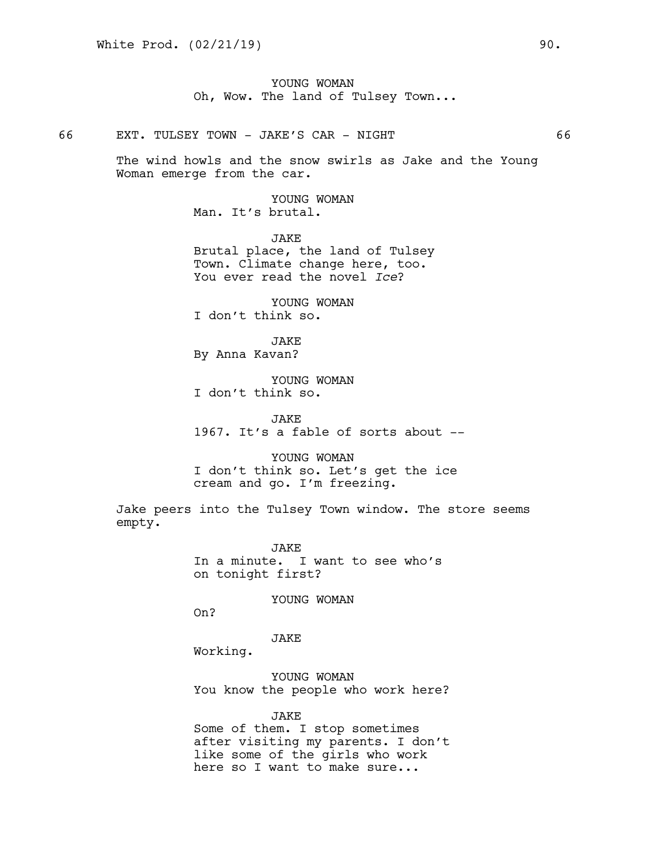YOUNG WOMAN Oh, Wow. The land of Tulsey Town...

66 EXT. TULSEY TOWN - JAKE'S CAR - NIGHT 66

The wind howls and the snow swirls as Jake and the Young Woman emerge from the car.

> YOUNG WOMAN Man. It's brutal.

JAKE Brutal place, the land of Tulsey Town. Climate change here, too. You ever read the novel *Ice*?

YOUNG WOMAN I don't think so.

JAKE By Anna Kavan?

YOUNG WOMAN I don't think so.

JAKE 1967. It's a fable of sorts about --

YOUNG WOMAN I don't think so. Let's get the ice cream and go. I'm freezing.

Jake peers into the Tulsey Town window. The store seems empty.

> JAKE In a minute. I want to see who's on tonight first?

> > YOUNG WOMAN

On?

JAKE

Working.

YOUNG WOMAN You know the people who work here?

JAKE Some of them. I stop sometimes after visiting my parents. I don't like some of the girls who work here so I want to make sure...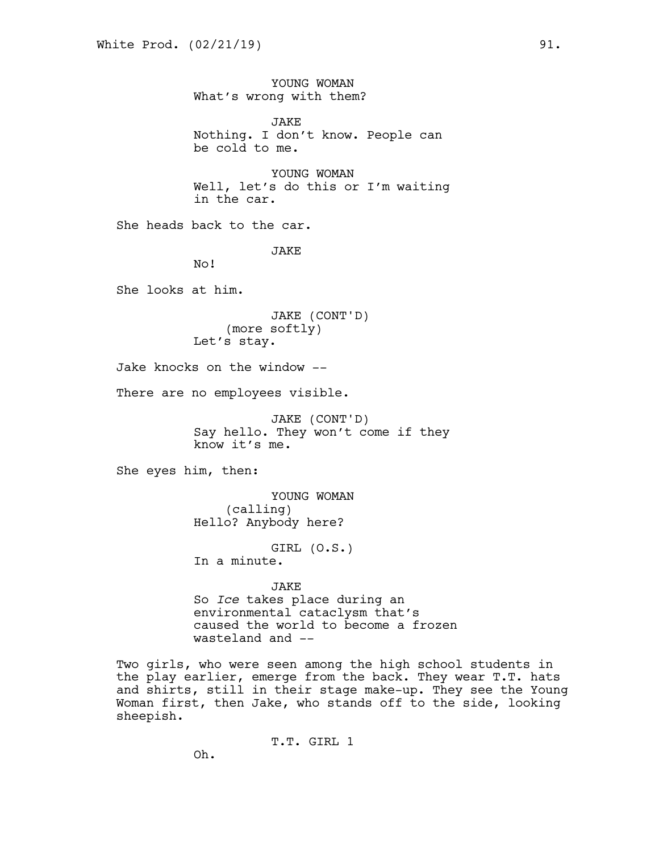YOUNG WOMAN What's wrong with them? JAKE Nothing. I don't know. People can be cold to me. YOUNG WOMAN Well, let's do this or I'm waiting in the car. She heads back to the car. **JAKE** No! She looks at him. JAKE (CONT'D) (more softly) Let's stay. Jake knocks on the window -- There are no employees visible. JAKE (CONT'D) Say hello. They won't come if they know it's me. She eyes him, then: YOUNG WOMAN (calling) Hello? Anybody here? GIRL (O.S.) In a minute. JAKE So *Ice* takes place during an environmental cataclysm that's caused the world to become a frozen wasteland and -- Two girls, who were seen among the high school students in the play earlier, emerge from the back. They wear T.T. hats and shirts, still in their stage make-up. They see the Young Woman first, then Jake, who stands off to the side, looking sheepish.

T.T. GIRL 1

Oh.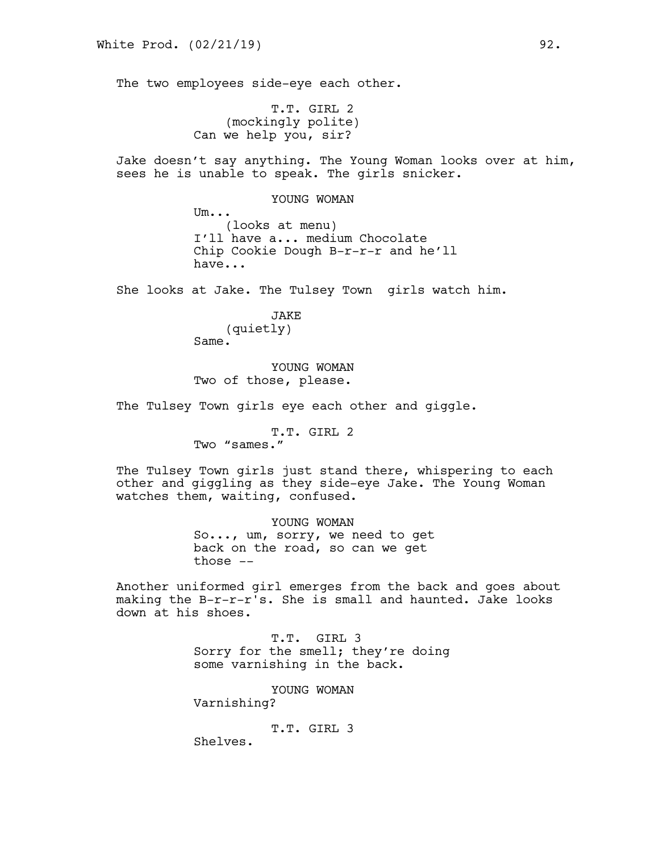The two employees side-eye each other.

T.T. GIRL 2 (mockingly polite) Can we help you, sir?

Jake doesn't say anything. The Young Woman looks over at him, sees he is unable to speak. The girls snicker.

### YOUNG WOMAN

Um... (looks at menu) I'll have a... medium Chocolate Chip Cookie Dough B-r-r-r and he'll have...

She looks at Jake. The Tulsey Town girls watch him.

JAKE (quietly) Same.

YOUNG WOMAN Two of those, please.

The Tulsey Town girls eye each other and giggle.

T.T. GIRL 2 Two "sames."

The Tulsey Town girls just stand there, whispering to each other and giggling as they side-eye Jake. The Young Woman watches them, waiting, confused.

> YOUNG WOMAN So..., um, sorry, we need to get back on the road, so can we get those --

Another uniformed girl emerges from the back and goes about making the B-r-r-r's. She is small and haunted. Jake looks down at his shoes.

> T.T. GIRL 3 Sorry for the smell; they're doing some varnishing in the back.

YOUNG WOMAN Varnishing?

T.T. GIRL 3

Shelves.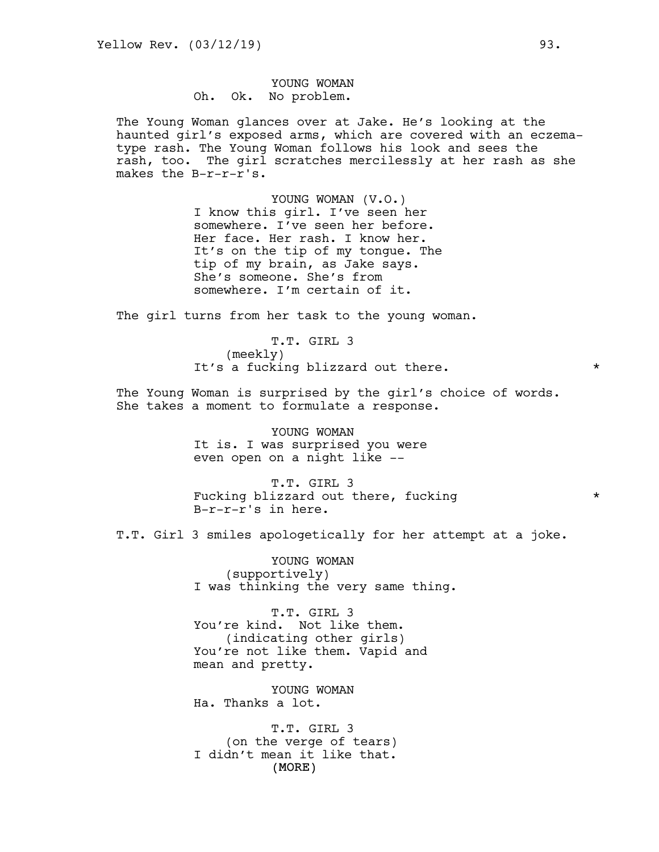# YOUNG WOMAN Oh. Ok. No problem.

The Young Woman glances over at Jake. He's looking at the haunted girl's exposed arms, which are covered with an eczematype rash. The Young Woman follows his look and sees the rash, too. The girl scratches mercilessly at her rash as she makes the B-r-r-r's.

> YOUNG WOMAN (V.O.) I know this girl. I've seen her somewhere. I've seen her before. Her face. Her rash. I know her. It's on the tip of my tongue. The tip of my brain, as Jake says. She's someone. She's from somewhere. I'm certain of it.

The girl turns from her task to the young woman.

T.T. GIRL 3 (meekly) It's a fucking blizzard out there.  $*$ 

The Young Woman is surprised by the girl's choice of words. She takes a moment to formulate a response.

> YOUNG WOMAN It is. I was surprised you were even open on a night like --

T.T. GIRL 3 Fucking blizzard out there, fucking  $*$ B-r-r-r's in here.

T.T. Girl 3 smiles apologetically for her attempt at a joke.

YOUNG WOMAN (supportively) I was thinking the very same thing.

T.T. GIRL 3 You're kind. Not like them. (indicating other girls) You're not like them. Vapid and mean and pretty.

YOUNG WOMAN Ha. Thanks a lot.

(MORE) T.T. GIRL 3 (on the verge of tears) I didn't mean it like that.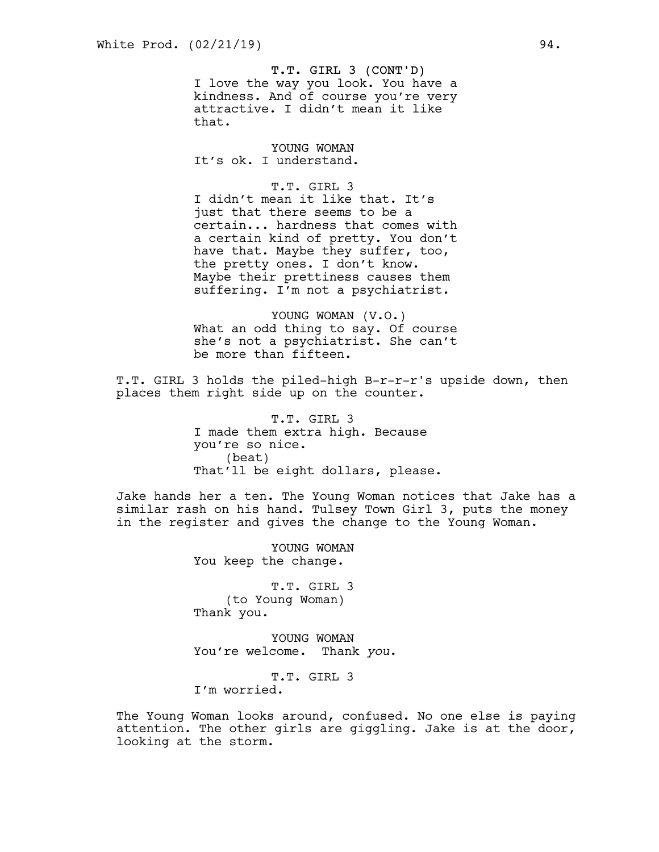#### T.T. GIRL 3 (CONT'D)

I love the way you look. You have a kindness. And of course you're very attractive. I didn't mean it like that.

YOUNG WOMAN It's ok. I understand.

# T.T. GIRL 3

I didn't mean it like that. It's just that there seems to be a certain... hardness that comes with a certain kind of pretty. You don't have that. Maybe they suffer, too, the pretty ones. I don't know. Maybe their prettiness causes them suffering. I'm not a psychiatrist.

YOUNG WOMAN (V.O.) What an odd thing to say. Of course she's not a psychiatrist. She can't be more than fifteen.

T.T. GIRL 3 holds the piled-high B-r-r-r's upside down, then places them right side up on the counter.

> T.T. GIRL 3 I made them extra high. Because you're so nice. (beat) That'll be eight dollars, please.

Jake hands her a ten. The Young Woman notices that Jake has a similar rash on his hand. Tulsey Town Girl 3, puts the money in the register and gives the change to the Young Woman.

> YOUNG WOMAN You keep the change.

> T.T. GIRL 3 (to Young Woman) Thank you.

YOUNG WOMAN You're welcome. Thank *you*.

T.T. GIRL 3 I'm worried.

The Young Woman looks around, confused. No one else is paying attention. The other girls are giggling. Jake is at the door, looking at the storm.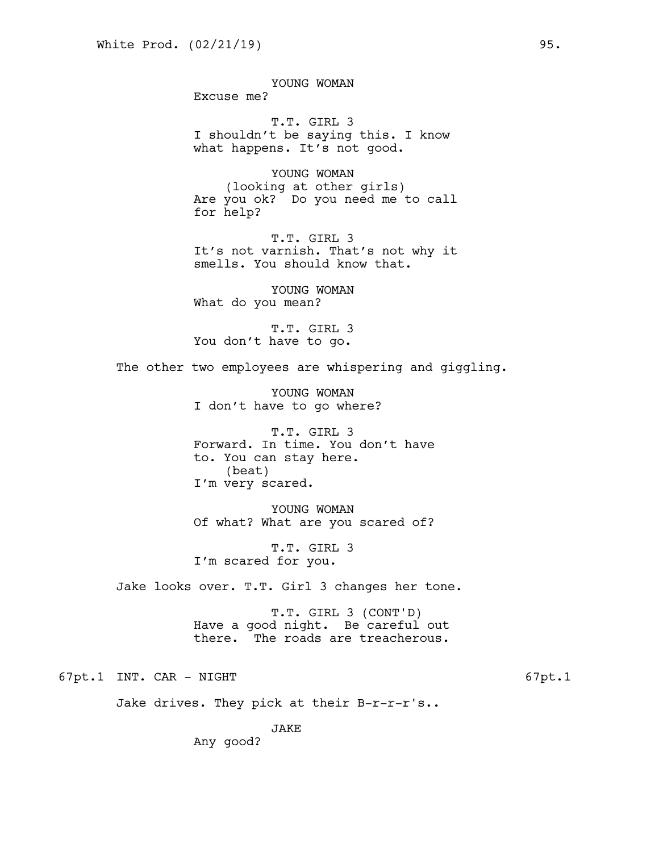YOUNG WOMAN Excuse me? T.T. GIRL 3 I shouldn't be saying this. I know what happens. It's not good. YOUNG WOMAN (looking at other girls) Are you ok? Do you need me to call for help? T.T. GIRL 3 It's not varnish. That's not why it smells. You should know that. YOUNG WOMAN What do you mean? T.T. GIRL 3 You don't have to go. The other two employees are whispering and giggling. YOUNG WOMAN I don't have to go where? T.T. GIRL 3 Forward. In time. You don't have to. You can stay here. (beat) I'm very scared. YOUNG WOMAN Of what? What are you scared of? T.T. GIRL 3 I'm scared for you. Jake looks over. T.T. Girl 3 changes her tone. T.T. GIRL 3 (CONT'D) Have a good night. Be careful out there. The roads are treacherous.

67pt.1 INT. CAR - NIGHT 67pt.1

Jake drives. They pick at their B-r-r-r's..

JAKE

Any good?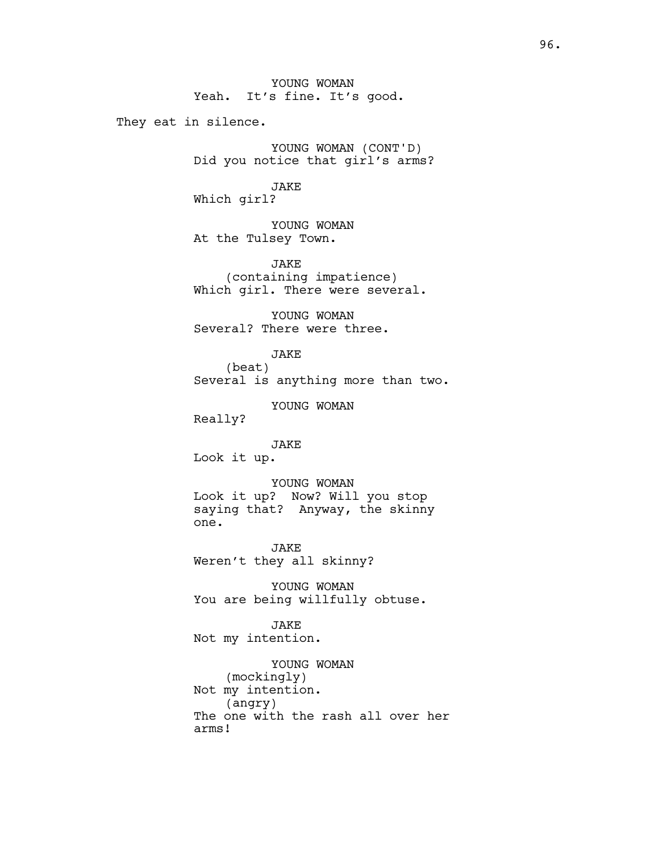They eat in silence.

YOUNG WOMAN (CONT'D) Did you notice that girl's arms?

JAKE Which girl?

YOUNG WOMAN At the Tulsey Town.

JAKE (containing impatience) Which girl. There were several.

YOUNG WOMAN Several? There were three.

> JAKE (beat)

Several is anything more than two.

YOUNG WOMAN

Really?

JAKE

Look it up.

YOUNG WOMAN Look it up? Now? Will you stop saying that? Anyway, the skinny one.

JAKE Weren't they all skinny?

YOUNG WOMAN You are being willfully obtuse.

JAKE Not my intention.

YOUNG WOMAN (mockingly) Not my intention. (angry) The one with the rash all over her arms!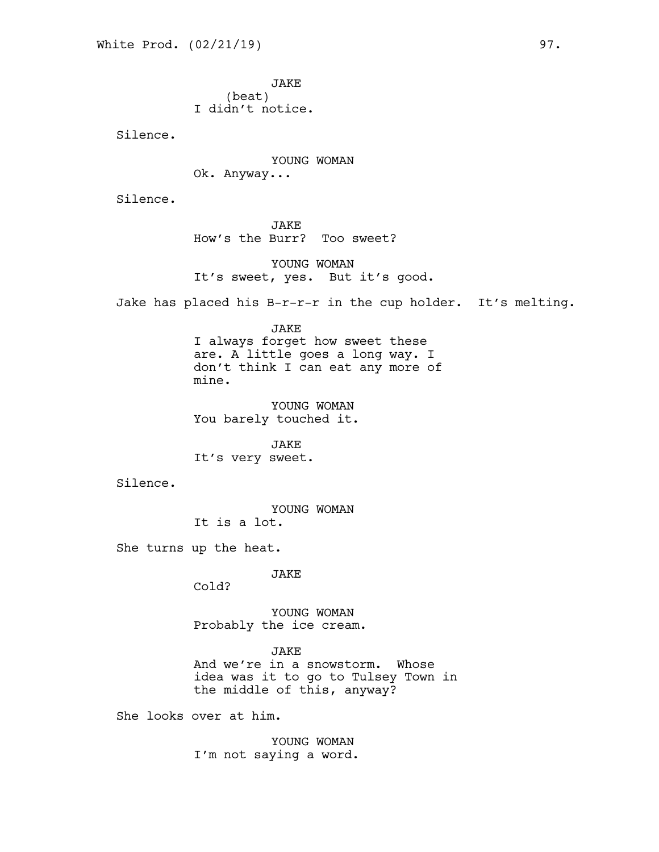JAKE (beat) I didn't notice.

Silence.

YOUNG WOMAN Ok. Anyway...

Silence.

JAKE How's the Burr? Too sweet?

YOUNG WOMAN It's sweet, yes. But it's good.

Jake has placed his B-r-r-r in the cup holder. It's melting.

JAKE

I always forget how sweet these are. A little goes a long way. I don't think I can eat any more of mine.

YOUNG WOMAN You barely touched it.

JAKE It's very sweet.

Silence.

YOUNG WOMAN It is a lot.

She turns up the heat.

## JAKE

Cold?

YOUNG WOMAN Probably the ice cream.

**JAKE** 

And we're in a snowstorm. Whose idea was it to go to Tulsey Town in the middle of this, anyway?

She looks over at him.

YOUNG WOMAN I'm not saying a word.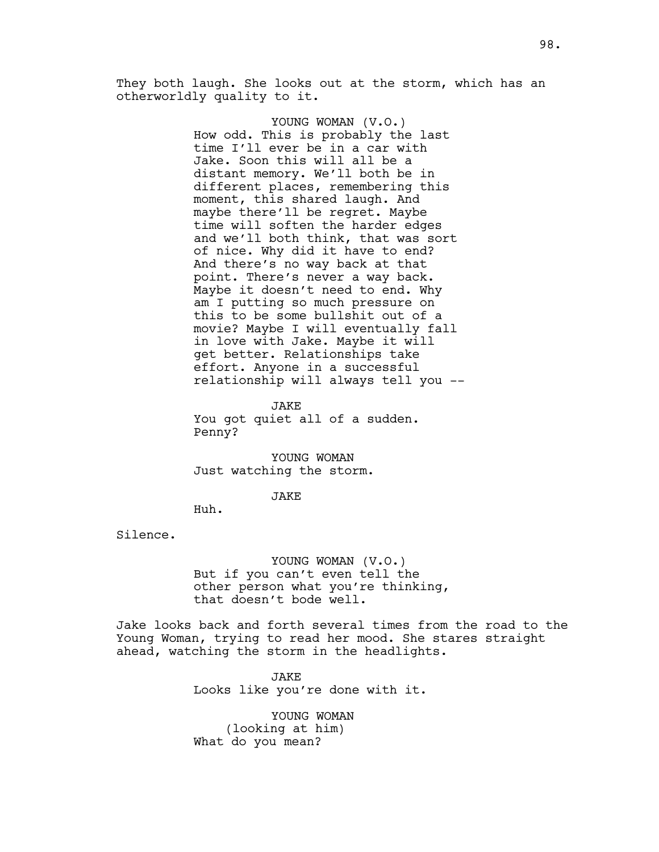They both laugh. She looks out at the storm, which has an otherworldly quality to it.

> YOUNG WOMAN (V.O.) How odd. This is probably the last time I'll ever be in a car with Jake. Soon this will all be a distant memory. We'll both be in different places, remembering this moment, this shared laugh. And maybe there'll be regret. Maybe time will soften the harder edges and we'll both think, that was sort of nice. Why did it have to end? And there's no way back at that point. There's never a way back. Maybe it doesn't need to end. Why am I putting so much pressure on this to be some bullshit out of a movie? Maybe I will eventually fall in love with Jake. Maybe it will get better. Relationships take effort. Anyone in a successful relationship will always tell you --

JAKE You got quiet all of a sudden. Penny?

YOUNG WOMAN Just watching the storm.

#### JAKE

Huh.

Silence.

YOUNG WOMAN (V.O.) But if you can't even tell the other person what you're thinking, that doesn't bode well.

Jake looks back and forth several times from the road to the Young Woman, trying to read her mood. She stares straight ahead, watching the storm in the headlights.

> JAKE Looks like you're done with it.

YOUNG WOMAN (looking at him) What do you mean?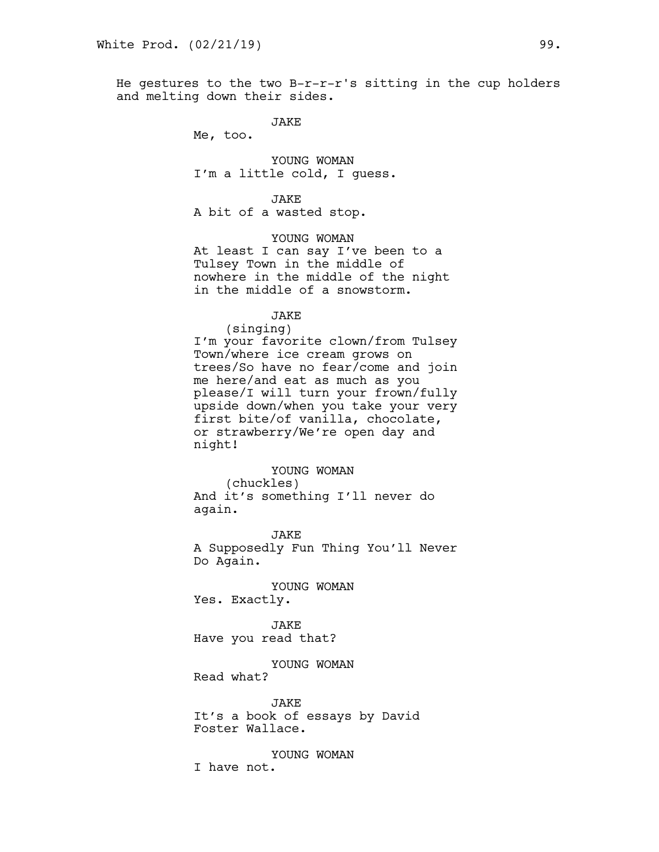He gestures to the two  $B-r-r-r's$  sitting in the cup holders and melting down their sides.

JAKE

Me, too.

YOUNG WOMAN I'm a little cold, I guess.

JAKE

A bit of a wasted stop.

YOUNG WOMAN At least I can say I've been to a Tulsey Town in the middle of nowhere in the middle of the night in the middle of a snowstorm.

JAKE

(singing) I'm your favorite clown/from Tulsey Town/where ice cream grows on trees/So have no fear/come and join me here/and eat as much as you please/I will turn your frown/fully upside down/when you take your very first bite/of vanilla, chocolate, or strawberry/We're open day and night!

YOUNG WOMAN (chuckles) And it's something I'll never do again.

**JAKE** A Supposedly Fun Thing You'll Never Do Again.

YOUNG WOMAN Yes. Exactly.

JAKE Have you read that?

YOUNG WOMAN

Read what?

JAKE It's a book of essays by David Foster Wallace.

YOUNG WOMAN I have not.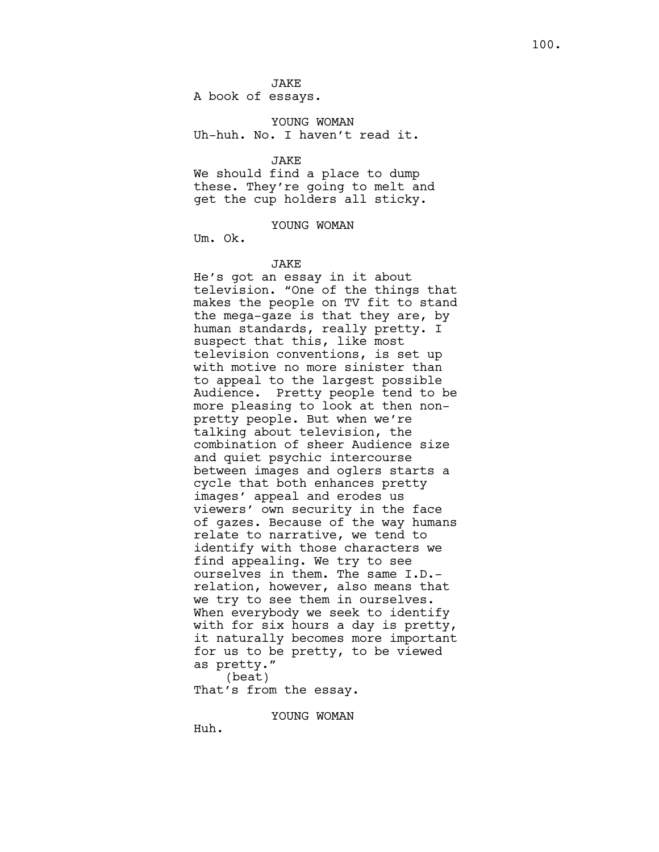A book of essays.

YOUNG WOMAN Uh-huh. No. I haven't read it.

JAKE

We should find a place to dump these. They're going to melt and get the cup holders all sticky.

YOUNG WOMAN

Um. Ok.

#### JAKE

He's got an essay in it about television. "One of the things that makes the people on TV fit to stand the mega-gaze is that they are, by human standards, really pretty. I suspect that this, like most television conventions, is set up with motive no more sinister than to appeal to the largest possible Audience. Pretty people tend to be more pleasing to look at then nonpretty people. But when we're talking about television, the combination of sheer Audience size and quiet psychic intercourse between images and oglers starts a cycle that both enhances pretty images' appeal and erodes us viewers' own security in the face of gazes. Because of the way humans relate to narrative, we tend to identify with those characters we find appealing. We try to see ourselves in them. The same I.D. relation, however, also means that we try to see them in ourselves. When everybody we seek to identify with for six hours a day is pretty, it naturally becomes more important for us to be pretty, to be viewed as pretty." (beat) That's from the essay.

YOUNG WOMAN

Huh.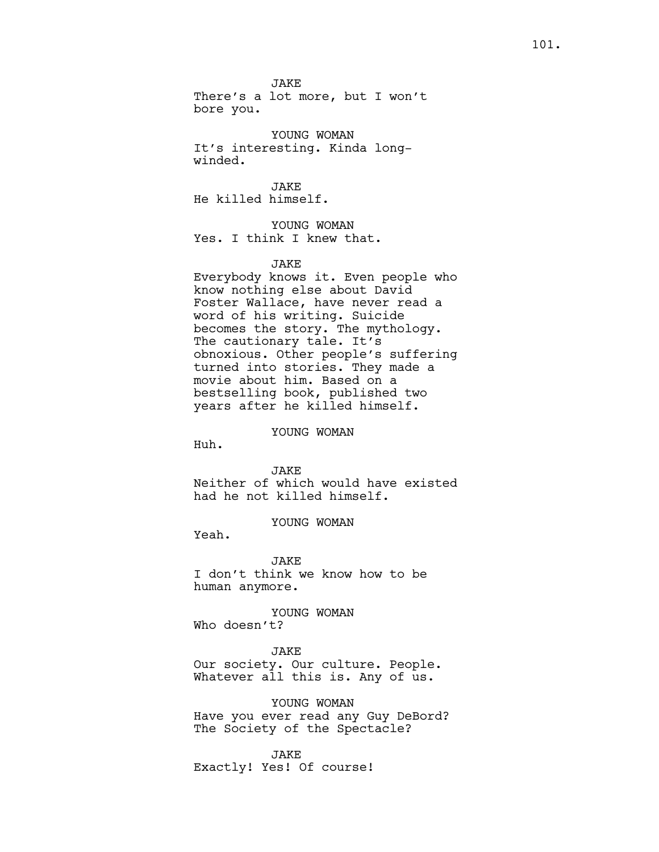**JAKE** There's a lot more, but I won't

bore you.

YOUNG WOMAN It's interesting. Kinda longwinded.

**JAKE** He killed himself.

YOUNG WOMAN Yes. I think I knew that.

## JAKE

Everybody knows it. Even people who know nothing else about David Foster Wallace, have never read a word of his writing. Suicide becomes the story. The mythology. The cautionary tale. It's obnoxious. Other people's suffering turned into stories. They made a movie about him. Based on a bestselling book, published two years after he killed himself.

## YOUNG WOMAN

Huh.

#### **JAKE**

Neither of which would have existed had he not killed himself.

YOUNG WOMAN

Yeah.

**JAKE** I don't think we know how to be human anymore.

YOUNG WOMAN Who doesn't?

## JAKE

Our society. Our culture. People. Whatever all this is. Any of us.

YOUNG WOMAN Have you ever read any Guy DeBord? The Society of the Spectacle?

JAKE Exactly! Yes! Of course!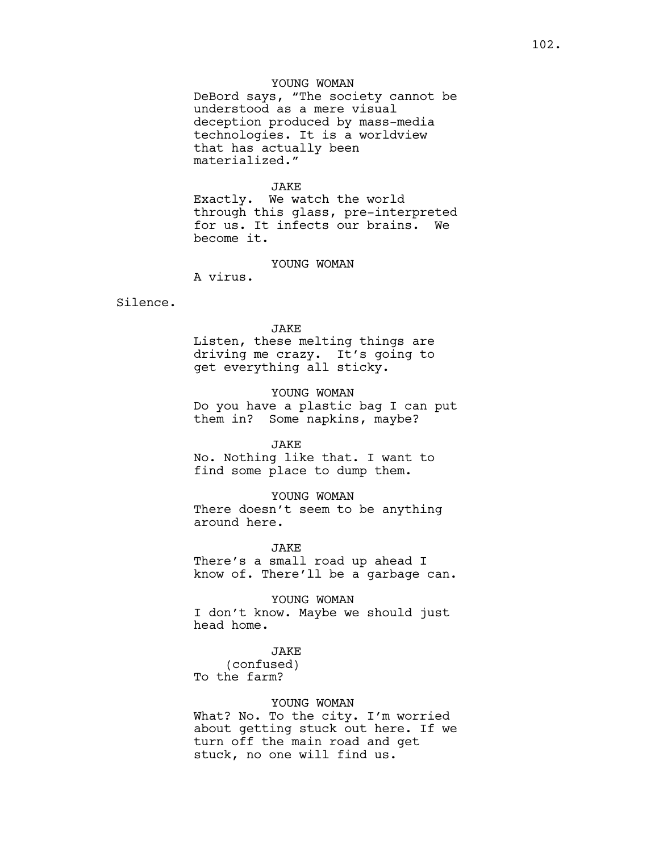# YOUNG WOMAN

DeBord says, "The society cannot be understood as a mere visual deception produced by mass-media technologies. It is a worldview that has actually been materialized."

#### JAKE

Exactly. We watch the world through this glass, pre-interpreted for us. It infects our brains. We become it.

## YOUNG WOMAN

A virus.

## Silence.

## JAKE

Listen, these melting things are driving me crazy. It's going to get everything all sticky.

# YOUNG WOMAN

Do you have a plastic bag I can put them in? Some napkins, maybe?

## JAKE

No. Nothing like that. I want to find some place to dump them.

## YOUNG WOMAN

There doesn't seem to be anything around here.

JAKE

There's a small road up ahead I know of. There'll be a garbage can.

YOUNG WOMAN I don't know. Maybe we should just head home.

# JAKE

(confused) To the farm?

## YOUNG WOMAN

What? No. To the city. I'm worried about getting stuck out here. If we turn off the main road and get stuck, no one will find us.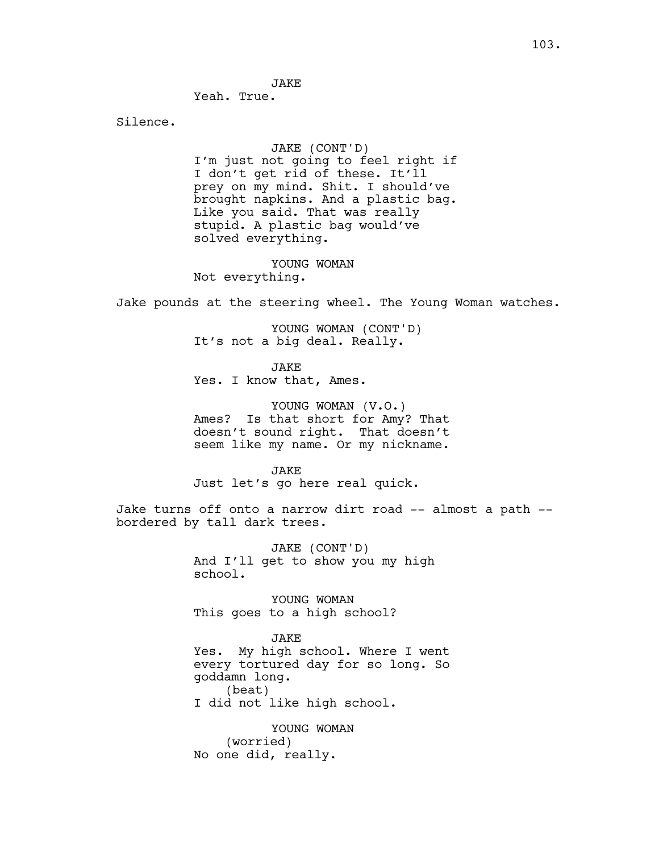**JAKE** 

Yeah. True.

Silence.

## JAKE (CONT'D)

I'm just not going to feel right if I don't get rid of these. It'll prey on my mind. Shit. I should've brought napkins. And a plastic bag. Like you said. That was really stupid. A plastic bag would've solved everything.

YOUNG WOMAN Not everything.

Jake pounds at the steering wheel. The Young Woman watches.

YOUNG WOMAN (CONT'D) It's not a big deal. Really.

**JAKE** Yes. I know that, Ames.

YOUNG WOMAN (V.O.) Ames? Is that short for Amy? That doesn't sound right. That doesn't seem like my name. Or my nickname.

JAKE Just let's go here real quick.

Jake turns off onto a narrow dirt road -- almost a path - bordered by tall dark trees.

> JAKE (CONT'D) And I'll get to show you my high school.

YOUNG WOMAN This goes to a high school?

JAKE

Yes. My high school. Where I went every tortured day for so long. So goddamn long. (beat) I did not like high school.

YOUNG WOMAN (worried) No one did, really.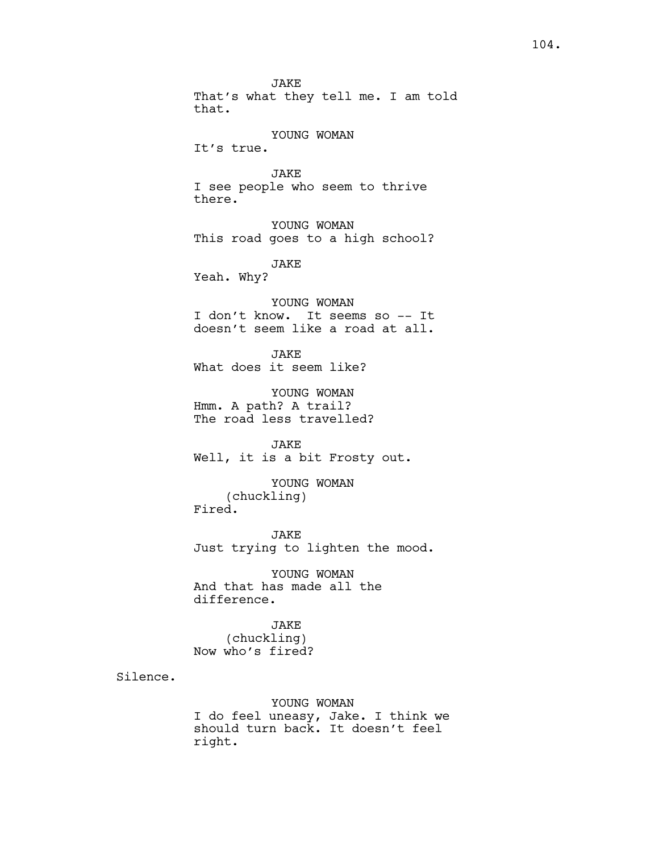JAKE That's what they tell me. I am told that. YOUNG WOMAN It's true. JAKE I see people who seem to thrive there. YOUNG WOMAN This road goes to a high school? JAKE Yeah. Why? YOUNG WOMAN I don't know. It seems so -- It doesn't seem like a road at all. JAKE What does it seem like? YOUNG WOMAN Hmm. A path? A trail? The road less travelled? JAKE Well, it is a bit Frosty out. YOUNG WOMAN (chuckling) Fired. JAKE Just trying to lighten the mood. YOUNG WOMAN And that has made all the difference. JAKE (chuckling) Now who's fired? YOUNG WOMAN

I do feel uneasy, Jake. I think we should turn back. It doesn't feel right.

Silence.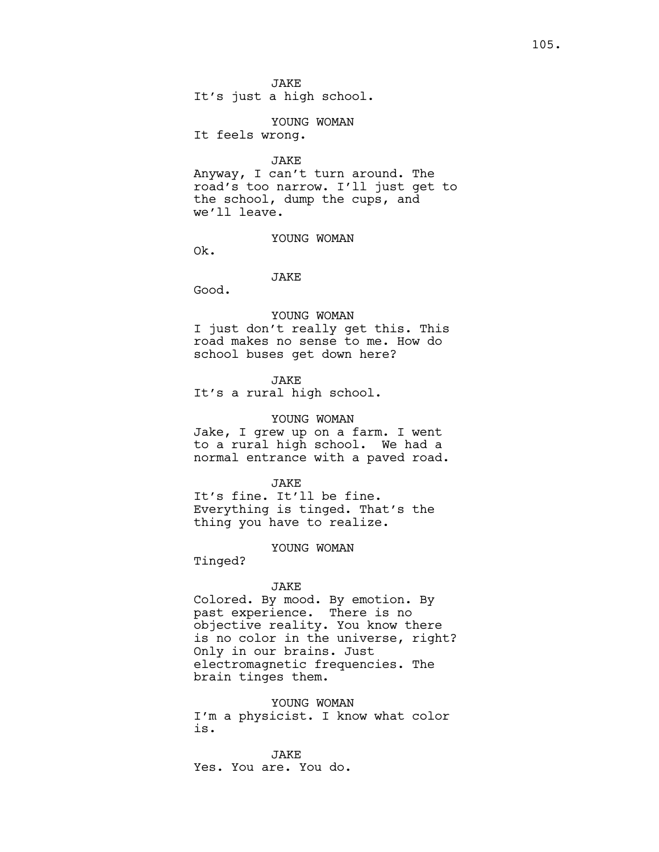It's just a high school.

## YOUNG WOMAN

It feels wrong.

JAKE

Anyway, I can't turn around. The road's too narrow. I'll just get to the school, dump the cups, and we'll leave.

YOUNG WOMAN

Ok.

## JAKE

Good.

#### YOUNG WOMAN

I just don't really get this. This road makes no sense to me. How do school buses get down here?

## JAKE

It's a rural high school.

## YOUNG WOMAN

Jake, I grew up on a farm. I went to a rural high school. We had a normal entrance with a paved road.

## JAKE

It's fine. It'll be fine. Everything is tinged. That's the thing you have to realize.

#### YOUNG WOMAN

Tinged?

## JAKE

Colored. By mood. By emotion. By past experience. There is no objective reality. You know there is no color in the universe, right? Only in our brains. Just electromagnetic frequencies. The brain tinges them.

YOUNG WOMAN I'm a physicist. I know what color is.

JAKE Yes. You are. You do.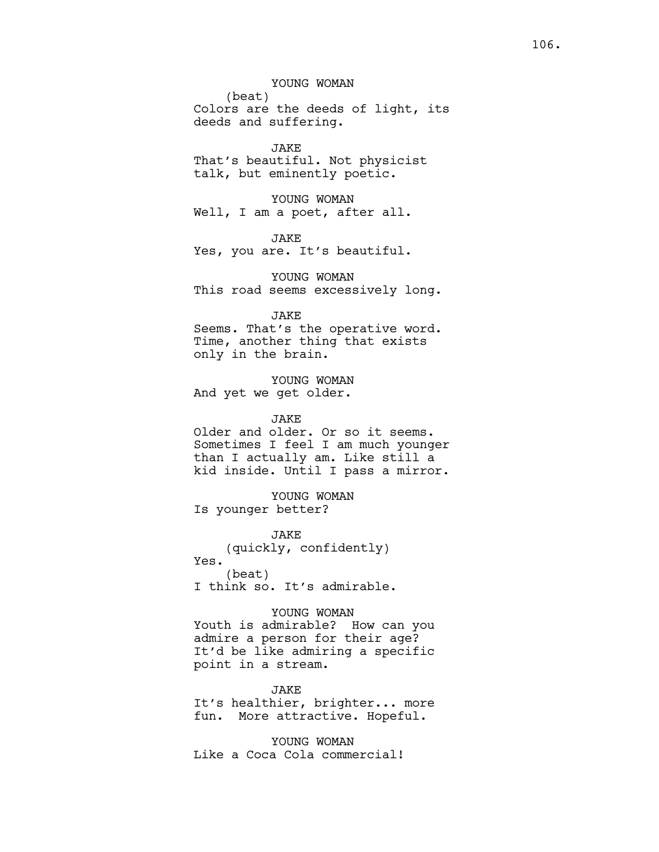YOUNG WOMAN

(beat) Colors are the deeds of light, its deeds and suffering.

JAKE That's beautiful. Not physicist talk, but eminently poetic.

YOUNG WOMAN Well, I am a poet, after all.

JAKE Yes, you are. It's beautiful.

YOUNG WOMAN This road seems excessively long.

JAKE

Seems. That's the operative word. Time, another thing that exists only in the brain.

YOUNG WOMAN And yet we get older.

JAKE

Older and older. Or so it seems. Sometimes I feel I am much younger than I actually am. Like still a kid inside. Until I pass a mirror.

YOUNG WOMAN Is younger better?

JAKE (quickly, confidently) Yes. (beat) I think so. It's admirable.

YOUNG WOMAN Youth is admirable? How can you admire a person for their age? It'd be like admiring a specific point in a stream.

JAKE It's healthier, brighter... more fun. More attractive. Hopeful.

YOUNG WOMAN Like a Coca Cola commercial!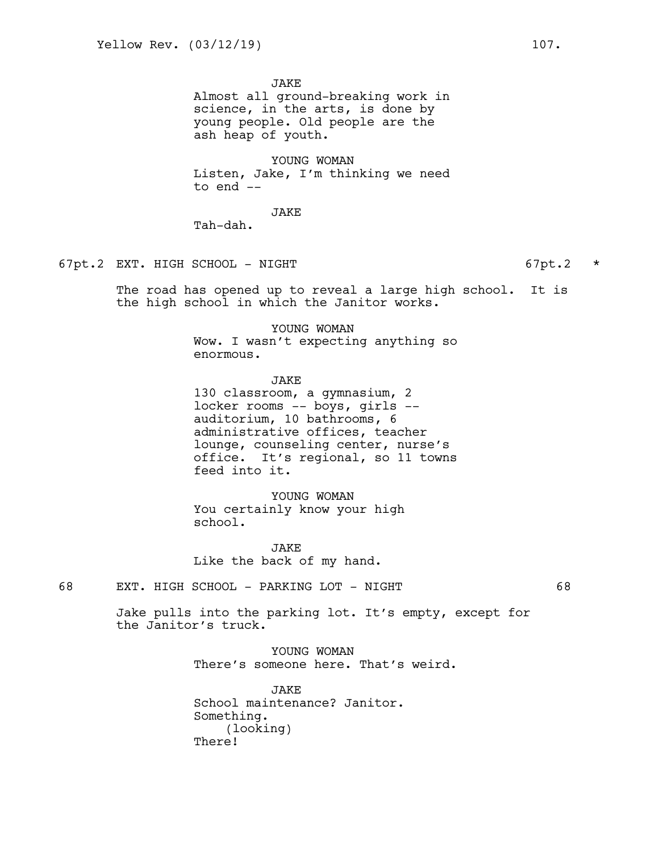**JAKE** 

Almost all ground-breaking work in science, in the arts, is done by young people. Old people are the ash heap of youth.

YOUNG WOMAN Listen, Jake, I'm thinking we need to end --

JAKE

Tah-dah.

## 67pt.2 EXT. HIGH SCHOOL - NIGHT 67pt.2 \*

The road has opened up to reveal a large high school. It is the high school in which the Janitor works.

> YOUNG WOMAN Wow. I wasn't expecting anything so enormous.

> JAKE 130 classroom, a gymnasium, 2 locker rooms -- boys, girls - auditorium, 10 bathrooms, 6 administrative offices, teacher lounge, counseling center, nurse's office. It's regional, so 11 towns feed into it.

YOUNG WOMAN You certainly know your high school.

JAKE Like the back of my hand.

68 EXT. HIGH SCHOOL - PARKING LOT - NIGHT 68

Jake pulls into the parking lot. It's empty, except for the Janitor's truck.

> YOUNG WOMAN There's someone here. That's weird.

JAKE School maintenance? Janitor. Something. (looking) There!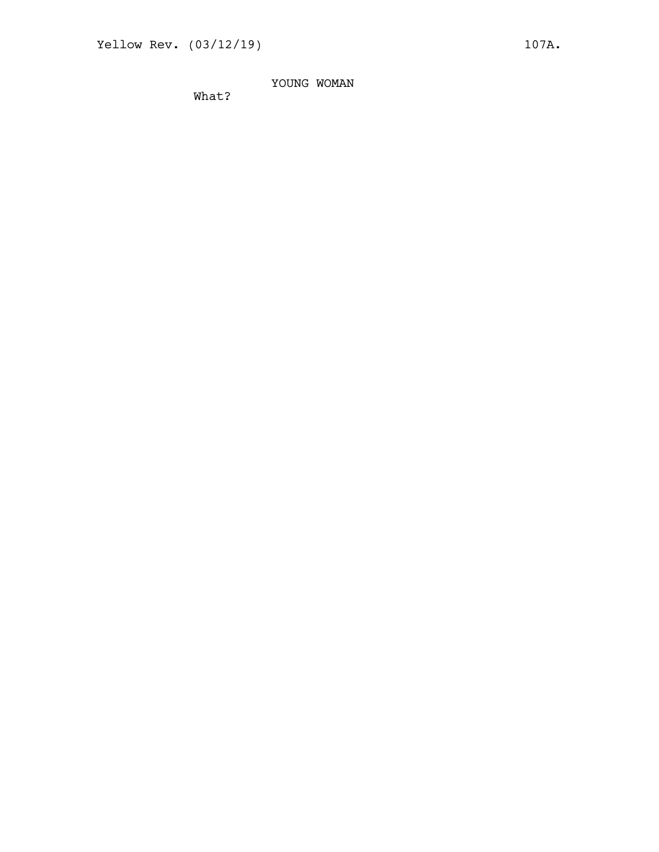YOUNG WOMAN

What?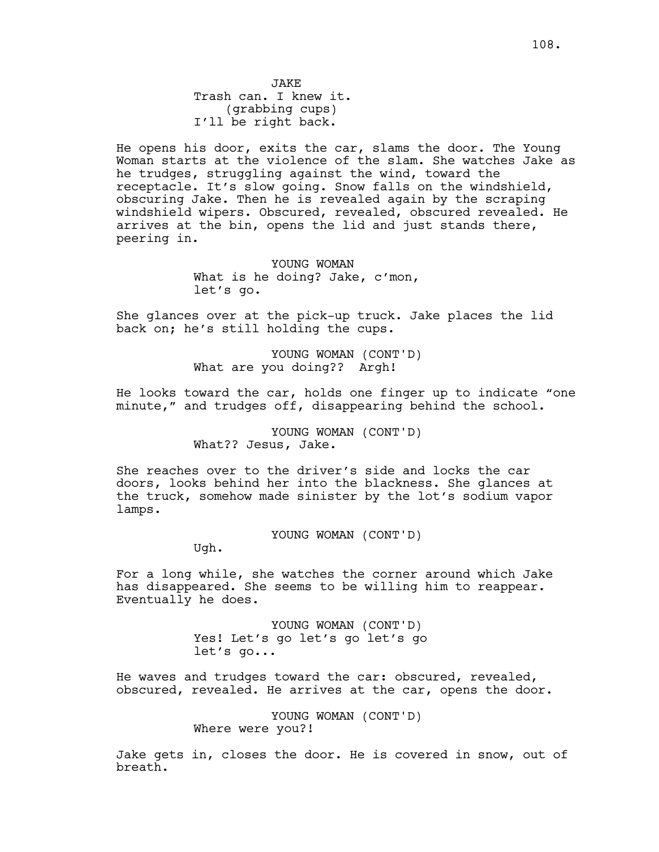He opens his door, exits the car, slams the door. The Young Woman starts at the violence of the slam. She watches Jake as he trudges, struggling against the wind, toward the receptacle. It's slow going. Snow falls on the windshield, obscuring Jake. Then he is revealed again by the scraping windshield wipers. Obscured, revealed, obscured revealed. He arrives at the bin, opens the lid and just stands there, peering in.

> YOUNG WOMAN What is he doing? Jake, c'mon, let's go.

She glances over at the pick-up truck. Jake places the lid back on; he's still holding the cups.

> YOUNG WOMAN (CONT'D) What are you doing?? Argh!

He looks toward the car, holds one finger up to indicate "one minute," and trudges off, disappearing behind the school.

> YOUNG WOMAN (CONT'D) What?? Jesus, Jake.

She reaches over to the driver's side and locks the car doors, looks behind her into the blackness. She glances at the truck, somehow made sinister by the lot's sodium vapor lamps.

YOUNG WOMAN (CONT'D)

Ugh.

For a long while, she watches the corner around which Jake has disappeared. She seems to be willing him to reappear. Eventually he does.

> YOUNG WOMAN (CONT'D) Yes! Let's go let's go let's go let's go...

He waves and trudges toward the car: obscured, revealed, obscured, revealed. He arrives at the car, opens the door.

> YOUNG WOMAN (CONT'D) Where were you?!

Jake gets in, closes the door. He is covered in snow, out of breath.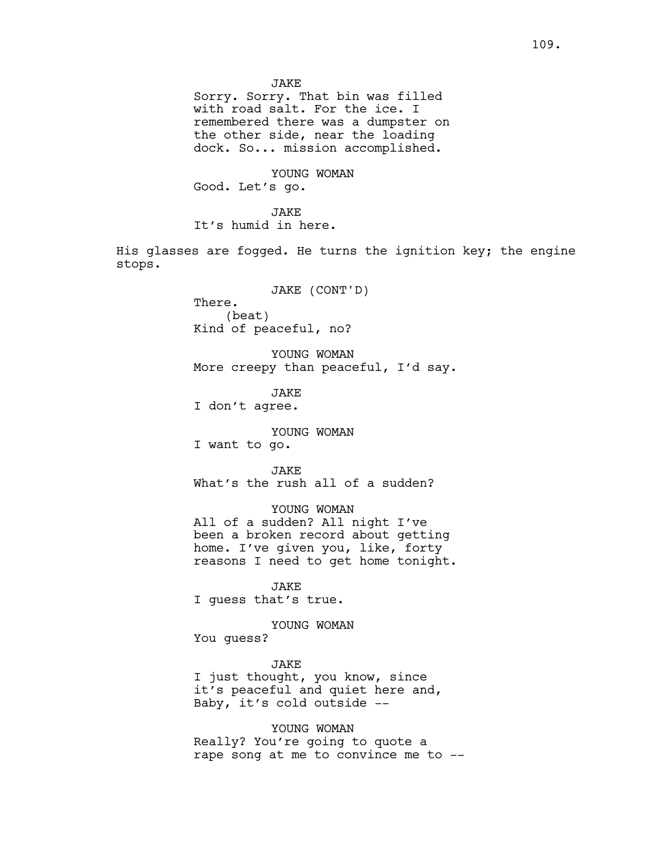**JAKE** 

Sorry. Sorry. That bin was filled with road salt. For the ice. I remembered there was a dumpster on the other side, near the loading dock. So... mission accomplished.

YOUNG WOMAN Good. Let's go.

JAKE It's humid in here.

His glasses are fogged. He turns the ignition key; the engine stops.

JAKE (CONT'D)

There. (beat) Kind of peaceful, no?

YOUNG WOMAN More creepy than peaceful, I'd say.

**JAKE** I don't agree.

YOUNG WOMAN

I want to go.

JAKE

What's the rush all of a sudden?

YOUNG WOMAN All of a sudden? All night I've been a broken record about getting home. I've given you, like, forty reasons I need to get home tonight.

JAKE I guess that's true.

YOUNG WOMAN

You guess?

JAKE I just thought, you know, since it's peaceful and quiet here and, Baby, it's cold outside --

YOUNG WOMAN Really? You're going to quote a rape song at me to convince me to --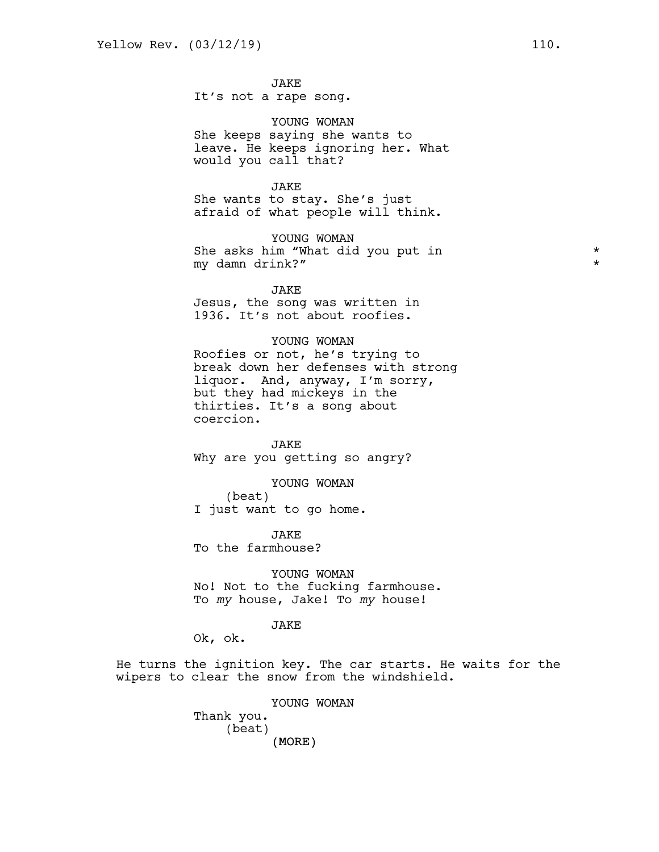JAKE It's not a rape song.

YOUNG WOMAN She keeps saying she wants to leave. He keeps ignoring her. What would you call that?

## JAKE

She wants to stay. She's just afraid of what people will think.

YOUNG WOMAN She asks him "What did you put in  $*$ my damn drink?" \*

JAKE Jesus, the song was written in 1936. It's not about roofies.

## YOUNG WOMAN

Roofies or not, he's trying to break down her defenses with strong liquor. And, anyway, I'm sorry, but they had mickeys in the thirties. It's a song about coercion.

JAKE Why are you getting so angry?

YOUNG WOMAN

(beat) I just want to go home.

**JAKE** To the farmhouse?

YOUNG WOMAN No! Not to the fucking farmhouse. To *my* house, Jake! To *my* house!

## JAKE

Ok, ok.

He turns the ignition key. The car starts. He waits for the wipers to clear the snow from the windshield.

> (MORE) YOUNG WOMAN Thank you. (beat)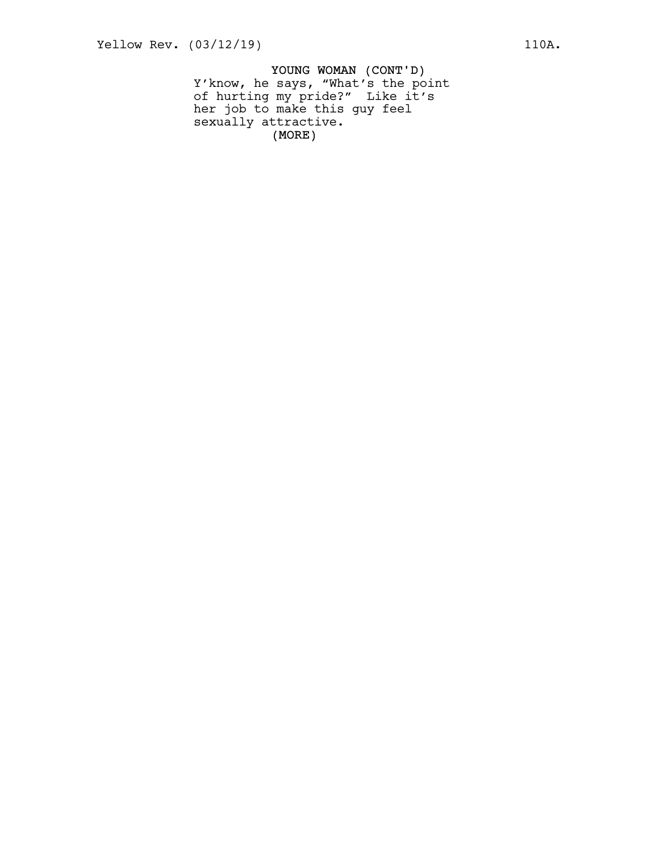YOUNG WOMAN (CONT'D) (MORE) Y'know, he says, "What's the point of hurting my pride?" Like it's her job to make this guy feel sexually attractive.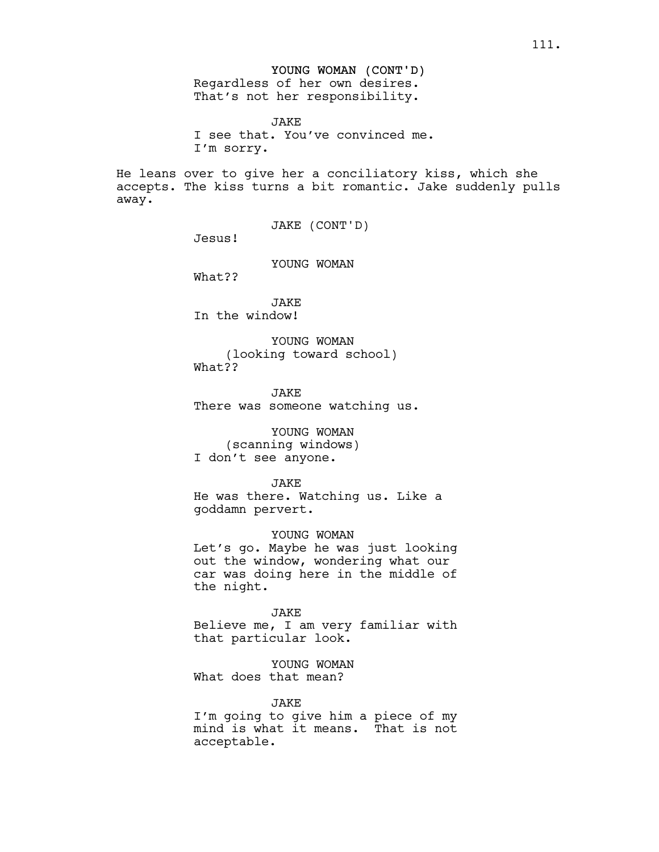# YOUNG WOMAN (CONT'D) Regardless of her own desires.

That's not her responsibility.

JAKE I see that. You've convinced me. I'm sorry.

He leans over to give her a conciliatory kiss, which she accepts. The kiss turns a bit romantic. Jake suddenly pulls away.

JAKE (CONT'D)

Jesus!

YOUNG WOMAN

What??

JAKE In the window!

YOUNG WOMAN (looking toward school) What??

**JAKE** There was someone watching us.

YOUNG WOMAN (scanning windows) I don't see anyone.

**JAKE** He was there. Watching us. Like a goddamn pervert.

YOUNG WOMAN Let's go. Maybe he was just looking out the window, wondering what our car was doing here in the middle of the night.

JAKE Believe me, I am very familiar with that particular look.

YOUNG WOMAN What does that mean?

JAKE I'm going to give him a piece of my mind is what it means. That is not acceptable.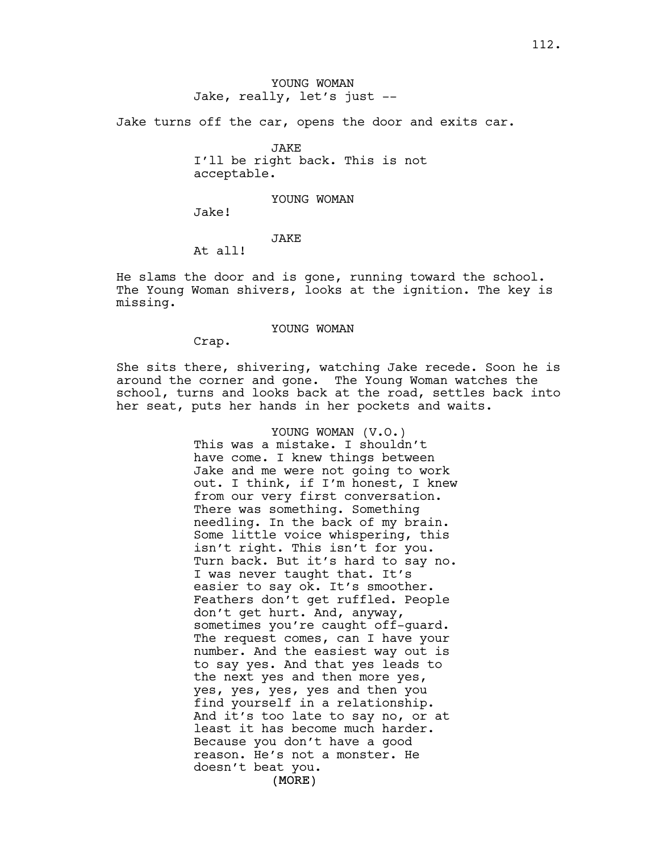Jake turns off the car, opens the door and exits car.

JAKE I'll be right back. This is not acceptable.

#### YOUNG WOMAN

Jake!

## JAKE

At all!

He slams the door and is gone, running toward the school. The Young Woman shivers, looks at the ignition. The key is missing.

## YOUNG WOMAN

Crap.

She sits there, shivering, watching Jake recede. Soon he is around the corner and gone. The Young Woman watches the school, turns and looks back at the road, settles back into her seat, puts her hands in her pockets and waits.

> (MORE) YOUNG WOMAN (V.O.) This was a mistake. I shouldn't have come. I knew things between Jake and me were not going to work out. I think, if I'm honest, I knew from our very first conversation. There was something. Something needling. In the back of my brain. Some little voice whispering, this isn't right. This isn't for you. Turn back. But it's hard to say no. I was never taught that. It's easier to say ok. It's smoother. Feathers don't get ruffled. People don't get hurt. And, anyway, sometimes you're caught off-guard. The request comes, can I have your number. And the easiest way out is to say yes. And that yes leads to the next yes and then more yes, yes, yes, yes, yes and then you find yourself in a relationship. And it's too late to say no, or at least it has become much harder. Because you don't have a good reason. He's not a monster. He doesn't beat you.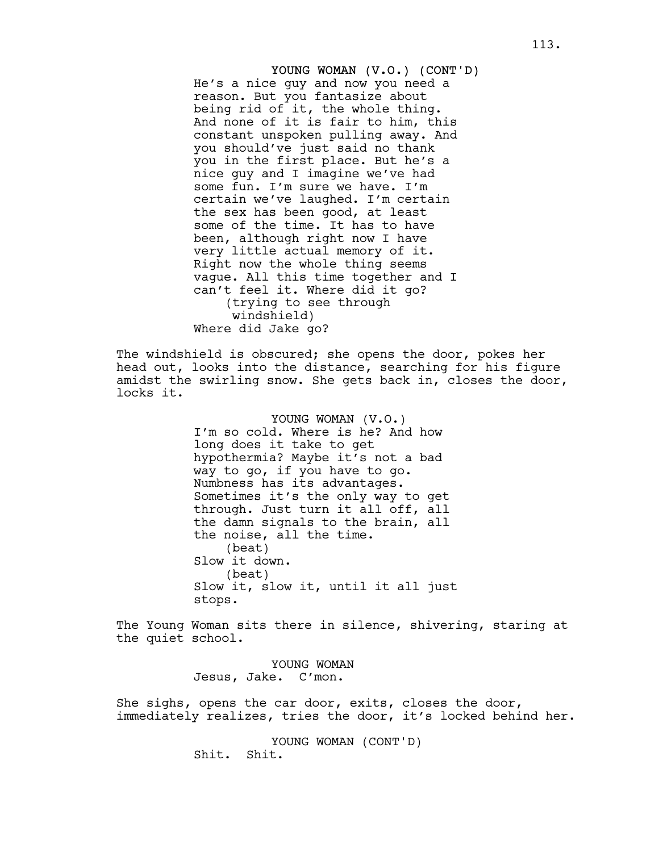YOUNG WOMAN (V.O.) (CONT'D) He's a nice guy and now you need a reason. But you fantasize about being rid of it, the whole thing. And none of it is fair to him, this constant unspoken pulling away. And you should've just said no thank you in the first place. But he's a nice guy and I imagine we've had some fun. I'm sure we have. I'm certain we've laughed. I'm certain the sex has been good, at least some of the time. It has to have been, although right now I have very little actual memory of it. Right now the whole thing seems vague. All this time together and I can't feel it. Where did it go? (trying to see through windshield) Where did Jake go?

The windshield is obscured; she opens the door, pokes her head out, looks into the distance, searching for his figure amidst the swirling snow. She gets back in, closes the door, locks it.

> YOUNG WOMAN (V.O.) I'm so cold. Where is he? And how long does it take to get hypothermia? Maybe it's not a bad way to go, if you have to go. Numbness has its advantages. Sometimes it's the only way to get through. Just turn it all off, all the damn signals to the brain, all the noise, all the time. (beat) Slow it down. (beat) Slow it, slow it, until it all just stops.

The Young Woman sits there in silence, shivering, staring at the quiet school.

> YOUNG WOMAN Jesus, Jake. C'mon.

She sighs, opens the car door, exits, closes the door, immediately realizes, tries the door, it's locked behind her.

> YOUNG WOMAN (CONT'D) Shit. Shit.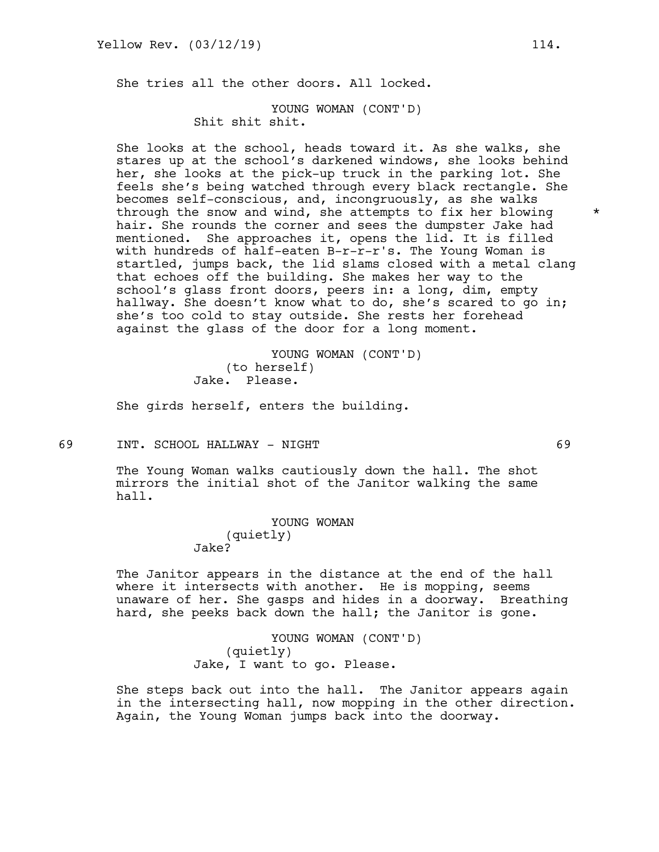She tries all the other doors. All locked.

YOUNG WOMAN (CONT'D) Shit shit shit.

She looks at the school, heads toward it. As she walks, she stares up at the school's darkened windows, she looks behind her, she looks at the pick-up truck in the parking lot. She feels she's being watched through every black rectangle. She becomes self-conscious, and, incongruously, as she walks through the snow and wind, she attempts to fix her blowing  $*$ hair. She rounds the corner and sees the dumpster Jake had mentioned. She approaches it, opens the lid. It is filled with hundreds of half-eaten B-r-r-r's. The Young Woman is startled, jumps back, the lid slams closed with a metal clang that echoes off the building. She makes her way to the school's glass front doors, peers in: a long, dim, empty hallway. She doesn't know what to do, she's scared to go in; she's too cold to stay outside. She rests her forehead against the glass of the door for a long moment.

> YOUNG WOMAN (CONT'D) (to herself) Jake. Please.

She girds herself, enters the building.

69 INT. SCHOOL HALLWAY - NIGHT 69

The Young Woman walks cautiously down the hall. The shot mirrors the initial shot of the Janitor walking the same hall.

> YOUNG WOMAN (quietly) Jake?

The Janitor appears in the distance at the end of the hall where it intersects with another. He is mopping, seems unaware of her. She gasps and hides in a doorway. Breathing hard, she peeks back down the hall; the Janitor is gone.

> YOUNG WOMAN (CONT'D) (quietly) Jake, I want to go. Please.

She steps back out into the hall. The Janitor appears again in the intersecting hall, now mopping in the other direction. Again, the Young Woman jumps back into the doorway.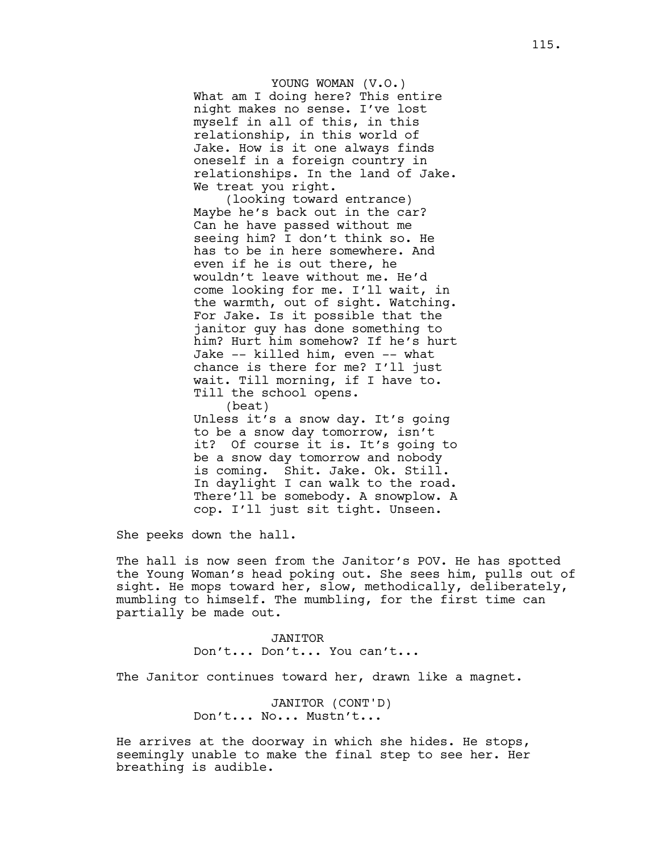YOUNG WOMAN (V.O.) What am I doing here? This entire night makes no sense. I've lost myself in all of this, in this relationship, in this world of Jake. How is it one always finds oneself in a foreign country in relationships. In the land of Jake. We treat you right.

(looking toward entrance) Maybe he's back out in the car? Can he have passed without me seeing him? I don't think so. He has to be in here somewhere. And even if he is out there, he wouldn't leave without me. He'd come looking for me. I'll wait, in the warmth, out of sight. Watching. For Jake. Is it possible that the janitor guy has done something to him? Hurt him somehow? If he's hurt Jake -- killed him, even -- what chance is there for me? I'll just wait. Till morning, if I have to. Till the school opens. (beat)

Unless it's a snow day. It's going to be a snow day tomorrow, isn't it? Of course it is. It's going to be a snow day tomorrow and nobody is coming. Shit. Jake. Ok. Still. In daylight I can walk to the road. There'll be somebody. A snowplow. A cop. I'll just sit tight. Unseen.

She peeks down the hall.

The hall is now seen from the Janitor's POV. He has spotted the Young Woman's head poking out. She sees him, pulls out of sight. He mops toward her, slow, methodically, deliberately, mumbling to himself. The mumbling, for the first time can partially be made out.

> JANITOR Don't... Don't... You can't...

The Janitor continues toward her, drawn like a magnet.

JANITOR (CONT'D) Don't... No... Mustn't...

He arrives at the doorway in which she hides. He stops, seemingly unable to make the final step to see her. Her breathing is audible.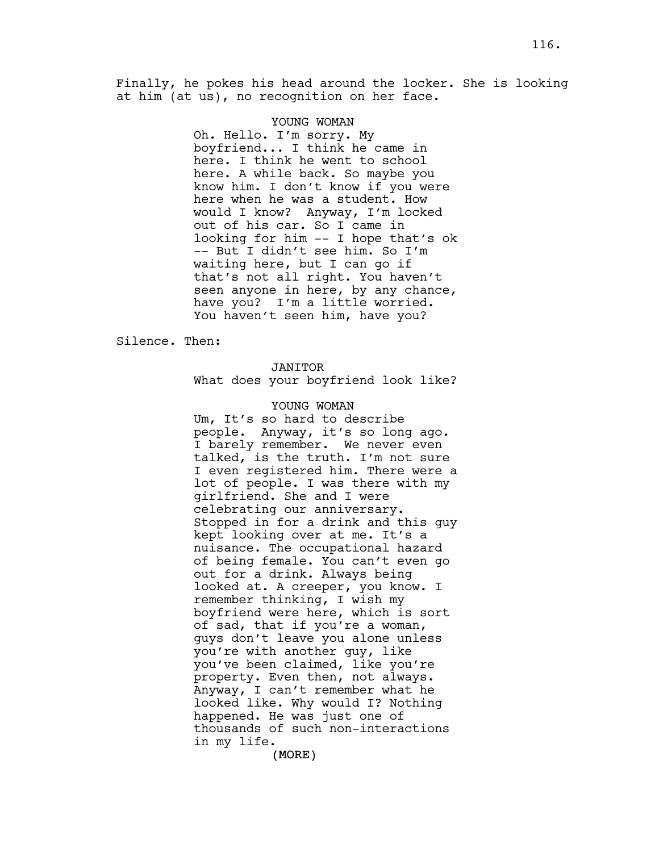Finally, he pokes his head around the locker. She is looking at him (at us), no recognition on her face.

#### YOUNG WOMAN

Oh. Hello. I'm sorry. My boyfriend... I think he came in here. I think he went to school here. A while back. So maybe you know him. I don't know if you were here when he was a student. How would I know? Anyway, I'm locked out of his car. So I came in looking for him -- I hope that's ok -- But I didn't see him. So I'm waiting here, but I can go if that's not all right. You haven't seen anyone in here, by any chance, have you? I'm a little worried. You haven't seen him, have you?

Silence. Then:

## JANITOR

What does your boyfriend look like?

#### YOUNG WOMAN

Um, It's so hard to describe people. Anyway, it's so long ago. I barely remember. We never even talked, is the truth. I'm not sure I even registered him. There were a lot of people. I was there with my girlfriend. She and I were celebrating our anniversary. Stopped in for a drink and this guy kept looking over at me. It's a nuisance. The occupational hazard of being female. You can't even go out for a drink. Always being looked at. A creeper, you know. I remember thinking, I wish my boyfriend were here, which is sort of sad, that if you're a woman, guys don't leave you alone unless you're with another guy, like you've been claimed, like you're property. Even then, not always. Anyway, I can't remember what he looked like. Why would I? Nothing happened. He was just one of thousands of such non-interactions in my life.

(MORE)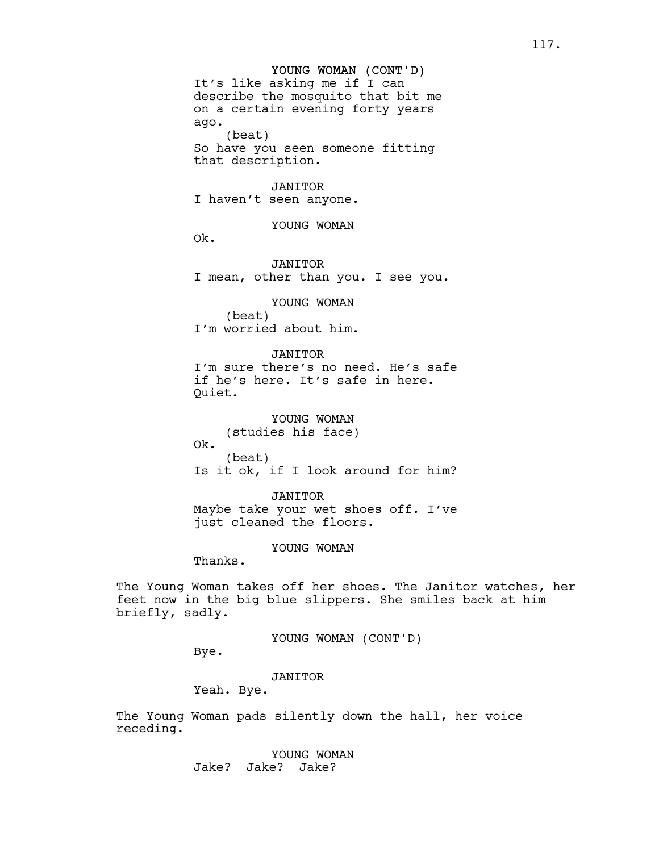## YOUNG WOMAN (CONT'D)

It's like asking me if I can describe the mosquito that bit me on a certain evening forty years ago. (beat) So have you seen someone fitting that description.

#### JANITOR

I haven't seen anyone.

YOUNG WOMAN

Ok.

JANITOR I mean, other than you. I see you.

YOUNG WOMAN

(beat) I'm worried about him.

## JANITOR

I'm sure there's no need. He's safe if he's here. It's safe in here. Quiet.

YOUNG WOMAN (studies his face) Ok. (beat) Is it ok, if I look around for him?

JANITOR Maybe take your wet shoes off. I've just cleaned the floors.

YOUNG WOMAN

Thanks.

The Young Woman takes off her shoes. The Janitor watches, her feet now in the big blue slippers. She smiles back at him briefly, sadly.

YOUNG WOMAN (CONT'D)

Bye.

JANITOR

Yeah. Bye.

The Young Woman pads silently down the hall, her voice receding.

> YOUNG WOMAN Jake? Jake? Jake?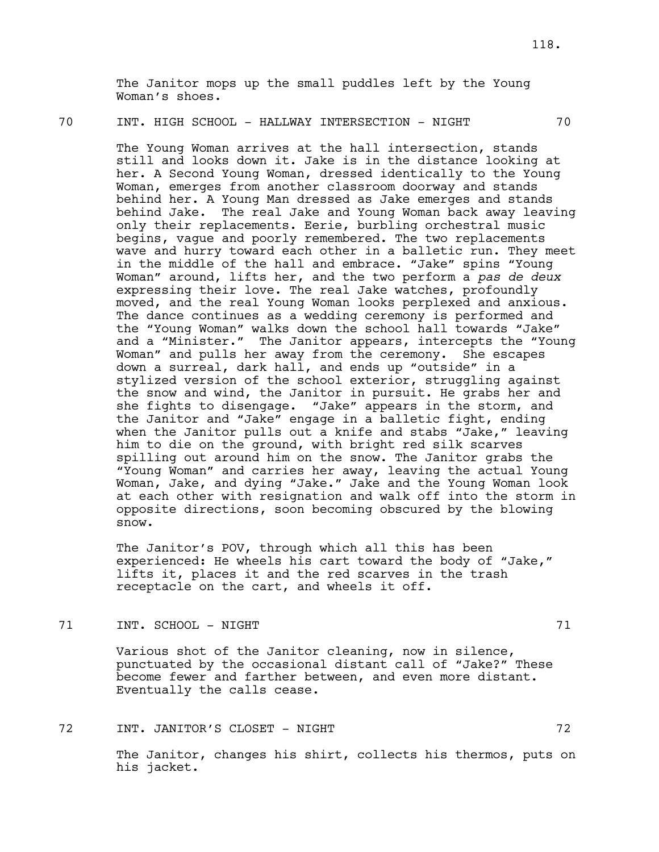The Janitor mops up the small puddles left by the Young Woman's shoes.

# 70 INT. HIGH SCHOOL - HALLWAY INTERSECTION - NIGHT 70

The Young Woman arrives at the hall intersection, stands still and looks down it. Jake is in the distance looking at her. A Second Young Woman, dressed identically to the Young Woman, emerges from another classroom doorway and stands behind her. A Young Man dressed as Jake emerges and stands behind Jake. The real Jake and Young Woman back away leaving only their replacements. Eerie, burbling orchestral music begins, vague and poorly remembered. The two replacements wave and hurry toward each other in a balletic run. They meet in the middle of the hall and embrace. "Jake" spins "Young Woman" around, lifts her, and the two perform a *pas de deux* expressing their love. The real Jake watches, profoundly moved, and the real Young Woman looks perplexed and anxious. The dance continues as a wedding ceremony is performed and the "Young Woman" walks down the school hall towards "Jake" and a "Minister." The Janitor appears, intercepts the "Young Woman" and pulls her away from the ceremony. She escapes down a surreal, dark hall, and ends up "outside" in a stylized version of the school exterior, struggling against the snow and wind, the Janitor in pursuit. He grabs her and she fights to disengage. "Jake" appears in the storm, and the Janitor and "Jake" engage in a balletic fight, ending when the Janitor pulls out a knife and stabs "Jake," leaving him to die on the ground, with bright red silk scarves spilling out around him on the snow. The Janitor grabs the "Young Woman" and carries her away, leaving the actual Young Woman, Jake, and dying "Jake." Jake and the Young Woman look at each other with resignation and walk off into the storm in opposite directions, soon becoming obscured by the blowing snow.

The Janitor's POV, through which all this has been experienced: He wheels his cart toward the body of "Jake," lifts it, places it and the red scarves in the trash receptacle on the cart, and wheels it off.

TREADS TO A SCHOOL - NIGHT AND THE RELATIONS OF THE SCHOOL - NIGHT

Various shot of the Janitor cleaning, now in silence, punctuated by the occasional distant call of "Jake?" These become fewer and farther between, and even more distant. Eventually the calls cease.

72 INT. JANITOR'S CLOSET - NIGHT 72

The Janitor, changes his shirt, collects his thermos, puts on his jacket.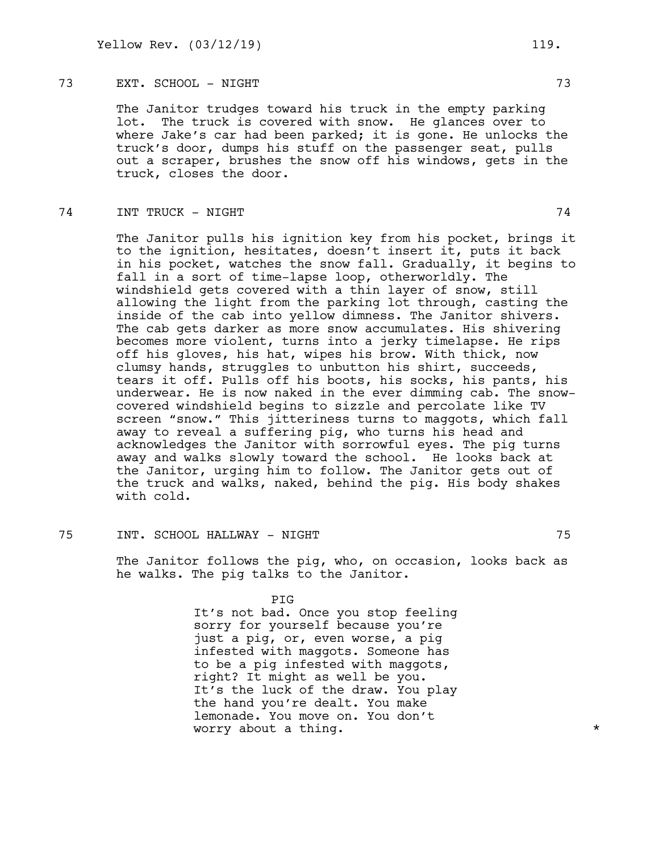## 73 EXT. SCHOOL - NIGHT 73

The Janitor trudges toward his truck in the empty parking lot. The truck is covered with snow. He glances over to where Jake's car had been parked; it is gone. He unlocks the truck's door, dumps his stuff on the passenger seat, pulls out a scraper, brushes the snow off his windows, gets in the truck, closes the door.

## THE TRUCK - NIGHT 74

The Janitor pulls his ignition key from his pocket, brings it to the ignition, hesitates, doesn't insert it, puts it back in his pocket, watches the snow fall. Gradually, it begins to fall in a sort of time-lapse loop, otherworldly. The windshield gets covered with a thin layer of snow, still allowing the light from the parking lot through, casting the inside of the cab into yellow dimness. The Janitor shivers. The cab gets darker as more snow accumulates. His shivering becomes more violent, turns into a jerky timelapse. He rips off his gloves, his hat, wipes his brow. With thick, now clumsy hands, struggles to unbutton his shirt, succeeds, tears it off. Pulls off his boots, his socks, his pants, his underwear. He is now naked in the ever dimming cab. The snowcovered windshield begins to sizzle and percolate like TV screen "snow." This jitteriness turns to maggots, which fall away to reveal a suffering pig, who turns his head and acknowledges the Janitor with sorrowful eyes. The pig turns away and walks slowly toward the school. He looks back at the Janitor, urging him to follow. The Janitor gets out of the truck and walks, naked, behind the pig. His body shakes with cold.

## 75 INT. SCHOOL HALLWAY - NIGHT 75

The Janitor follows the pig, who, on occasion, looks back as he walks. The pig talks to the Janitor.

#### PIG

It's not bad. Once you stop feeling sorry for yourself because you're just a pig, or, even worse, a pig infested with maggots. Someone has to be a pig infested with maggots, right? It might as well be you. It's the luck of the draw. You play the hand you're dealt. You make lemonade. You move on. You don't worry about a thing.  $\star$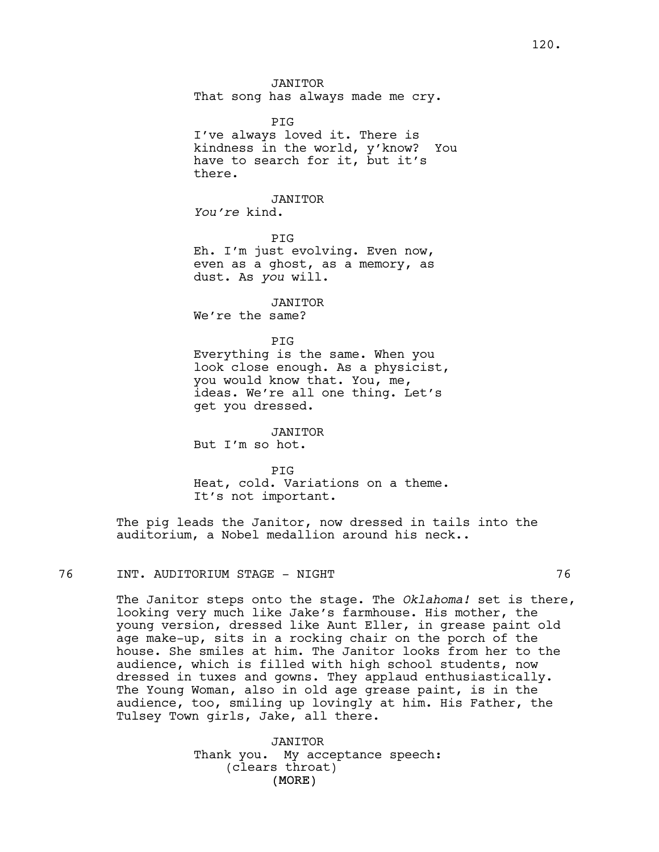JANITOR That song has always made me cry.

PIG I've always loved it. There is kindness in the world, y'know? You have to search for it, but it's there.

**JANTTOR** 

*You're* kind.

PIG Eh. I'm just evolving. Even now, even as a ghost, as a memory, as dust. As *you* will.

JANITOR We're the same?

PIG Everything is the same. When you look close enough. As a physicist, you would know that. You, me, ideas. We're all one thing. Let's get you dressed.

JANITOR But I'm so hot.

PIG Heat, cold. Variations on a theme. It's not important.

The pig leads the Janitor, now dressed in tails into the auditorium, a Nobel medallion around his neck..

# 76 INT. AUDITORIUM STAGE - NIGHT 76

The Janitor steps onto the stage. The *Oklahoma!* set is there, looking very much like Jake's farmhouse. His mother, the young version, dressed like Aunt Eller, in grease paint old age make-up, sits in a rocking chair on the porch of the house. She smiles at him. The Janitor looks from her to the audience, which is filled with high school students, now dressed in tuxes and gowns. They applaud enthusiastically. The Young Woman, also in old age grease paint, is in the audience, too, smiling up lovingly at him. His Father, the Tulsey Town girls, Jake, all there.

> (MORE) JANITOR Thank you. My acceptance speech: (clears throat)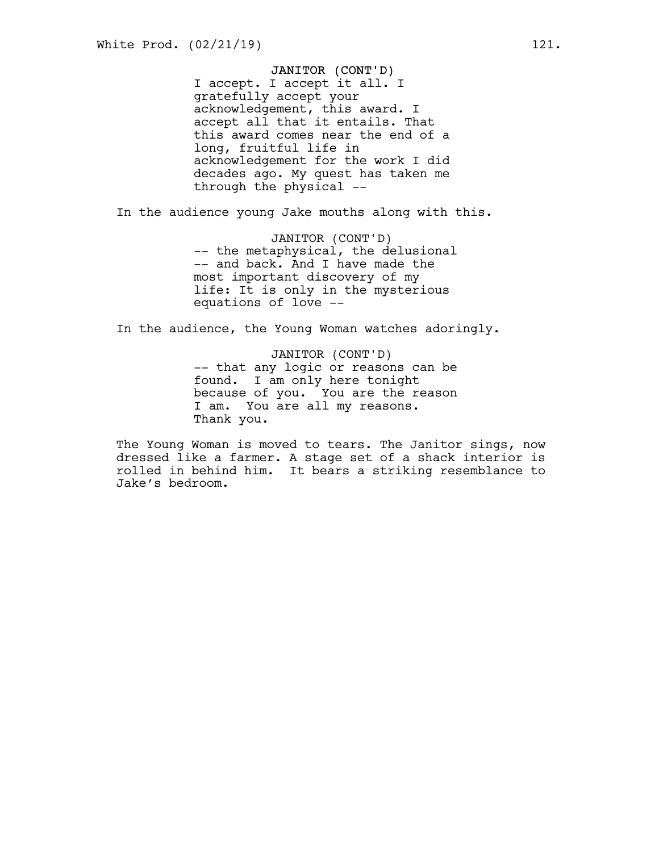#### JANITOR (CONT'D)

I accept. I accept it all. I gratefully accept your acknowledgement, this award. I accept all that it entails. That this award comes near the end of a long, fruitful life in acknowledgement for the work I did decades ago. My quest has taken me through the physical --

In the audience young Jake mouths along with this.

JANITOR (CONT'D) -- the metaphysical, the delusional -- and back. And I have made the most important discovery of my life: It is only in the mysterious equations of love --

In the audience, the Young Woman watches adoringly.

JANITOR (CONT'D) -- that any logic or reasons can be found. I am only here tonight because of you. You are the reason I am. You are all my reasons. Thank you.

The Young Woman is moved to tears. The Janitor sings, now dressed like a farmer. A stage set of a shack interior is rolled in behind him. It bears a striking resemblance to Jake's bedroom.